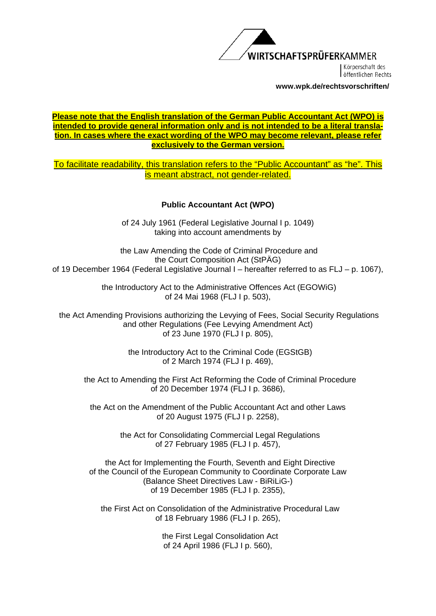

Körnerschaft des öffentlichen Rechts

**www.wpk.de/rechtsvorschriften/** 

### **Please note that the English translation of the German Public Accountant Act (WPO) is intended to provide general information only and is not intended to be a literal translation. In cases where the exact wording of the WPO may become relevant, please refer exclusively to the German version.**

To facilitate readability, this translation refers to the "Public Accountant" as "he". This is meant abstract, not gender-related.

### **Public Accountant Act (WPO)**

of 24 July 1961 (Federal Legislative Journal I p. 1049) taking into account amendments by

 the Law Amending the Code of Criminal Procedure and the Court Composition Act (StPÄG) of 19 December 1964 (Federal Legislative Journal I – hereafter referred to as FLJ – p. 1067),

> the Introductory Act to the Administrative Offences Act (EGOWiG) of 24 Mai 1968 (FLJ I p. 503),

 the Act Amending Provisions authorizing the Levying of Fees, Social Security Regulations and other Regulations (Fee Levying Amendment Act) of 23 June 1970 (FLJ I p. 805),

> the Introductory Act to the Criminal Code (EGStGB) of 2 March 1974 (FLJ I p. 469),

 the Act to Amending the First Act Reforming the Code of Criminal Procedure of 20 December 1974 (FLJ I p. 3686),

the Act on the Amendment of the Public Accountant Act and other Laws of 20 August 1975 (FLJ I p. 2258),

> the Act for Consolidating Commercial Legal Regulations of 27 February 1985 (FLJ I p. 457),

 the Act for Implementing the Fourth, Seventh and Eight Directive of the Council of the European Community to Coordinate Corporate Law (Balance Sheet Directives Law - BiRiLiG-) of 19 December 1985 (FLJ I p. 2355),

 the First Act on Consolidation of the Administrative Procedural Law of 18 February 1986 (FLJ I p. 265),

> the First Legal Consolidation Act of 24 April 1986 (FLJ I p. 560),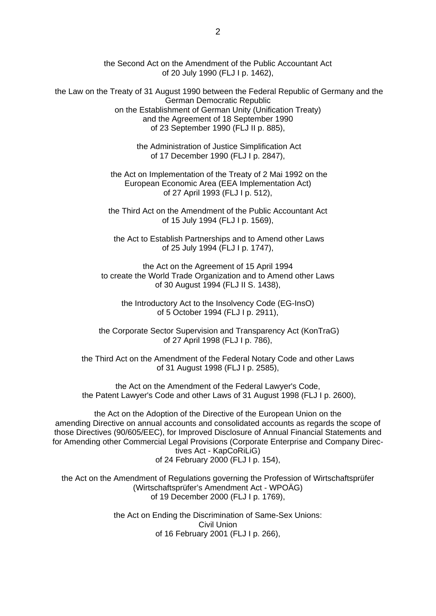the Second Act on the Amendment of the Public Accountant Act of 20 July 1990 (FLJ I p. 1462),

 the Law on the Treaty of 31 August 1990 between the Federal Republic of Germany and the German Democratic Republic on the Establishment of German Unity (Unification Treaty) and the Agreement of 18 September 1990 of 23 September 1990 (FLJ II p. 885),

> the Administration of Justice Simplification Act of 17 December 1990 (FLJ I p. 2847),

 the Act on Implementation of the Treaty of 2 Mai 1992 on the European Economic Area (EEA Implementation Act) of 27 April 1993 (FLJ I p. 512),

the Third Act on the Amendment of the Public Accountant Act of 15 July 1994 (FLJ I p. 1569),

 the Act to Establish Partnerships and to Amend other Laws of 25 July 1994 (FLJ I p. 1747),

the Act on the Agreement of 15 April 1994 to create the World Trade Organization and to Amend other Laws of 30 August 1994 (FLJ II S. 1438),

the Introductory Act to the Insolvency Code (EG-InsO) of 5 October 1994 (FLJ I p. 2911),

 the Corporate Sector Supervision and Transparency Act (KonTraG) of 27 April 1998 (FLJ I p. 786),

the Third Act on the Amendment of the Federal Notary Code and other Laws of 31 August 1998 (FLJ I p. 2585),

the Act on the Amendment of the Federal Lawyer's Code, the Patent Lawyer's Code and other Laws of 31 August 1998 (FLJ I p. 2600),

the Act on the Adoption of the Directive of the European Union on the amending Directive on annual accounts and consolidated accounts as regards the scope of those Directives (90/605/EEC), for Improved Disclosure of Annual Financial Statements and for Amending other Commercial Legal Provisions (Corporate Enterprise and Company Directives Act - KapCoRiLiG) of 24 February 2000 (FLJ I p. 154),

the Act on the Amendment of Regulations governing the Profession of Wirtschaftsprüfer (Wirtschaftsprüfer's Amendment Act - WPOÄG) of 19 December 2000 (FLJ I p. 1769),

> the Act on Ending the Discrimination of Same-Sex Unions: Civil Union of 16 February 2001 (FLJ I p. 266),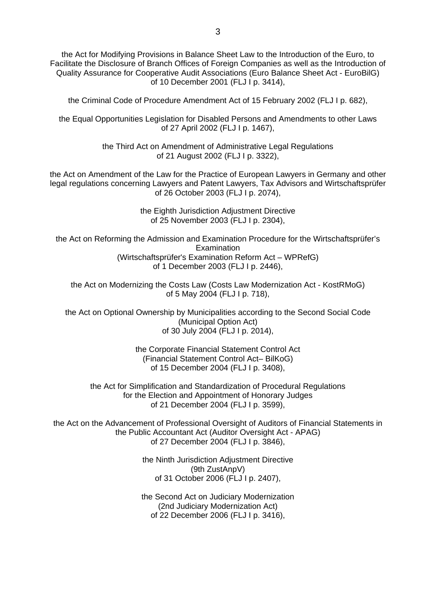the Act for Modifying Provisions in Balance Sheet Law to the Introduction of the Euro, to Facilitate the Disclosure of Branch Offices of Foreign Companies as well as the Introduction of Quality Assurance for Cooperative Audit Associations (Euro Balance Sheet Act - EuroBilG) of 10 December 2001 (FLJ I p. 3414),

the Criminal Code of Procedure Amendment Act of 15 February 2002 (FLJ I p. 682),

the Equal Opportunities Legislation for Disabled Persons and Amendments to other Laws of 27 April 2002 (FLJ I p. 1467),

> the Third Act on Amendment of Administrative Legal Regulations of 21 August 2002 (FLJ I p. 3322),

the Act on Amendment of the Law for the Practice of European Lawyers in Germany and other legal regulations concerning Lawyers and Patent Lawyers, Tax Advisors and Wirtschaftsprüfer of 26 October 2003 (FLJ I p. 2074),

> the Eighth Jurisdiction Adjustment Directive of 25 November 2003 (FLJ I p. 2304),

the Act on Reforming the Admission and Examination Procedure for the Wirtschaftsprüfer's **Examination** (Wirtschaftsprüfer's Examination Reform Act – WPRefG) of 1 December 2003 (FLJ I p. 2446),

the Act on Modernizing the Costs Law (Costs Law Modernization Act - KostRMoG) of 5 May 2004 (FLJ I p. 718),

the Act on Optional Ownership by Municipalities according to the Second Social Code (Municipal Option Act) of 30 July 2004 (FLJ I p. 2014),

> the Corporate Financial Statement Control Act (Financial Statement Control Act– BilKoG) of 15 December 2004 (FLJ I p. 3408),

the Act for Simplification and Standardization of Procedural Regulations for the Election and Appointment of Honorary Judges of 21 December 2004 (FLJ I p. 3599),

the Act on the Advancement of Professional Oversight of Auditors of Financial Statements in the Public Accountant Act (Auditor Oversight Act - APAG) of 27 December 2004 (FLJ I p. 3846),

> the Ninth Jurisdiction Adjustment Directive (9th ZustAnpV) of 31 October 2006 (FLJ I p. 2407),

> the Second Act on Judiciary Modernization (2nd Judiciary Modernization Act) of 22 December 2006 (FLJ I p. 3416),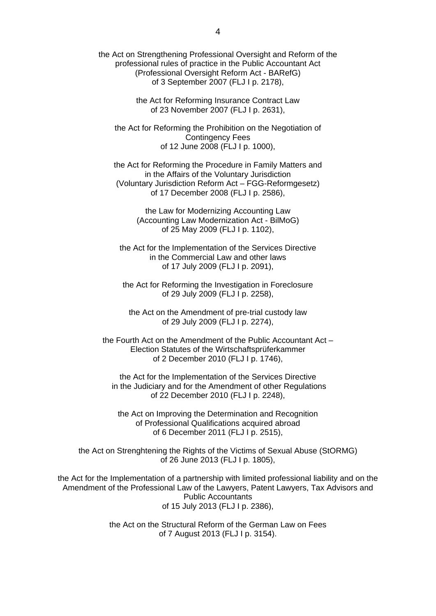the Act on Strengthening Professional Oversight and Reform of the professional rules of practice in the Public Accountant Act (Professional Oversight Reform Act - BARefG) of 3 September 2007 (FLJ I p. 2178),

> the Act for Reforming Insurance Contract Law of 23 November 2007 (FLJ I p. 2631),

the Act for Reforming the Prohibition on the Negotiation of Contingency Fees of 12 June 2008 (FLJ I p. 1000),

the Act for Reforming the Procedure in Family Matters and in the Affairs of the Voluntary Jurisdiction (Voluntary Jurisdiction Reform Act – FGG-Reformgesetz) of 17 December 2008 (FLJ I p. 2586),

> the Law for Modernizing Accounting Law (Accounting Law Modernization Act - BilMoG) of 25 May 2009 (FLJ I p. 1102),

the Act for the Implementation of the Services Directive in the Commercial Law and other laws of 17 July 2009 (FLJ I p. 2091),

the Act for Reforming the Investigation in Foreclosure of 29 July 2009 (FLJ I p. 2258),

the Act on the Amendment of pre-trial custody law of 29 July 2009 (FLJ I p. 2274),

the Fourth Act on the Amendment of the Public Accountant Act – Election Statutes of the Wirtschaftsprüferkammer of 2 December 2010 (FLJ I p. 1746),

the Act for the Implementation of the Services Directive in the Judiciary and for the Amendment of other Regulations of 22 December 2010 (FLJ I p. 2248),

the Act on Improving the Determination and Recognition of Professional Qualifications acquired abroad of 6 December 2011 (FLJ I p. 2515),

the Act on Strenghtening the Rights of the Victims of Sexual Abuse (StORMG) of 26 June 2013 (FLJ I p. 1805),

the Act for the Implementation of a partnership with limited professional liability and on the Amendment of the Professional Law of the Lawyers, Patent Lawyers, Tax Advisors and Public Accountants of 15 July 2013 (FLJ I p. 2386),

> the Act on the Structural Reform of the German Law on Fees of 7 August 2013 (FLJ I p. 3154).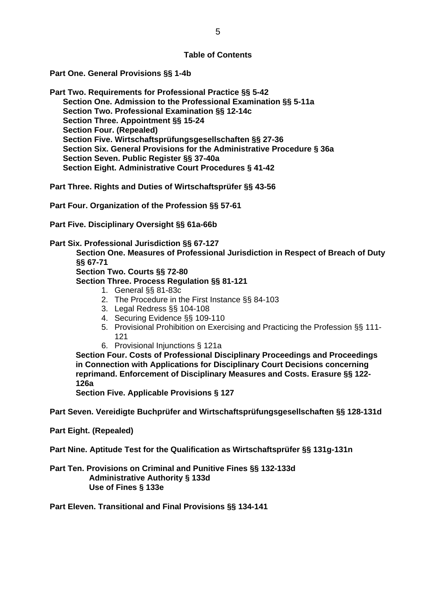### **Table of Contents**

**Part One. General Provisions §§ 1-4b** 

**Part Two. Requirements for Professional Practice §§ 5-42 Section One. Admission to the Professional Examination §§ 5-11a Section Two. Professional Examination §§ 12-14c Section Three. Appointment §§ 15-24 Section Four. (Repealed) Section Five. Wirtschaftsprüfungsgesellschaften §§ 27-36 Section Six. General Provisions for the Administrative Procedure § 36a Section Seven. Public Register §§ 37-40a Section Eight. Administrative Court Procedures § 41-42** 

**Part Three. Rights and Duties of Wirtschaftsprüfer §§ 43-56** 

**Part Four. Organization of the Profession §§ 57-61** 

**Part Five. Disciplinary Oversight §§ 61a-66b** 

**Part Six. Professional Jurisdiction §§ 67-127** 

**Section One. Measures of Professional Jurisdiction in Respect of Breach of Duty §§ 67-71** 

 **Section Two. Courts §§ 72-80** 

 **Section Three. Process Regulation §§ 81-121** 

- 1. General §§ 81-83c
- 2. The Procedure in the First Instance §§ 84-103
- 3. Legal Redress §§ 104-108
- 4. Securing Evidence §§ 109-110
- 5. Provisional Prohibition on Exercising and Practicing the Profession §§ 111- 121
- 6. Provisional Injunctions § 121a

**Section Four. Costs of Professional Disciplinary Proceedings and Proceedings in Connection with Applications for Disciplinary Court Decisions concerning reprimand. Enforcement of Disciplinary Measures and Costs. Erasure §§ 122- 126a** 

**Section Five. Applicable Provisions § 127** 

**Part Seven. Vereidigte Buchprüfer and Wirtschaftsprüfungsgesellschaften §§ 128-131d** 

**Part Eight. (Repealed)** 

**Part Nine. Aptitude Test for the Qualification as Wirtschaftsprüfer §§ 131g-131n** 

**Part Ten. Provisions on Criminal and Punitive Fines §§ 132-133d Administrative Authority § 133d Use of Fines § 133e** 

**Part Eleven. Transitional and Final Provisions §§ 134-141**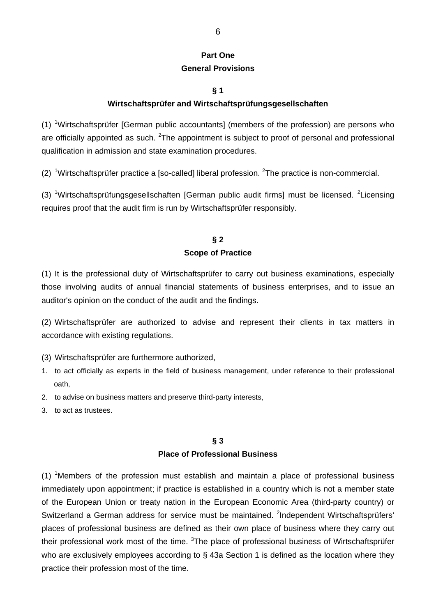## **Part One General Provisions**

### **§ 1**

### **Wirtschaftsprüfer and Wirtschaftsprüfungsgesellschaften**

(1) <sup>1</sup>Wirtschaftsprüfer [German public accountants] (members of the profession) are persons who are officially appointed as such. <sup>2</sup>The appointment is subject to proof of personal and professional qualification in admission and state examination procedures.

(2) <sup>1</sup>Wirtschaftsprüfer practice a [so-called] liberal profession. <sup>2</sup>The practice is non-commercial.

(3) <sup>1</sup>Wirtschaftsprüfungsgesellschaften [German public audit firms] must be licensed. <sup>2</sup>Licensing requires proof that the audit firm is run by Wirtschaftsprüfer responsibly.

### **§ 2 Scope of Practice**

(1) It is the professional duty of Wirtschaftsprüfer to carry out business examinations, especially those involving audits of annual financial statements of business enterprises, and to issue an auditor's opinion on the conduct of the audit and the findings.

(2) Wirtschaftsprüfer are authorized to advise and represent their clients in tax matters in accordance with existing regulations.

- (3) Wirtschaftsprüfer are furthermore authorized,
- 1. to act officially as experts in the field of business management, under reference to their professional oath,
- 2. to advise on business matters and preserve third-party interests,
- 3. to act as trustees.

### **§ 3 Place of Professional Business**

 $(1)$  <sup>1</sup>Members of the profession must establish and maintain a place of professional business immediately upon appointment; if practice is established in a country which is not a member state of the European Union or treaty nation in the European Economic Area (third-party country) or Switzerland a German address for service must be maintained. <sup>2</sup>Independent Wirtschaftsprüfers' places of professional business are defined as their own place of business where they carry out their professional work most of the time. <sup>3</sup>The place of professional business of Wirtschaftsprüfer who are exclusively employees according to § 43a Section 1 is defined as the location where they practice their profession most of the time.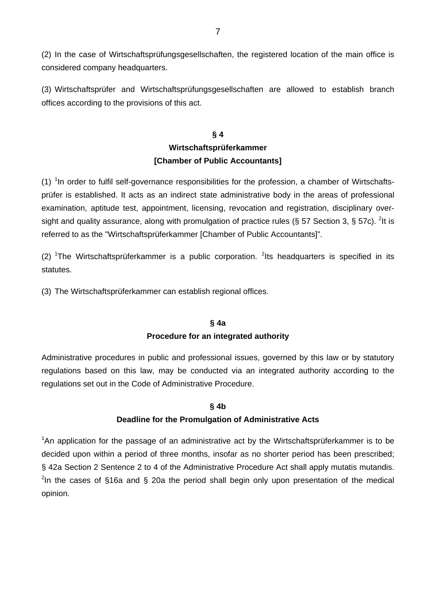(2) In the case of Wirtschaftsprüfungsgesellschaften, the registered location of the main office is considered company headquarters.

(3) Wirtschaftsprüfer and Wirtschaftsprüfungsgesellschaften are allowed to establish branch offices according to the provisions of this act.

## **§ 4 Wirtschaftsprüferkammer [Chamber of Public Accountants]**

 $(1)$  <sup>1</sup>In order to fulfil self-governance responsibilities for the profession, a chamber of Wirtschaftsprüfer is established. It acts as an indirect state administrative body in the areas of professional examination, aptitude test, appointment, licensing, revocation and registration, disciplinary oversight and quality assurance, along with promulgation of practice rules (§ 57 Section 3, § 57c). <sup>2</sup>It is referred to as the "Wirtschaftsprüferkammer [Chamber of Public Accountants]".

(2) <sup>1</sup>The Wirtschaftsprüferkammer is a public corporation. <sup>2</sup>lts headquarters is specified in its statutes.

(3) The Wirtschaftsprüferkammer can establish regional offices.

### **§ 4a**

### **Procedure for an integrated authority**

Administrative procedures in public and professional issues, governed by this law or by statutory regulations based on this law, may be conducted via an integrated authority according to the regulations set out in the Code of Administrative Procedure.

### **§ 4b**

### **Deadline for the Promulgation of Administrative Acts**

<sup>1</sup>An application for the passage of an administrative act by the Wirtschaftsprüferkammer is to be decided upon within a period of three months, insofar as no shorter period has been prescribed; § 42a Section 2 Sentence 2 to 4 of the Administrative Procedure Act shall apply mutatis mutandis. <sup>2</sup>In the cases of §16a and § 20a the period shall begin only upon presentation of the medical opinion.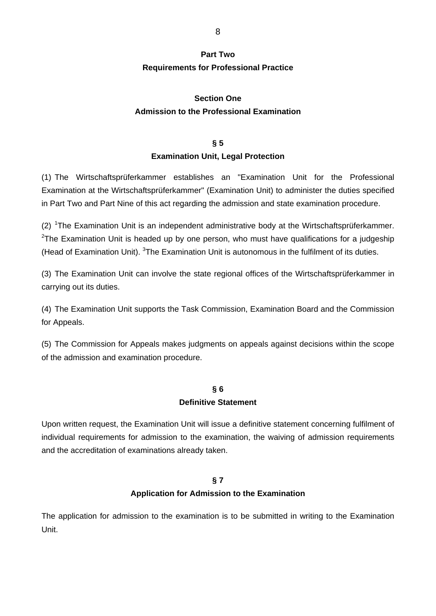## **Part Two Requirements for Professional Practice**

## **Section One Admission to the Professional Examination**

## **§ 5 Examination Unit, Legal Protection**

(1) The Wirtschaftsprüferkammer establishes an "Examination Unit for the Professional Examination at the Wirtschaftsprüferkammer" (Examination Unit) to administer the duties specified in Part Two and Part Nine of this act regarding the admission and state examination procedure.

 $(2)$  <sup>1</sup>The Examination Unit is an independent administrative body at the Wirtschaftsprüferkammer. <sup>2</sup>The Examination Unit is headed up by one person, who must have qualifications for a judgeship (Head of Examination Unit).  $3$ The Examination Unit is autonomous in the fulfilment of its duties.

(3) The Examination Unit can involve the state regional offices of the Wirtschaftsprüferkammer in carrying out its duties.

(4) The Examination Unit supports the Task Commission, Examination Board and the Commission for Appeals.

(5) The Commission for Appeals makes judgments on appeals against decisions within the scope of the admission and examination procedure.

## **§ 6 Definitive Statement**

Upon written request, the Examination Unit will issue a definitive statement concerning fulfilment of individual requirements for admission to the examination, the waiving of admission requirements and the accreditation of examinations already taken.

### **§ 7**

## **Application for Admission to the Examination**

The application for admission to the examination is to be submitted in writing to the Examination Unit.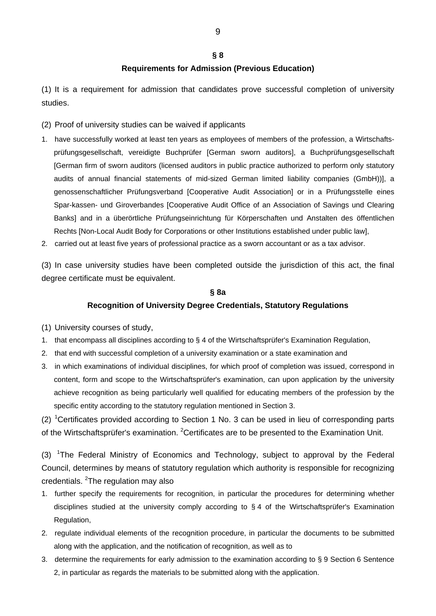#### **§ 8**

### **Requirements for Admission (Previous Education)**

(1) It is a requirement for admission that candidates prove successful completion of university studies.

- (2) Proof of university studies can be waived if applicants
- 1. have successfully worked at least ten years as employees of members of the profession, a Wirtschaftsprüfungsgesellschaft, vereidigte Buchprüfer [German sworn auditors], a Buchprüfungsgesellschaft [German firm of sworn auditors (licensed auditors in public practice authorized to perform only statutory audits of annual financial statements of mid-sized German limited liability companies (GmbH))], a genossenschaftlicher Prüfungsverband [Cooperative Audit Association] or in a Prüfungsstelle eines Spar-kassen- und Giroverbandes [Cooperative Audit Office of an Association of Savings und Clearing Banks] and in a überörtliche Prüfungseinrichtung für Körperschaften und Anstalten des öffentlichen Rechts [Non-Local Audit Body for Corporations or other Institutions established under public law],
- 2. carried out at least five years of professional practice as a sworn accountant or as a tax advisor.

(3) In case university studies have been completed outside the jurisdiction of this act, the final degree certificate must be equivalent.

#### **§ 8a**

#### **Recognition of University Degree Credentials, Statutory Regulations**

- (1) University courses of study,
- 1. that encompass all disciplines according to § 4 of the Wirtschaftsprüfer's Examination Regulation,
- 2. that end with successful completion of a university examination or a state examination and
- 3. in which examinations of individual disciplines, for which proof of completion was issued, correspond in content, form and scope to the Wirtschaftsprüfer's examination, can upon application by the university achieve recognition as being particularly well qualified for educating members of the profession by the specific entity according to the statutory regulation mentioned in Section 3.

(2) <sup>1</sup>Certificates provided according to Section 1 No. 3 can be used in lieu of corresponding parts of the Wirtschaftsprüfer's examination. <sup>2</sup>Certificates are to be presented to the Examination Unit.

(3) <sup>1</sup>The Federal Ministry of Economics and Technology, subject to approval by the Federal Council, determines by means of statutory regulation which authority is responsible for recognizing credentials. <sup>2</sup>The regulation may also

- 1. further specify the requirements for recognition, in particular the procedures for determining whether disciplines studied at the university comply according to § 4 of the Wirtschaftsprüfer's Examination Regulation,
- 2. regulate individual elements of the recognition procedure, in particular the documents to be submitted along with the application, and the notification of recognition, as well as to
- 3. determine the requirements for early admission to the examination according to § 9 Section 6 Sentence 2, in particular as regards the materials to be submitted along with the application.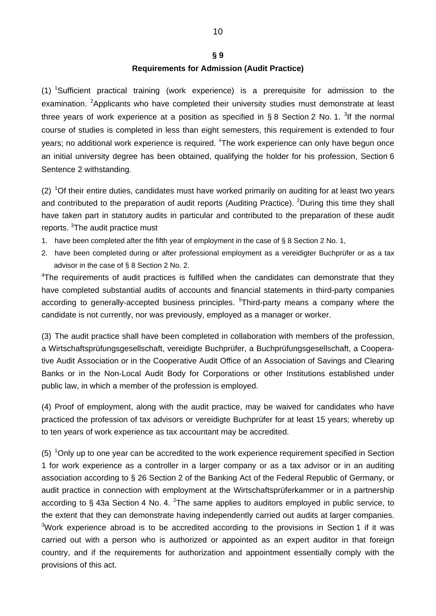#### **§ 9**

### **Requirements for Admission (Audit Practice)**

(1) <sup>1</sup>Sufficient practical training (work experience) is a prerequisite for admission to the examination. <sup>2</sup>Applicants who have completed their university studies must demonstrate at least three years of work experience at a position as specified in § 8 Section 2 No. 1. <sup>3</sup>If the normal course of studies is completed in less than eight semesters, this requirement is extended to four years; no additional work experience is required. <sup>4</sup>The work experience can only have begun once an initial university degree has been obtained, qualifying the holder for his profession, Section 6 Sentence 2 withstanding.

 $(2)$  <sup>1</sup>Of their entire duties, candidates must have worked primarily on auditing for at least two years and contributed to the preparation of audit reports (Auditing Practice). <sup>2</sup>During this time they shall have taken part in statutory audits in particular and contributed to the preparation of these audit reports. <sup>3</sup>The audit practice must

- 1. have been completed after the fifth year of employment in the case of § 8 Section 2 No. 1,
- 2. have been completed during or after professional employment as a vereidigter Buchprüfer or as a tax advisor in the case of § 8 Section 2 No. 2.

<sup>4</sup>The requirements of audit practices is fulfilled when the candidates can demonstrate that they have completed substantial audits of accounts and financial statements in third-party companies according to generally-accepted business principles. <sup>5</sup>Third-party means a company where the candidate is not currently, nor was previously, employed as a manager or worker.

(3) The audit practice shall have been completed in collaboration with members of the profession, a Wirtschaftsprüfungsgesellschaft, vereidigte Buchprüfer, a Buchprüfungsgesellschaft, a Cooperative Audit Association or in the Cooperative Audit Office of an Association of Savings and Clearing Banks or in the Non-Local Audit Body for Corporations or other Institutions established under public law, in which a member of the profession is employed.

(4) Proof of employment, along with the audit practice, may be waived for candidates who have practiced the profession of tax advisors or vereidigte Buchprüfer for at least 15 years; whereby up to ten years of work experience as tax accountant may be accredited.

 $(5)$  <sup>1</sup>Only up to one year can be accredited to the work experience requirement specified in Section 1 for work experience as a controller in a larger company or as a tax advisor or in an auditing association according to § 26 Section 2 of the Banking Act of the Federal Republic of Germany, or audit practice in connection with employment at the Wirtschaftsprüferkammer or in a partnership according to § 43a Section 4 No. 4.  $^{2}$ The same applies to auditors employed in public service, to the extent that they can demonstrate having independently carried out audits at larger companies.  $3$ Work experience abroad is to be accredited according to the provisions in Section 1 if it was carried out with a person who is authorized or appointed as an expert auditor in that foreign country, and if the requirements for authorization and appointment essentially comply with the provisions of this act.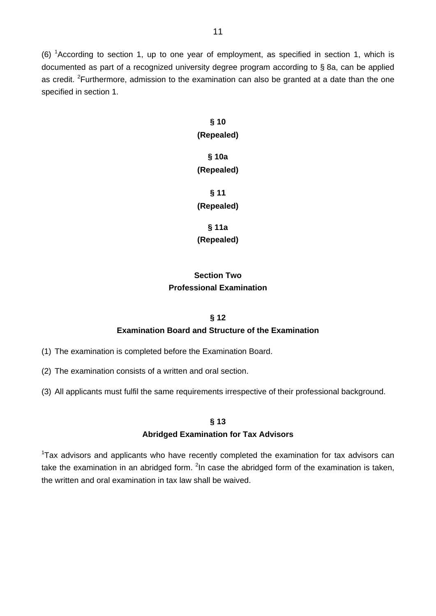(6) <sup>1</sup> According to section 1, up to one year of employment, as specified in section 1, which is documented as part of a recognized university degree program according to § 8a, can be applied as credit. <sup>2</sup>Furthermore, admission to the examination can also be granted at a date than the one specified in section 1.

# **§ 10 (Repealed) § 10a**

# **(Repealed)**

## **§ 11 (Repealed)**

**§ 11a** 

**(Repealed)** 

## **Section Two Professional Examination**

## **§ 12 Examination Board and Structure of the Examination**

- (1) The examination is completed before the Examination Board.
- (2) The examination consists of a written and oral section.
- (3) All applicants must fulfil the same requirements irrespective of their professional background.

### **§ 13**

## **Abridged Examination for Tax Advisors**

<sup>1</sup>Tax advisors and applicants who have recently completed the examination for tax advisors can take the examination in an abridged form. <sup>2</sup>In case the abridged form of the examination is taken, the written and oral examination in tax law shall be waived.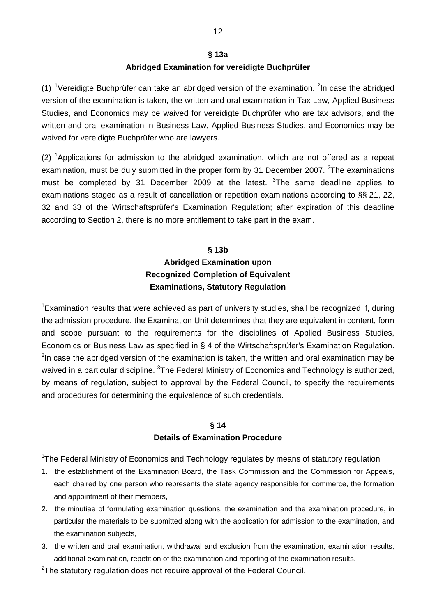### **§ 13a Abridged Examination for vereidigte Buchprüfer**

(1) <sup>1</sup>Vereidigte Buchprüfer can take an abridged version of the examination. <sup>2</sup>In case the abridged version of the examination is taken, the written and oral examination in Tax Law, Applied Business Studies, and Economics may be waived for vereidigte Buchprüfer who are tax advisors, and the written and oral examination in Business Law, Applied Business Studies, and Economics may be waived for vereidigte Buchprüfer who are lawyers.

 $(2)$  <sup>1</sup>Applications for admission to the abridged examination, which are not offered as a repeat examination, must be duly submitted in the proper form by 31 December 2007. <sup>2</sup>The examinations must be completed by 31 December 2009 at the latest. <sup>3</sup>The same deadline applies to examinations staged as a result of cancellation or repetition examinations according to §§ 21, 22, 32 and 33 of the Wirtschaftsprüfer's Examination Regulation; after expiration of this deadline according to Section 2, there is no more entitlement to take part in the exam.

## **§ 13b Abridged Examination upon Recognized Completion of Equivalent Examinations, Statutory Regulation**

<sup>1</sup> Examination results that were achieved as part of university studies, shall be recognized if, during the admission procedure, the Examination Unit determines that they are equivalent in content, form and scope pursuant to the requirements for the disciplines of Applied Business Studies, Economics or Business Law as specified in § 4 of the Wirtschaftsprüfer's Examination Regulation.  $2$ In case the abridged version of the examination is taken, the written and oral examination may be waived in a particular discipline. <sup>3</sup>The Federal Ministry of Economics and Technology is authorized, by means of regulation, subject to approval by the Federal Council, to specify the requirements and procedures for determining the equivalence of such credentials.

### **§ 14 Details of Examination Procedure**

<sup>1</sup>The Federal Ministry of Economics and Technology regulates by means of statutory regulation

- 1. the establishment of the Examination Board, the Task Commission and the Commission for Appeals, each chaired by one person who represents the state agency responsible for commerce, the formation and appointment of their members,
- 2. the minutiae of formulating examination questions, the examination and the examination procedure, in particular the materials to be submitted along with the application for admission to the examination, and the examination subjects,
- 3. the written and oral examination, withdrawal and exclusion from the examination, examination results, additional examination, repetition of the examination and reporting of the examination results.

 $2$ The statutory regulation does not require approval of the Federal Council.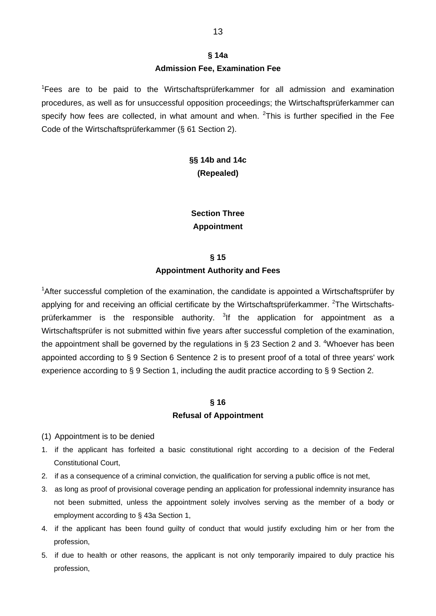<sup>1</sup>Fees are to be paid to the Wirtschaftsprüferkammer for all admission and examination procedures, as well as for unsuccessful opposition proceedings; the Wirtschaftsprüferkammer can specify how fees are collected, in what amount and when.  $2$ This is further specified in the Fee Code of the Wirtschaftsprüferkammer (§ 61 Section 2).

## **§§ 14b and 14c (Repealed)**

**Section Three Appointment** 

## **§ 15 Appointment Authority and Fees**

<sup>1</sup>After successful completion of the examination, the candidate is appointed a Wirtschaftsprüfer by applying for and receiving an official certificate by the Wirtschaftsprüferkammer. <sup>2</sup>The Wirtschaftsprüferkammer is the responsible authority. <sup>3</sup>If the application for appointment as a Wirtschaftsprüfer is not submitted within five years after successful completion of the examination, the appointment shall be governed by the regulations in § 23 Section 2 and 3.  $\textsuperscript{4}$ Whoever has been appointed according to § 9 Section 6 Sentence 2 is to present proof of a total of three years' work experience according to § 9 Section 1, including the audit practice according to § 9 Section 2.

### **§ 16**

### **Refusal of Appointment**

- (1) Appointment is to be denied
- 1. if the applicant has forfeited a basic constitutional right according to a decision of the Federal Constitutional Court,
- 2. if as a consequence of a criminal conviction, the qualification for serving a public office is not met,
- 3. as long as proof of provisional coverage pending an application for professional indemnity insurance has not been submitted, unless the appointment solely involves serving as the member of a body or employment according to § 43a Section 1,
- 4. if the applicant has been found guilty of conduct that would justify excluding him or her from the profession,
- 5. if due to health or other reasons, the applicant is not only temporarily impaired to duly practice his profession,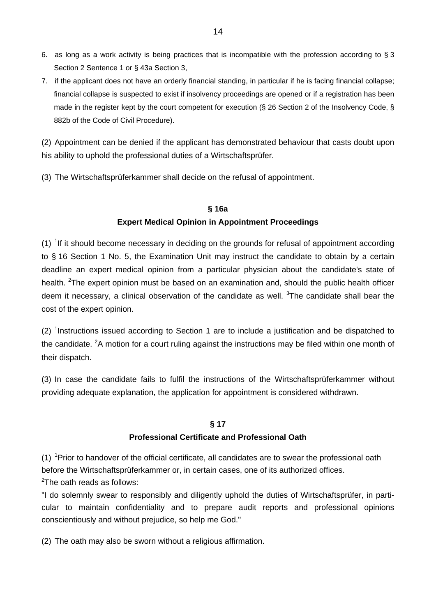- 6. as long as a work activity is being practices that is incompatible with the profession according to § 3 Section 2 Sentence 1 or § 43a Section 3,
- 7. if the applicant does not have an orderly financial standing, in particular if he is facing financial collapse; financial collapse is suspected to exist if insolvency proceedings are opened or if a registration has been made in the register kept by the court competent for execution (§ 26 Section 2 of the Insolvency Code, § 882b of the Code of Civil Procedure).

(2) Appointment can be denied if the applicant has demonstrated behaviour that casts doubt upon his ability to uphold the professional duties of a Wirtschaftsprüfer.

(3) The Wirtschaftsprüferkammer shall decide on the refusal of appointment.

### **§ 16a**

### **Expert Medical Opinion in Appointment Proceedings**

 $(1)$  <sup>1</sup>If it should become necessary in deciding on the grounds for refusal of appointment according to § 16 Section 1 No. 5, the Examination Unit may instruct the candidate to obtain by a certain deadline an expert medical opinion from a particular physician about the candidate's state of health. <sup>2</sup>The expert opinion must be based on an examination and, should the public health officer deem it necessary, a clinical observation of the candidate as well.  $3$ The candidate shall bear the cost of the expert opinion.

 $(2)$  <sup>1</sup>Instructions issued according to Section 1 are to include a justification and be dispatched to the candidate. <sup>2</sup>A motion for a court ruling against the instructions may be filed within one month of their dispatch.

(3) In case the candidate fails to fulfil the instructions of the Wirtschaftsprüferkammer without providing adequate explanation, the application for appointment is considered withdrawn.

### **§ 17**

### **Professional Certificate and Professional Oath**

 $(1)$  <sup>1</sup> Prior to handover of the official certificate, all candidates are to swear the professional oath before the Wirtschaftsprüferkammer or, in certain cases, one of its authorized offices.

 $2$ The oath reads as follows:

"I do solemnly swear to responsibly and diligently uphold the duties of Wirtschaftsprüfer, in particular to maintain confidentiality and to prepare audit reports and professional opinions conscientiously and without prejudice, so help me God."

(2) The oath may also be sworn without a religious affirmation.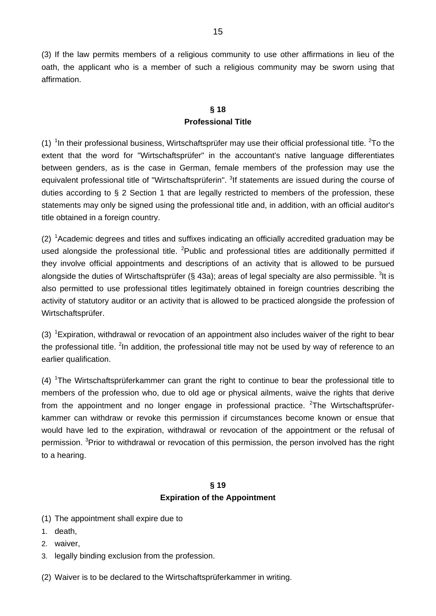(3) If the law permits members of a religious community to use other affirmations in lieu of the oath, the applicant who is a member of such a religious community may be sworn using that affirmation.

## **§ 18 Professional Title**

(1)  $1$ n their professional business, Wirtschaftsprüfer may use their official professional title.  $2$ To the extent that the word for "Wirtschaftsprüfer" in the accountant's native language differentiates between genders, as is the case in German, female members of the profession may use the equivalent professional title of "Wirtschaftsprüferin". <sup>3</sup>If statements are issued during the course of duties according to § 2 Section 1 that are legally restricted to members of the profession, these statements may only be signed using the professional title and, in addition, with an official auditor's title obtained in a foreign country.

 $(2)$  <sup>1</sup> Academic degrees and titles and suffixes indicating an officially accredited graduation may be used alongside the professional title. <sup>2</sup>Public and professional titles are additionally permitted if they involve official appointments and descriptions of an activity that is allowed to be pursued alongside the duties of Wirtschaftsprüfer (§ 43a); areas of legal specialty are also permissible.  $^3$ lt is also permitted to use professional titles legitimately obtained in foreign countries describing the activity of statutory auditor or an activity that is allowed to be practiced alongside the profession of Wirtschaftsprüfer.

(3)  ${}^{1}$ Expiration, withdrawal or revocation of an appointment also includes waiver of the right to bear the professional title. <sup>2</sup>In addition, the professional title may not be used by way of reference to an earlier qualification.

 $(4)$  <sup>1</sup>The Wirtschaftsprüferkammer can grant the right to continue to bear the professional title to members of the profession who, due to old age or physical ailments, waive the rights that derive from the appointment and no longer engage in professional practice. <sup>2</sup>The Wirtschaftsprüferkammer can withdraw or revoke this permission if circumstances become known or ensue that would have led to the expiration, withdrawal or revocation of the appointment or the refusal of permission. <sup>3</sup>Prior to withdrawal or revocation of this permission, the person involved has the right to a hearing.

## **§ 19 Expiration of the Appointment**

- (1) The appointment shall expire due to
- 1. death,
- 2. waiver,
- 3. legally binding exclusion from the profession.
- (2) Waiver is to be declared to the Wirtschaftsprüferkammer in writing.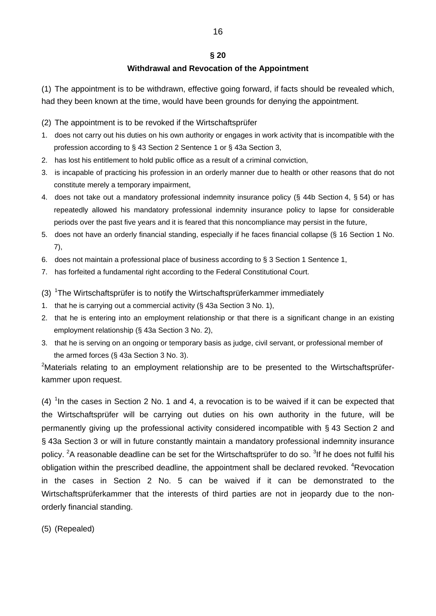### **§ 20**

### **Withdrawal and Revocation of the Appointment**

(1) The appointment is to be withdrawn, effective going forward, if facts should be revealed which, had they been known at the time, would have been grounds for denying the appointment.

- (2) The appointment is to be revoked if the Wirtschaftsprüfer
- 1. does not carry out his duties on his own authority or engages in work activity that is incompatible with the profession according to § 43 Section 2 Sentence 1 or § 43a Section 3,
- 2. has lost his entitlement to hold public office as a result of a criminal conviction,
- 3. is incapable of practicing his profession in an orderly manner due to health or other reasons that do not constitute merely a temporary impairment,
- 4. does not take out a mandatory professional indemnity insurance policy (§ 44b Section 4, § 54) or has repeatedly allowed his mandatory professional indemnity insurance policy to lapse for considerable periods over the past five years and it is feared that this noncompliance may persist in the future,
- 5. does not have an orderly financial standing, especially if he faces financial collapse (§ 16 Section 1 No. 7),
- 6. does not maintain a professional place of business according to § 3 Section 1 Sentence 1,
- 7. has forfeited a fundamental right according to the Federal Constitutional Court.
- (3)  $1$ The Wirtschaftsprüfer is to notify the Wirtschaftsprüferkammer immediately
- 1. that he is carrying out a commercial activity (§ 43a Section 3 No. 1),
- 2. that he is entering into an employment relationship or that there is a significant change in an existing employment relationship (§ 43a Section 3 No. 2),
- 3. that he is serving on an ongoing or temporary basis as judge, civil servant, or professional member of the armed forces (§ 43a Section 3 No. 3).

<sup>2</sup>Materials relating to an employment relationship are to be presented to the Wirtschaftsprüferkammer upon request.

 $(4)$ <sup>1</sup> In the cases in Section 2 No. 1 and 4, a revocation is to be waived if it can be expected that the Wirtschaftsprüfer will be carrying out duties on his own authority in the future, will be permanently giving up the professional activity considered incompatible with § 43 Section 2 and § 43a Section 3 or will in future constantly maintain a mandatory professional indemnity insurance policy. <sup>2</sup>A reasonable deadline can be set for the Wirtschaftsprüfer to do so. <sup>3</sup>If he does not fulfil his obligation within the prescribed deadline, the appointment shall be declared revoked. <sup>4</sup>Revocation in the cases in Section 2 No. 5 can be waived if it can be demonstrated to the Wirtschaftsprüferkammer that the interests of third parties are not in jeopardy due to the nonorderly financial standing.

(5) (Repealed)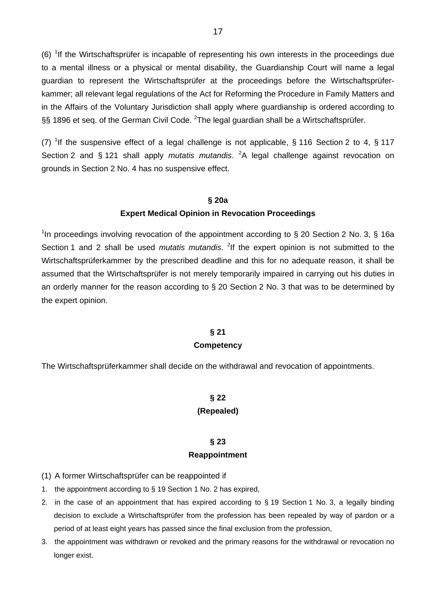$(6)$ <sup>1</sup>If the Wirtschaftsprüfer is incapable of representing his own interests in the proceedings due to a mental illness or a physical or mental disability, the Guardianship Court will name a legal guardian to represent the Wirtschaftsprüfer at the proceedings before the Wirtschaftsprüferkammer; all relevant legal regulations of the Act for Reforming the Procedure in Family Matters and in the Affairs of the Voluntary Jurisdiction shall apply where guardianship is ordered according to §§ 1896 et seq. of the German Civil Code.  $^{2}$ The legal guardian shall be a Wirtschaftsprüfer.

(7) <sup>1</sup>If the suspensive effect of a legal challenge is not applicable, § 116 Section 2 to 4, § 117 Section 2 and § 121 shall apply *mutatis mutandis*. <sup>2</sup>A legal challenge against revocation on grounds in Section 2 No. 4 has no suspensive effect.

#### **§ 20a**

#### **Expert Medical Opinion in Revocation Proceedings**

<sup>1</sup>In proceedings involving revocation of the appointment according to  $\S 20$  Section 2 No. 3,  $\S 16a$ Section 1 and 2 shall be used *mutatis mutandis*. <sup>2</sup>If the expert opinion is not submitted to the Wirtschaftsprüferkammer by the prescribed deadline and this for no adequate reason, it shall be assumed that the Wirtschaftsprüfer is not merely temporarily impaired in carrying out his duties in an orderly manner for the reason according to § 20 Section 2 No. 3 that was to be determined by the expert opinion.

#### **§ 21**

#### **Competency**

The Wirtschaftsprüferkammer shall decide on the withdrawal and revocation of appointments.

### **§ 22**

#### **(Repealed)**

### **§ 23 Reappointment**

- (1) A former Wirtschaftsprüfer can be reappointed if
- 1. the appointment according to § 19 Section 1 No. 2 has expired,
- 2. in the case of an appointment that has expired according to § 19 Section 1 No. 3, a legally binding decision to exclude a Wirtschaftsprüfer from the profession has been repealed by way of pardon or a period of at least eight years has passed since the final exclusion from the profession,
- 3. the appointment was withdrawn or revoked and the primary reasons for the withdrawal or revocation no longer exist.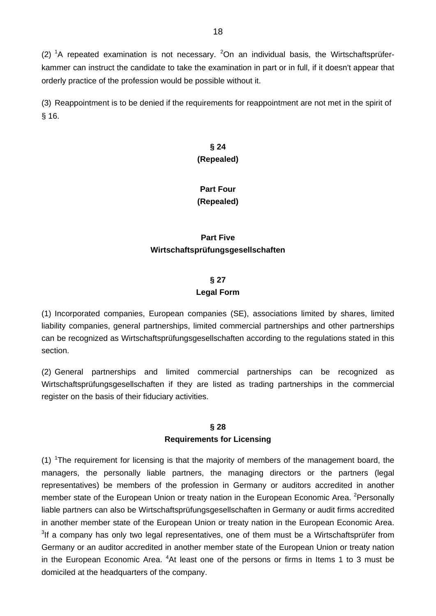(2)  ${}^{1}$ A repeated examination is not necessary.  ${}^{2}$ On an individual basis, the Wirtschaftsprüferkammer can instruct the candidate to take the examination in part or in full, if it doesn't appear that orderly practice of the profession would be possible without it.

(3) Reappointment is to be denied if the requirements for reappointment are not met in the spirit of § 16.

## **§ 24 (Repealed)**

## **Part Four (Repealed)**

## **Part Five Wirtschaftsprüfungsgesellschaften**

## **§ 27 Legal Form**

(1) Incorporated companies, European companies (SE), associations limited by shares, limited liability companies, general partnerships, limited commercial partnerships and other partnerships can be recognized as Wirtschaftsprüfungsgesellschaften according to the regulations stated in this section.

(2) General partnerships and limited commercial partnerships can be recognized as Wirtschaftsprüfungsgesellschaften if they are listed as trading partnerships in the commercial register on the basis of their fiduciary activities.

### **§ 28 Requirements for Licensing**

 $(1)$  <sup>1</sup>The requirement for licensing is that the majority of members of the management board, the managers, the personally liable partners, the managing directors or the partners (legal representatives) be members of the profession in Germany or auditors accredited in another member state of the European Union or treaty nation in the European Economic Area. <sup>2</sup>Personally liable partners can also be Wirtschaftsprüfungsgesellschaften in Germany or audit firms accredited in another member state of the European Union or treaty nation in the European Economic Area.  $3$ If a company has only two legal representatives, one of them must be a Wirtschaftsprüfer from Germany or an auditor accredited in another member state of the European Union or treaty nation in the European Economic Area. <sup>4</sup>At least one of the persons or firms in Items 1 to 3 must be domiciled at the headquarters of the company.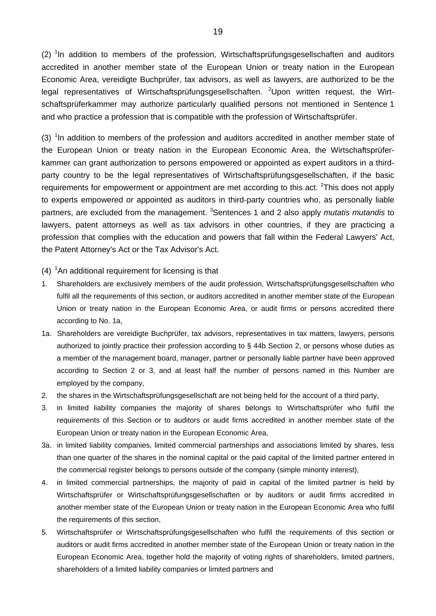$(2)$ <sup>1</sup>In addition to members of the profession, Wirtschaftsprüfungsgesellschaften and auditors accredited in another member state of the European Union or treaty nation in the European Economic Area, vereidigte Buchprüfer, tax advisors, as well as lawyers, are authorized to be the legal representatives of Wirtschaftsprüfungsgesellschaften. <sup>2</sup>Upon written request, the Wirtschaftsprüferkammer may authorize particularly qualified persons not mentioned in Sentence 1 and who practice a profession that is compatible with the profession of Wirtschaftsprüfer.

 $(3)$  <sup>1</sup>In addition to members of the profession and auditors accredited in another member state of the European Union or treaty nation in the European Economic Area, the Wirtschaftsprüferkammer can grant authorization to persons empowered or appointed as expert auditors in a thirdparty country to be the legal representatives of Wirtschaftsprüfungsgesellschaften, if the basic requirements for empowerment or appointment are met according to this act.  ${}^{2}$ This does not apply to experts empowered or appointed as auditors in third-party countries who, as personally liable partners, are excluded from the management. <sup>3</sup>Sentences 1 and 2 also apply *mutatis mutandis* to lawyers, patent attorneys as well as tax advisors in other countries, if they are practicing a profession that complies with the education and powers that fall within the Federal Lawyers' Act, the Patent Attorney's Act or the Tax Advisor's Act.

- $(4)$  <sup>1</sup>An additional requirement for licensing is that
- 1. Shareholders are exclusively members of the audit profession, Wirtschaftsprüfungsgesellschaften who fulfil all the requirements of this section, or auditors accredited in another member state of the European Union or treaty nation in the European Economic Area, or audit firms or persons accredited there according to No. 1a,
- 1a. Shareholders are vereidigte Buchprüfer, tax advisors, representatives in tax matters, lawyers, persons authorized to jointly practice their profession according to § 44b Section 2, or persons whose duties as a member of the management board, manager, partner or personally liable partner have been approved according to Section 2 or 3, and at least half the number of persons named in this Number are employed by the company,
- 2. the shares in the Wirtschaftsprüfungsgesellschaft are not being held for the account of a third party,
- 3. in limited liability companies the majority of shares belongs to Wirtschaftsprüfer who fulfil the requirements of this Section or to auditors or audit firms accredited in another member state of the European Union or treaty nation in the European Economic Area,
- 3a. in limited liability companies, limited commercial partnerships and associations limited by shares, less than one quarter of the shares in the nominal capital or the paid capital of the limited partner entered in the commercial register belongs to persons outside of the company (simple minority interest),
- 4. in limited commercial partnerships, the majority of paid in capital of the limited partner is held by Wirtschaftsprüfer or Wirtschaftsprüfungsgesellschaften or by auditors or audit firms accredited in another member state of the European Union or treaty nation in the European Economic Area who fulfil the requirements of this section,
- 5. Wirtschaftsprüfer or Wirtschaftsprüfungsgesellschaften who fulfil the requirements of this section or auditors or audit firms accredited in another member state of the European Union or treaty nation in the European Economic Area, together hold the majority of voting rights of shareholders, limited partners, shareholders of a limited liability companies or limited partners and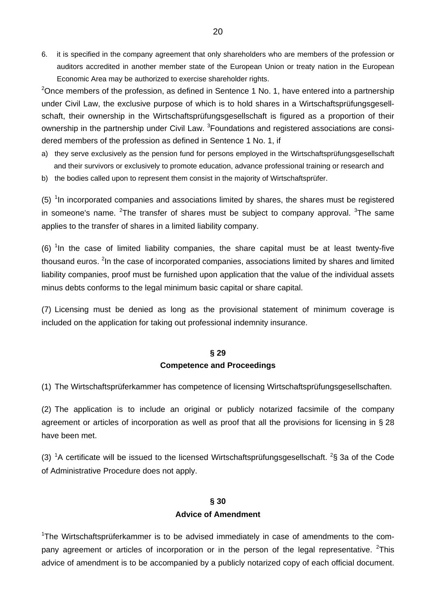6. it is specified in the company agreement that only shareholders who are members of the profession or auditors accredited in another member state of the European Union or treaty nation in the European Economic Area may be authorized to exercise shareholder rights.

<sup>2</sup>Once members of the profession, as defined in Sentence 1 No. 1, have entered into a partnership under Civil Law, the exclusive purpose of which is to hold shares in a Wirtschaftsprüfungsgesellschaft, their ownership in the Wirtschaftsprüfungsgesellschaft is figured as a proportion of their ownership in the partnership under Civil Law. <sup>3</sup>Foundations and registered associations are considered members of the profession as defined in Sentence 1 No. 1, if

- a) they serve exclusively as the pension fund for persons employed in the Wirtschaftsprüfungsgesellschaft and their survivors or exclusively to promote education, advance professional training or research and
- b) the bodies called upon to represent them consist in the majority of Wirtschaftsprüfer.

 $(5)$  <sup>1</sup>In incorporated companies and associations limited by shares, the shares must be registered in someone's name. <sup>2</sup>The transfer of shares must be subject to company approval. <sup>3</sup>The same applies to the transfer of shares in a limited liability company.

 $(6)$  <sup>1</sup> In the case of limited liability companies, the share capital must be at least twenty-five thousand euros. <sup>2</sup>In the case of incorporated companies, associations limited by shares and limited liability companies, proof must be furnished upon application that the value of the individual assets minus debts conforms to the legal minimum basic capital or share capital.

(7) Licensing must be denied as long as the provisional statement of minimum coverage is included on the application for taking out professional indemnity insurance.

### **§ 29 Competence and Proceedings**

(1) The Wirtschaftsprüferkammer has competence of licensing Wirtschaftsprüfungsgesellschaften.

(2) The application is to include an original or publicly notarized facsimile of the company agreement or articles of incorporation as well as proof that all the provisions for licensing in § 28 have been met.

(3) <sup>1</sup>A certificate will be issued to the licensed Wirtschaftsprüfungsgesellschaft. <sup>2</sup>§ 3a of the Code of Administrative Procedure does not apply.

### **§ 30 Advice of Amendment**

<sup>1</sup>The Wirtschaftsprüferkammer is to be advised immediately in case of amendments to the company agreement or articles of incorporation or in the person of the legal representative. <sup>2</sup>This advice of amendment is to be accompanied by a publicly notarized copy of each official document.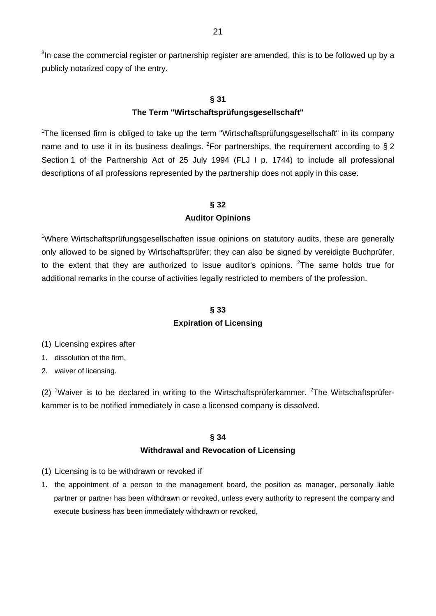$3$ In case the commercial register or partnership register are amended, this is to be followed up by a publicly notarized copy of the entry.

#### **§ 31**

#### **The Term "Wirtschaftsprüfungsgesellschaft"**

<sup>1</sup>The licensed firm is obliged to take up the term "Wirtschaftsprüfungsgesellschaft" in its company name and to use it in its business dealings. <sup>2</sup> For partnerships, the requirement according to § 2 Section 1 of the Partnership Act of 25 July 1994 (FLJ I p. 1744) to include all professional descriptions of all professions represented by the partnership does not apply in this case.

## **§ 32**

### **Auditor Opinions**

<sup>1</sup>Where Wirtschaftsprüfungsgesellschaften issue opinions on statutory audits, these are generally only allowed to be signed by Wirtschaftsprüfer; they can also be signed by vereidigte Buchprüfer, to the extent that they are authorized to issue auditor's opinions.  $2$ The same holds true for additional remarks in the course of activities legally restricted to members of the profession.

### **§ 33**

### **Expiration of Licensing**

- (1) Licensing expires after
- 1. dissolution of the firm,
- 2. waiver of licensing.

(2) <sup>1</sup>Waiver is to be declared in writing to the Wirtschaftsprüferkammer. <sup>2</sup>The Wirtschaftsprüferkammer is to be notified immediately in case a licensed company is dissolved.

#### **§ 34**

### **Withdrawal and Revocation of Licensing**

- (1) Licensing is to be withdrawn or revoked if
- 1. the appointment of a person to the management board, the position as manager, personally liable partner or partner has been withdrawn or revoked, unless every authority to represent the company and execute business has been immediately withdrawn or revoked,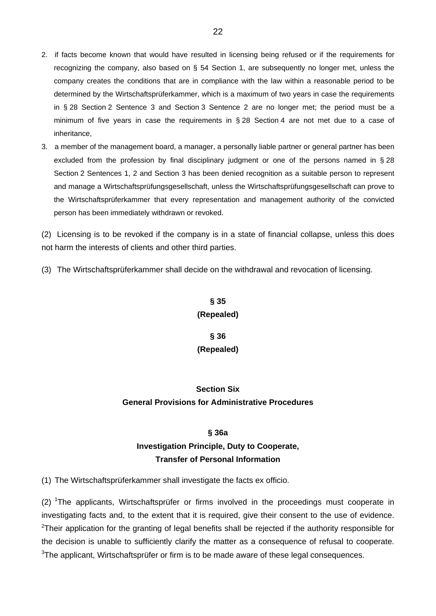- 2. if facts become known that would have resulted in licensing being refused or if the requirements for recognizing the company, also based on § 54 Section 1, are subsequently no longer met, unless the company creates the conditions that are in compliance with the law within a reasonable period to be determined by the Wirtschaftsprüferkammer, which is a maximum of two years in case the requirements in § 28 Section 2 Sentence 3 and Section 3 Sentence 2 are no longer met; the period must be a minimum of five years in case the requirements in § 28 Section 4 are not met due to a case of inheritance,
- 3. a member of the management board, a manager, a personally liable partner or general partner has been excluded from the profession by final disciplinary judgment or one of the persons named in § 28 Section 2 Sentences 1, 2 and Section 3 has been denied recognition as a suitable person to represent and manage a Wirtschaftsprüfungsgesellschaft, unless the Wirtschaftsprüfungsgesellschaft can prove to the Wirtschaftsprüferkammer that every representation and management authority of the convicted person has been immediately withdrawn or revoked.

(2) Licensing is to be revoked if the company is in a state of financial collapse, unless this does not harm the interests of clients and other third parties.

(3) The Wirtschaftsprüferkammer shall decide on the withdrawal and revocation of licensing.

**§ 35 (Repealed)** 

**§ 36 (Repealed)** 

## **Section Six General Provisions for Administrative Procedures**

#### **§ 36a**

## **Investigation Principle, Duty to Cooperate, Transfer of Personal Information**

(1) The Wirtschaftsprüferkammer shall investigate the facts ex officio.

 $(2)$  <sup>1</sup>The applicants, Wirtschaftsprüfer or firms involved in the proceedings must cooperate in investigating facts and, to the extent that it is required, give their consent to the use of evidence. <sup>2</sup>Their application for the granting of legal benefits shall be rejected if the authority responsible for the decision is unable to sufficiently clarify the matter as a consequence of refusal to cooperate.  $3$ The applicant, Wirtschaftsprüfer or firm is to be made aware of these legal consequences.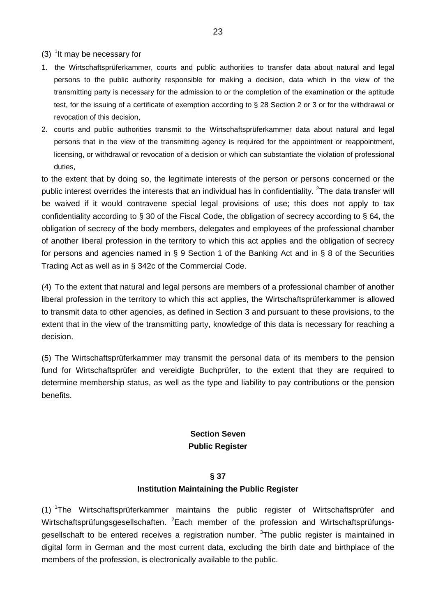$(3)$  <sup>1</sup>lt may be necessary for

- 1. the Wirtschaftsprüferkammer, courts and public authorities to transfer data about natural and legal persons to the public authority responsible for making a decision, data which in the view of the transmitting party is necessary for the admission to or the completion of the examination or the aptitude test, for the issuing of a certificate of exemption according to § 28 Section 2 or 3 or for the withdrawal or revocation of this decision,
- 2. courts and public authorities transmit to the Wirtschaftsprüferkammer data about natural and legal persons that in the view of the transmitting agency is required for the appointment or reappointment, licensing, or withdrawal or revocation of a decision or which can substantiate the violation of professional duties,

to the extent that by doing so, the legitimate interests of the person or persons concerned or the public interest overrides the interests that an individual has in confidentiality. <sup>2</sup>The data transfer will be waived if it would contravene special legal provisions of use; this does not apply to tax confidentiality according to § 30 of the Fiscal Code, the obligation of secrecy according to § 64, the obligation of secrecy of the body members, delegates and employees of the professional chamber of another liberal profession in the territory to which this act applies and the obligation of secrecy for persons and agencies named in § 9 Section 1 of the Banking Act and in § 8 of the Securities Trading Act as well as in § 342c of the Commercial Code.

(4) To the extent that natural and legal persons are members of a professional chamber of another liberal profession in the territory to which this act applies, the Wirtschaftsprüferkammer is allowed to transmit data to other agencies, as defined in Section 3 and pursuant to these provisions, to the extent that in the view of the transmitting party, knowledge of this data is necessary for reaching a decision.

(5) The Wirtschaftsprüferkammer may transmit the personal data of its members to the pension fund for Wirtschaftsprüfer and vereidigte Buchprüfer, to the extent that they are required to determine membership status, as well as the type and liability to pay contributions or the pension benefits.

### **Section Seven Public Register**

### **§ 37**

### **Institution Maintaining the Public Register**

(1) <sup>1</sup>The Wirtschaftsprüferkammer maintains the public register of Wirtschaftsprüfer and Wirtschaftsprüfungsgesellschaften. <sup>2</sup>Each member of the profession and Wirtschaftsprüfungsgesellschaft to be entered receives a registration number. <sup>3</sup>The public register is maintained in digital form in German and the most current data, excluding the birth date and birthplace of the members of the profession, is electronically available to the public.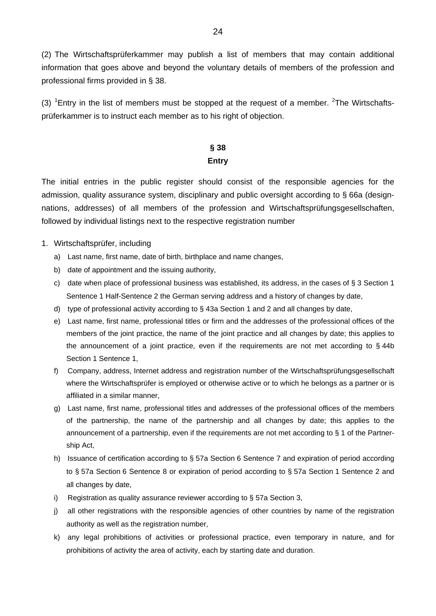(2) The Wirtschaftsprüferkammer may publish a list of members that may contain additional information that goes above and beyond the voluntary details of members of the profession and professional firms provided in § 38.

(3)  ${}^{1}$ Entry in the list of members must be stopped at the request of a member.  ${}^{2}$ The Wirtschaftsprüferkammer is to instruct each member as to his right of objection.

## **§ 38 Entry**

The initial entries in the public register should consist of the responsible agencies for the admission, quality assurance system, disciplinary and public oversight according to § 66a (designnations, addresses) of all members of the profession and Wirtschaftsprüfungsgesellschaften, followed by individual listings next to the respective registration number

- 1. Wirtschaftsprüfer, including
	- a) Last name, first name, date of birth, birthplace and name changes,
	- b) date of appointment and the issuing authority,
	- c) date when place of professional business was established, its address, in the cases of  $\S 3$  Section 1 Sentence 1 Half-Sentence 2 the German serving address and a history of changes by date,
	- d) type of professional activity according to § 43a Section 1 and 2 and all changes by date,
	- e) Last name, first name, professional titles or firm and the addresses of the professional offices of the members of the joint practice, the name of the joint practice and all changes by date; this applies to the announcement of a joint practice, even if the requirements are not met according to § 44b Section 1 Sentence 1,
	- f) Company, address, Internet address and registration number of the Wirtschaftsprüfungsgesellschaft where the Wirtschaftsprüfer is employed or otherwise active or to which he belongs as a partner or is affiliated in a similar manner,
	- g) Last name, first name, professional titles and addresses of the professional offices of the members of the partnership, the name of the partnership and all changes by date; this applies to the announcement of a partnership, even if the requirements are not met according to § 1 of the Partnership Act,
	- h) Issuance of certification according to § 57a Section 6 Sentence 7 and expiration of period according to § 57a Section 6 Sentence 8 or expiration of period according to § 57a Section 1 Sentence 2 and all changes by date,
	- i) Registration as quality assurance reviewer according to § 57a Section 3,
	- j) all other registrations with the responsible agencies of other countries by name of the registration authority as well as the registration number,
	- k) any legal prohibitions of activities or professional practice, even temporary in nature, and for prohibitions of activity the area of activity, each by starting date and duration.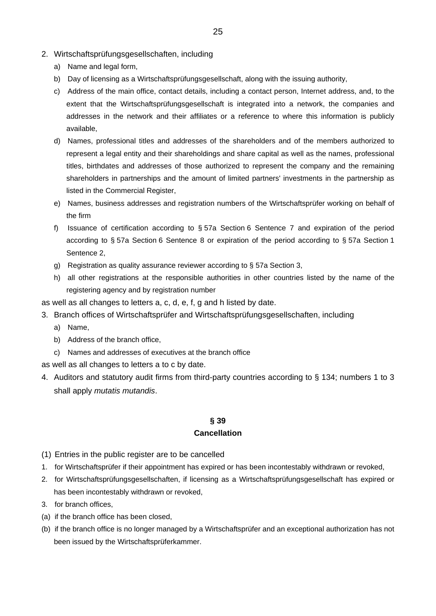- 2. Wirtschaftsprüfungsgesellschaften, including
	- a) Name and legal form,
	- b) Day of licensing as a Wirtschaftsprüfungsgesellschaft, along with the issuing authority,
	- c) Address of the main office, contact details, including a contact person, Internet address, and, to the extent that the Wirtschaftsprüfungsgesellschaft is integrated into a network, the companies and addresses in the network and their affiliates or a reference to where this information is publicly available,
	- d) Names, professional titles and addresses of the shareholders and of the members authorized to represent a legal entity and their shareholdings and share capital as well as the names, professional titles, birthdates and addresses of those authorized to represent the company and the remaining shareholders in partnerships and the amount of limited partners' investments in the partnership as listed in the Commercial Register,
	- e) Names, business addresses and registration numbers of the Wirtschaftsprüfer working on behalf of the firm
	- f) Issuance of certification according to § 57a Section 6 Sentence 7 and expiration of the period according to § 57a Section 6 Sentence 8 or expiration of the period according to § 57a Section 1 Sentence 2,
	- g) Registration as quality assurance reviewer according to § 57a Section 3,
	- h) all other registrations at the responsible authorities in other countries listed by the name of the registering agency and by registration number
- as well as all changes to letters a, c, d, e, f, g and h listed by date.
- 3. Branch offices of Wirtschaftsprüfer and Wirtschaftsprüfungsgesellschaften, including
	- a) Name,
	- b) Address of the branch office,
	- c) Names and addresses of executives at the branch office
- as well as all changes to letters a to c by date.
- 4. Auditors and statutory audit firms from third-party countries according to § 134; numbers 1 to 3 shall apply *mutatis mutandis*.

### **§ 39 Cancellation**

- (1) Entries in the public register are to be cancelled
- 1. for Wirtschaftsprüfer if their appointment has expired or has been incontestably withdrawn or revoked,
- 2. for Wirtschaftsprüfungsgesellschaften, if licensing as a Wirtschaftsprüfungsgesellschaft has expired or has been incontestably withdrawn or revoked,
- 3. for branch offices,
- (a) if the branch office has been closed,
- (b) if the branch office is no longer managed by a Wirtschaftsprüfer and an exceptional authorization has not been issued by the Wirtschaftsprüferkammer.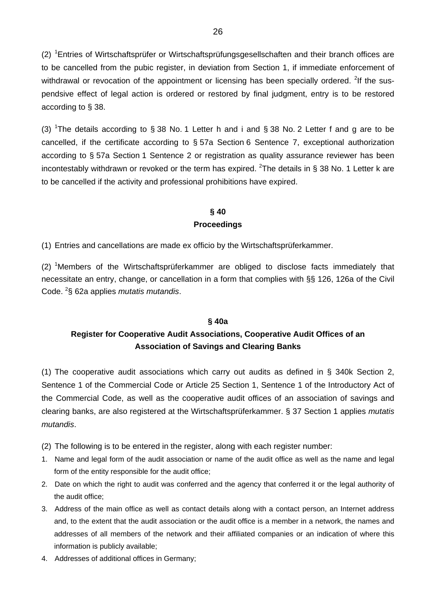(2) <sup>1</sup>Entries of Wirtschaftsprüfer or Wirtschaftsprüfungsgesellschaften and their branch offices are to be cancelled from the pubic register, in deviation from Section 1, if immediate enforcement of withdrawal or revocation of the appointment or licensing has been specially ordered. <sup>2</sup>If the suspendsive effect of legal action is ordered or restored by final judgment, entry is to be restored according to § 38.

(3) <sup>1</sup>The details according to § 38 No. 1 Letter h and i and § 38 No. 2 Letter f and g are to be cancelled, if the certificate according to § 57a Section 6 Sentence 7, exceptional authorization according to § 57a Section 1 Sentence 2 or registration as quality assurance reviewer has been incontestably withdrawn or revoked or the term has expired. <sup>2</sup>The details in § 38 No. 1 Letter k are to be cancelled if the activity and professional prohibitions have expired.

## **§ 40 Proceedings**

(1) Entries and cancellations are made ex officio by the Wirtschaftsprüferkammer.

(2) <sup>1</sup>Members of the Wirtschaftsprüferkammer are obliged to disclose facts immediately that necessitate an entry, change, or cancellation in a form that complies with §§ 126, 126a of the Civil Code. <sup>2</sup> § 62a applies *mutatis mutandis*.

#### **§ 40a**

## **Register for Cooperative Audit Associations, Cooperative Audit Offices of an Association of Savings and Clearing Banks**

(1) The cooperative audit associations which carry out audits as defined in § 340k Section 2, Sentence 1 of the Commercial Code or Article 25 Section 1, Sentence 1 of the Introductory Act of the Commercial Code, as well as the cooperative audit offices of an association of savings and clearing banks, are also registered at the Wirtschaftsprüferkammer. § 37 Section 1 applies *mutatis mutandis*.

- (2) The following is to be entered in the register, along with each register number:
- 1. Name and legal form of the audit association or name of the audit office as well as the name and legal form of the entity responsible for the audit office;
- 2. Date on which the right to audit was conferred and the agency that conferred it or the legal authority of the audit office;
- 3. Address of the main office as well as contact details along with a contact person, an Internet address and, to the extent that the audit association or the audit office is a member in a network, the names and addresses of all members of the network and their affiliated companies or an indication of where this information is publicly available;
- 4. Addresses of additional offices in Germany;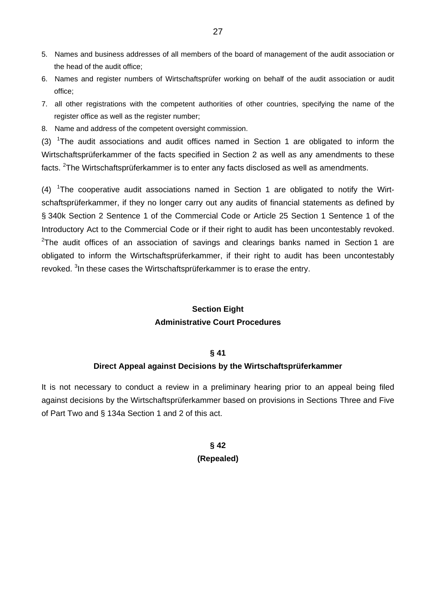- 5. Names and business addresses of all members of the board of management of the audit association or the head of the audit office;
- 6. Names and register numbers of Wirtschaftsprüfer working on behalf of the audit association or audit office;
- 7. all other registrations with the competent authorities of other countries, specifying the name of the register office as well as the register number;
- 8. Name and address of the competent oversight commission.

(3)  $1$ The audit associations and audit offices named in Section 1 are obligated to inform the Wirtschaftsprüferkammer of the facts specified in Section 2 as well as any amendments to these facts. <sup>2</sup>The Wirtschaftsprüferkammer is to enter any facts disclosed as well as amendments.

(4)  $1$ The cooperative audit associations named in Section 1 are obligated to notify the Wirtschaftsprüferkammer, if they no longer carry out any audits of financial statements as defined by § 340k Section 2 Sentence 1 of the Commercial Code or Article 25 Section 1 Sentence 1 of the Introductory Act to the Commercial Code or if their right to audit has been uncontestably revoked.  $2$ The audit offices of an association of savings and clearings banks named in Section 1 are obligated to inform the Wirtschaftsprüferkammer, if their right to audit has been uncontestably revoked. <sup>3</sup> In these cases the Wirtschaftsprüferkammer is to erase the entry.

## **Section Eight Administrative Court Procedures**

#### **§ 41**

### **Direct Appeal against Decisions by the Wirtschaftsprüferkammer**

It is not necessary to conduct a review in a preliminary hearing prior to an appeal being filed against decisions by the Wirtschaftsprüferkammer based on provisions in Sections Three and Five of Part Two and § 134a Section 1 and 2 of this act.

## **§ 42 (Repealed)**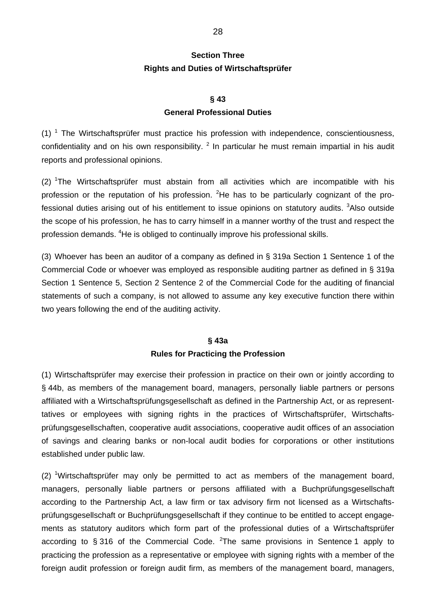## **Section Three Rights and Duties of Wirtschaftsprüfer**

#### **§ 43**

#### **General Professional Duties**

 $(1)$ <sup>1</sup> The Wirtschaftsprüfer must practice his profession with independence, conscientiousness, confidentiality and on his own responsibility.  $2$  In particular he must remain impartial in his audit reports and professional opinions.

(2) <sup>1</sup>The Wirtschaftsprüfer must abstain from all activities which are incompatible with his profession or the reputation of his profession. <sup>2</sup>He has to be particularly cognizant of the professional duties arising out of his entitlement to issue opinions on statutory audits. <sup>3</sup>Also outside the scope of his profession, he has to carry himself in a manner worthy of the trust and respect the profession demands. <sup>4</sup>He is obliged to continually improve his professional skills.

(3) Whoever has been an auditor of a company as defined in § 319a Section 1 Sentence 1 of the Commercial Code or whoever was employed as responsible auditing partner as defined in § 319a Section 1 Sentence 5, Section 2 Sentence 2 of the Commercial Code for the auditing of financial statements of such a company, is not allowed to assume any key executive function there within two years following the end of the auditing activity.

## **§ 43a Rules for Practicing the Profession**

(1) Wirtschaftsprüfer may exercise their profession in practice on their own or jointly according to § 44b, as members of the management board, managers, personally liable partners or persons affiliated with a Wirtschaftsprüfungsgesellschaft as defined in the Partnership Act, or as representtatives or employees with signing rights in the practices of Wirtschaftsprüfer, Wirtschaftsprüfungsgesellschaften, cooperative audit associations, cooperative audit offices of an association of savings and clearing banks or non-local audit bodies for corporations or other institutions established under public law.

 $(2)$  <sup>1</sup>Wirtschaftsprüfer may only be permitted to act as members of the management board, managers, personally liable partners or persons affiliated with a Buchprüfungsgesellschaft according to the Partnership Act, a law firm or tax advisory firm not licensed as a Wirtschaftsprüfungsgesellschaft or Buchprüfungsgesellschaft if they continue to be entitled to accept engagements as statutory auditors which form part of the professional duties of a Wirtschaftsprüfer according to § 316 of the Commercial Code.  $2$ The same provisions in Sentence 1 apply to practicing the profession as a representative or employee with signing rights with a member of the foreign audit profession or foreign audit firm, as members of the management board, managers,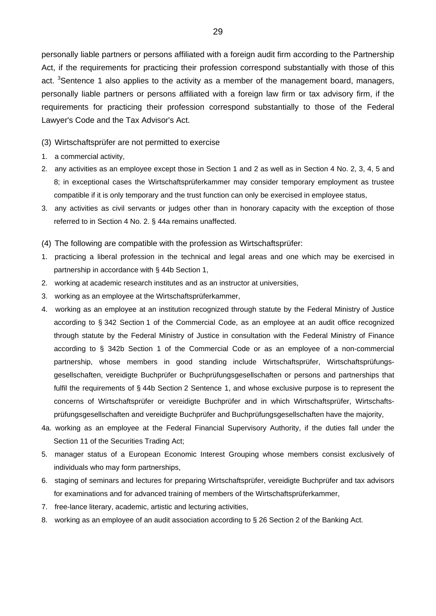personally liable partners or persons affiliated with a foreign audit firm according to the Partnership Act, if the requirements for practicing their profession correspond substantially with those of this act. <sup>3</sup>Sentence 1 also applies to the activity as a member of the management board, managers, personally liable partners or persons affiliated with a foreign law firm or tax advisory firm, if the requirements for practicing their profession correspond substantially to those of the Federal Lawyer's Code and the Tax Advisor's Act.

(3) Wirtschaftsprüfer are not permitted to exercise

- 1. a commercial activity,
- 2. any activities as an employee except those in Section 1 and 2 as well as in Section 4 No. 2, 3, 4, 5 and 8; in exceptional cases the Wirtschaftsprüferkammer may consider temporary employment as trustee compatible if it is only temporary and the trust function can only be exercised in employee status,
- 3. any activities as civil servants or judges other than in honorary capacity with the exception of those referred to in Section 4 No. 2. § 44a remains unaffected.
- (4) The following are compatible with the profession as Wirtschaftsprüfer:
- 1. practicing a liberal profession in the technical and legal areas and one which may be exercised in partnership in accordance with § 44b Section 1,
- 2. working at academic research institutes and as an instructor at universities,
- 3. working as an employee at the Wirtschaftsprüferkammer,
- 4. working as an employee at an institution recognized through statute by the Federal Ministry of Justice according to § 342 Section 1 of the Commercial Code, as an employee at an audit office recognized through statute by the Federal Ministry of Justice in consultation with the Federal Ministry of Finance according to § 342b Section 1 of the Commercial Code or as an employee of a non-commercial partnership, whose members in good standing include Wirtschaftsprüfer, Wirtschaftsprüfungsgesellschaften, vereidigte Buchprüfer or Buchprüfungsgesellschaften or persons and partnerships that fulfil the requirements of § 44b Section 2 Sentence 1, and whose exclusive purpose is to represent the concerns of Wirtschaftsprüfer or vereidigte Buchprüfer and in which Wirtschaftsprüfer, Wirtschaftsprüfungsgesellschaften and vereidigte Buchprüfer and Buchprüfungsgesellschaften have the majority,
- 4a. working as an employee at the Federal Financial Supervisory Authority, if the duties fall under the Section 11 of the Securities Trading Act;
- 5. manager status of a European Economic Interest Grouping whose members consist exclusively of individuals who may form partnerships,
- 6. staging of seminars and lectures for preparing Wirtschaftsprüfer, vereidigte Buchprüfer and tax advisors for examinations and for advanced training of members of the Wirtschaftsprüferkammer,
- 7. free-lance literary, academic, artistic and lecturing activities,
- 8. working as an employee of an audit association according to § 26 Section 2 of the Banking Act.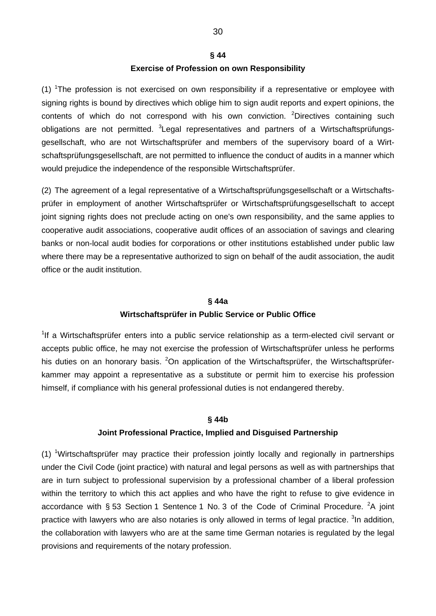### **§ 44**

### **Exercise of Profession on own Responsibility**

 $(1)$  <sup>1</sup>The profession is not exercised on own responsibility if a representative or employee with signing rights is bound by directives which oblige him to sign audit reports and expert opinions, the contents of which do not correspond with his own conviction. <sup>2</sup>Directives containing such obligations are not permitted. <sup>3</sup>Legal representatives and partners of a Wirtschaftsprüfungsgesellschaft, who are not Wirtschaftsprüfer and members of the supervisory board of a Wirtschaftsprüfungsgesellschaft, are not permitted to influence the conduct of audits in a manner which would prejudice the independence of the responsible Wirtschaftsprüfer.

(2) The agreement of a legal representative of a Wirtschaftsprüfungsgesellschaft or a Wirtschaftsprüfer in employment of another Wirtschaftsprüfer or Wirtschaftsprüfungsgesellschaft to accept joint signing rights does not preclude acting on one's own responsibility, and the same applies to cooperative audit associations, cooperative audit offices of an association of savings and clearing banks or non-local audit bodies for corporations or other institutions established under public law where there may be a representative authorized to sign on behalf of the audit association, the audit office or the audit institution.

## **§ 44a Wirtschaftsprüfer in Public Service or Public Office**

<sup>1</sup>If a Wirtschaftsprüfer enters into a public service relationship as a term-elected civil servant or accepts public office, he may not exercise the profession of Wirtschaftsprüfer unless he performs his duties on an honorary basis. <sup>2</sup>On application of the Wirtschaftsprüfer, the Wirtschaftsprüferkammer may appoint a representative as a substitute or permit him to exercise his profession himself, if compliance with his general professional duties is not endangered thereby.

#### **§ 44b**

### **Joint Professional Practice, Implied and Disguised Partnership**

(1) <sup>1</sup>Wirtschaftsprüfer may practice their profession jointly locally and regionally in partnerships under the Civil Code (joint practice) with natural and legal persons as well as with partnerships that are in turn subject to professional supervision by a professional chamber of a liberal profession within the territory to which this act applies and who have the right to refuse to give evidence in accordance with § 53 Section 1 Sentence 1 No. 3 of the Code of Criminal Procedure. <sup>2</sup>A joint practice with lawyers who are also notaries is only allowed in terms of legal practice. <sup>3</sup>In addition, the collaboration with lawyers who are at the same time German notaries is regulated by the legal provisions and requirements of the notary profession.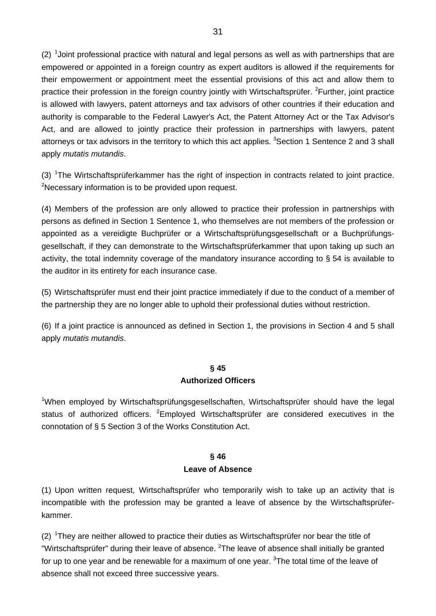$(2)$  <sup>1</sup>Joint professional practice with natural and legal persons as well as with partnerships that are empowered or appointed in a foreign country as expert auditors is allowed if the requirements for their empowerment or appointment meet the essential provisions of this act and allow them to practice their profession in the foreign country jointly with Wirtschaftsprüfer. <sup>2</sup>Further, joint practice is allowed with lawyers, patent attorneys and tax advisors of other countries if their education and authority is comparable to the Federal Lawyer's Act, the Patent Attorney Act or the Tax Advisor's Act, and are allowed to jointly practice their profession in partnerships with lawyers, patent attorneys or tax advisors in the territory to which this act applies. <sup>3</sup>Section 1 Sentence 2 and 3 shall apply *mutatis mutandis*.

(3) <sup>1</sup>The Wirtschaftsprüferkammer has the right of inspection in contracts related to joint practice. <sup>2</sup>Necessary information is to be provided upon request.

(4) Members of the profession are only allowed to practice their profession in partnerships with persons as defined in Section 1 Sentence 1, who themselves are not members of the profession or appointed as a vereidigte Buchprüfer or a Wirtschaftsprüfungsgesellschaft or a Buchprüfungsgesellschaft, if they can demonstrate to the Wirtschaftsprüferkammer that upon taking up such an activity, the total indemnity coverage of the mandatory insurance according to § 54 is available to the auditor in its entirety for each insurance case.

(5) Wirtschaftsprüfer must end their joint practice immediately if due to the conduct of a member of the partnership they are no longer able to uphold their professional duties without restriction.

(6) If a joint practice is announced as defined in Section 1, the provisions in Section 4 and 5 shall apply *mutatis mutandis*.

# **§ 45**

## **Authorized Officers**

<sup>1</sup>When employed by Wirtschaftsprüfungsgesellschaften, Wirtschaftsprüfer should have the legal status of authorized officers. <sup>2</sup>Employed Wirtschaftsprüfer are considered executives in the connotation of § 5 Section 3 of the Works Constitution Act.

## **§ 46 Leave of Absence**

(1) Upon written request, Wirtschaftsprüfer who temporarily wish to take up an activity that is incompatible with the profession may be granted a leave of absence by the Wirtschaftsprüferkammer.

(2)  $1$ They are neither allowed to practice their duties as Wirtschaftsprüfer nor bear the title of "Wirtschaftsprüfer" during their leave of absence. <sup>2</sup>The leave of absence shall initially be granted for up to one year and be renewable for a maximum of one year. <sup>3</sup>The total time of the leave of absence shall not exceed three successive years.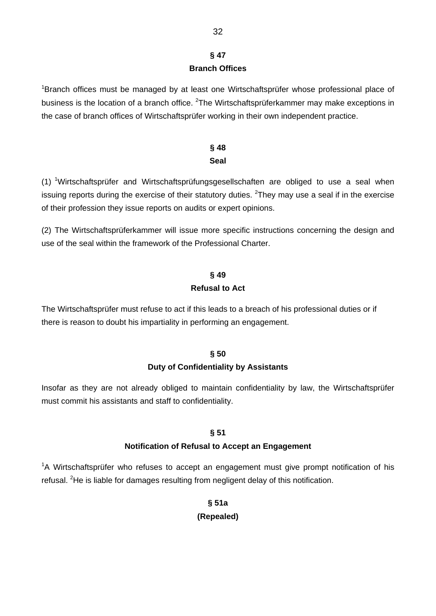## **§ 47 Branch Offices**

<sup>1</sup>Branch offices must be managed by at least one Wirtschaftsprüfer whose professional place of business is the location of a branch office. <sup>2</sup>The Wirtschaftsprüferkammer may make exceptions in the case of branch offices of Wirtschaftsprüfer working in their own independent practice.

## **§ 48 Seal**

(1) <sup>1</sup>Wirtschaftsprüfer and Wirtschaftsprüfungsgesellschaften are obliged to use a seal when issuing reports during the exercise of their statutory duties. <sup>2</sup>They may use a seal if in the exercise of their profession they issue reports on audits or expert opinions.

(2) The Wirtschaftsprüferkammer will issue more specific instructions concerning the design and use of the seal within the framework of the Professional Charter.

## **§ 49 Refusal to Act**

The Wirtschaftsprüfer must refuse to act if this leads to a breach of his professional duties or if there is reason to doubt his impartiality in performing an engagement.

## **§ 50 Duty of Confidentiality by Assistants**

Insofar as they are not already obliged to maintain confidentiality by law, the Wirtschaftsprüfer must commit his assistants and staff to confidentiality.

## **§ 51**

## **Notification of Refusal to Accept an Engagement**

<sup>1</sup>A Wirtschaftsprüfer who refuses to accept an engagement must give prompt notification of his refusal. <sup>2</sup>He is liable for damages resulting from negligent delay of this notification.

## **§ 51a (Repealed)**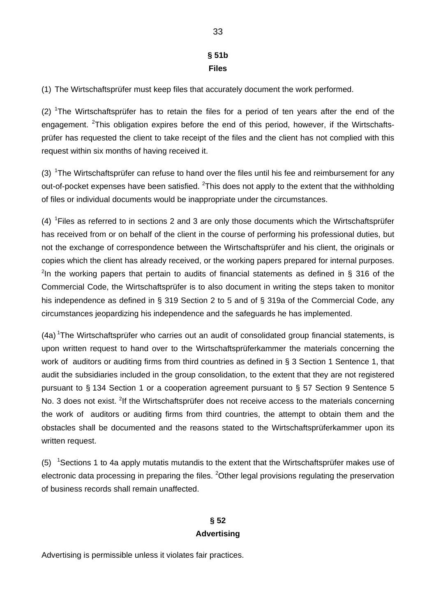## **§ 51b Files**

(1) The Wirtschaftsprüfer must keep files that accurately document the work performed.

 $(2)$  <sup>1</sup>The Wirtschaftsprüfer has to retain the files for a period of ten years after the end of the engagement. <sup>2</sup>This obligation expires before the end of this period, however, if the Wirtschaftsprüfer has requested the client to take receipt of the files and the client has not complied with this request within six months of having received it.

(3)  $1$ The Wirtschaftsprüfer can refuse to hand over the files until his fee and reimbursement for any out-of-pocket expenses have been satisfied.  ${}^{2}$ This does not apply to the extent that the withholding of files or individual documents would be inappropriate under the circumstances.

(4)  ${}^{1}$ Files as referred to in sections 2 and 3 are only those documents which the Wirtschaftsprüfer has received from or on behalf of the client in the course of performing his professional duties, but not the exchange of correspondence between the Wirtschaftsprüfer and his client, the originals or copies which the client has already received, or the working papers prepared for internal purposes. <sup>2</sup>In the working papers that pertain to audits of financial statements as defined in § 316 of the Commercial Code, the Wirtschaftsprüfer is to also document in writing the steps taken to monitor his independence as defined in § 319 Section 2 to 5 and of § 319a of the Commercial Code, any circumstances jeopardizing his independence and the safeguards he has implemented.

(4a) <sup>1</sup>The Wirtschaftsprüfer who carries out an audit of consolidated group financial statements, is upon written request to hand over to the Wirtschaftsprüferkammer the materials concerning the work of auditors or auditing firms from third countries as defined in § 3 Section 1 Sentence 1, that audit the subsidiaries included in the group consolidation, to the extent that they are not registered pursuant to § 134 Section 1 or a cooperation agreement pursuant to § 57 Section 9 Sentence 5 No. 3 does not exist. <sup>2</sup>If the Wirtschaftsprüfer does not receive access to the materials concerning the work of auditors or auditing firms from third countries, the attempt to obtain them and the obstacles shall be documented and the reasons stated to the Wirtschaftsprüferkammer upon its written request.

(5) <sup>1</sup>Sections 1 to 4a apply mutatis mutandis to the extent that the Wirtschaftsprüfer makes use of electronic data processing in preparing the files. <sup>2</sup>Other legal provisions regulating the preservation of business records shall remain unaffected.

## **§ 52 Advertising**

Advertising is permissible unless it violates fair practices.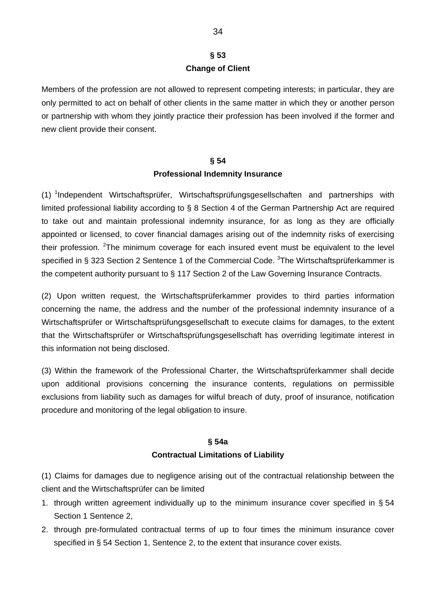## **§ 53 Change of Client**

Members of the profession are not allowed to represent competing interests; in particular, they are only permitted to act on behalf of other clients in the same matter in which they or another person or partnership with whom they jointly practice their profession has been involved if the former and new client provide their consent.

#### **§ 54**

### **Professional Indemnity Insurance**

(1) <sup>1</sup>Independent Wirtschaftsprüfer, Wirtschaftsprüfungsgesellschaften and partnerships with limited professional liability according to § 8 Section 4 of the German Partnership Act are required to take out and maintain professional indemnity insurance, for as long as they are officially appointed or licensed, to cover financial damages arising out of the indemnity risks of exercising their profession. <sup>2</sup>The minimum coverage for each insured event must be equivalent to the level specified in § 323 Section 2 Sentence 1 of the Commercial Code. <sup>3</sup>The Wirtschaftsprüferkammer is the competent authority pursuant to § 117 Section 2 of the Law Governing Insurance Contracts.

(2) Upon written request, the Wirtschaftsprüferkammer provides to third parties information concerning the name, the address and the number of the professional indemnity insurance of a Wirtschaftsprüfer or Wirtschaftsprüfungsgesellschaft to execute claims for damages, to the extent that the Wirtschaftsprüfer or Wirtschaftsprüfungsgesellschaft has overriding legitimate interest in this information not being disclosed.

(3) Within the framework of the Professional Charter, the Wirtschaftsprüferkammer shall decide upon additional provisions concerning the insurance contents, regulations on permissible exclusions from liability such as damages for wilful breach of duty, proof of insurance, notification procedure and monitoring of the legal obligation to insure.

## **§ 54a Contractual Limitations of Liability**

(1) Claims for damages due to negligence arising out of the contractual relationship between the client and the Wirtschaftsprüfer can be limited

- 1. through written agreement individually up to the minimum insurance cover specified in § 54 Section 1 Sentence 2,
- 2. through pre-formulated contractual terms of up to four times the minimum insurance cover specified in § 54 Section 1, Sentence 2, to the extent that insurance cover exists.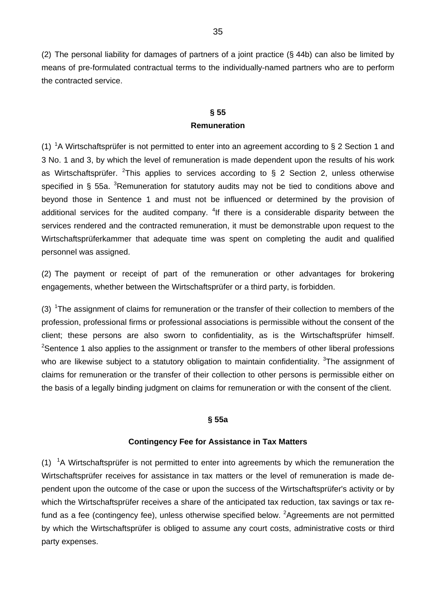(2) The personal liability for damages of partners of a joint practice (§ 44b) can also be limited by means of pre-formulated contractual terms to the individually-named partners who are to perform the contracted service.

## **§ 55 Remuneration**

(1) <sup>1</sup>A Wirtschaftsprüfer is not permitted to enter into an agreement according to § 2 Section 1 and 3 No. 1 and 3, by which the level of remuneration is made dependent upon the results of his work as Wirtschaftsprüfer. <sup>2</sup>This applies to services according to  $\S$  2 Section 2, unless otherwise specified in § 55a.  $3$ Remuneration for statutory audits may not be tied to conditions above and beyond those in Sentence 1 and must not be influenced or determined by the provision of additional services for the audited company. <sup>4</sup>If there is a considerable disparity between the services rendered and the contracted remuneration, it must be demonstrable upon request to the Wirtschaftsprüferkammer that adequate time was spent on completing the audit and qualified personnel was assigned.

(2) The payment or receipt of part of the remuneration or other advantages for brokering engagements, whether between the Wirtschaftsprüfer or a third party, is forbidden.

(3)  $1$ The assignment of claims for remuneration or the transfer of their collection to members of the profession, professional firms or professional associations is permissible without the consent of the client; these persons are also sworn to confidentiality, as is the Wirtschaftsprüfer himself.  $2$ Sentence 1 also applies to the assignment or transfer to the members of other liberal professions who are likewise subject to a statutory obligation to maintain confidentiality. <sup>3</sup>The assignment of claims for remuneration or the transfer of their collection to other persons is permissible either on the basis of a legally binding judgment on claims for remuneration or with the consent of the client.

### **§ 55a**

### **Contingency Fee for Assistance in Tax Matters**

(1)  $1A$  Wirtschaftsprüfer is not permitted to enter into agreements by which the remuneration the Wirtschaftsprüfer receives for assistance in tax matters or the level of remuneration is made dependent upon the outcome of the case or upon the success of the Wirtschaftsprüfer's activity or by which the Wirtschaftsprüfer receives a share of the anticipated tax reduction, tax savings or tax refund as a fee (contingency fee), unless otherwise specified below. <sup>2</sup>Agreements are not permitted by which the Wirtschaftsprüfer is obliged to assume any court costs, administrative costs or third party expenses.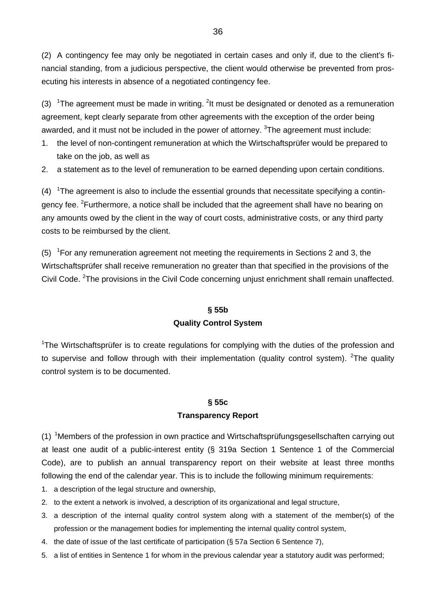(2) A contingency fee may only be negotiated in certain cases and only if, due to the client's financial standing, from a judicious perspective, the client would otherwise be prevented from prosecuting his interests in absence of a negotiated contingency fee.

(3)  $1$ The agreement must be made in writing.  $2$ It must be designated or denoted as a remuneration agreement, kept clearly separate from other agreements with the exception of the order being awarded, and it must not be included in the power of attorney.  $3$ The agreement must include:

- 1. the level of non-contingent remuneration at which the Wirtschaftsprüfer would be prepared to take on the job, as well as
- 2. a statement as to the level of remuneration to be earned depending upon certain conditions.

 $(4)$ <sup>1</sup>The agreement is also to include the essential grounds that necessitate specifying a contingency fee. <sup>2</sup>Furthermore, a notice shall be included that the agreement shall have no bearing on any amounts owed by the client in the way of court costs, administrative costs, or any third party costs to be reimbursed by the client.

(5)  $1$ For any remuneration agreement not meeting the requirements in Sections 2 and 3, the Wirtschaftsprüfer shall receive remuneration no greater than that specified in the provisions of the Civil Code. <sup>2</sup>The provisions in the Civil Code concerning unjust enrichment shall remain unaffected.

#### **§ 55b**

### **Quality Control System**

<sup>1</sup>The Wirtschaftsprüfer is to create regulations for complying with the duties of the profession and to supervise and follow through with their implementation (quality control system). <sup>2</sup>The quality control system is to be documented.

### **§ 55c**

### **Transparency Report**

(1) <sup>1</sup>Members of the profession in own practice and Wirtschaftsprüfungsgesellschaften carrying out at least one audit of a public-interest entity (§ 319a Section 1 Sentence 1 of the Commercial Code), are to publish an annual transparency report on their website at least three months following the end of the calendar year. This is to include the following minimum requirements:

- 1. a description of the legal structure and ownership,
- 2. to the extent a network is involved, a description of its organizational and legal structure,
- 3. a description of the internal quality control system along with a statement of the member(s) of the profession or the management bodies for implementing the internal quality control system,
- 4. the date of issue of the last certificate of participation (§ 57a Section 6 Sentence 7),
- 5. a list of entities in Sentence 1 for whom in the previous calendar year a statutory audit was performed;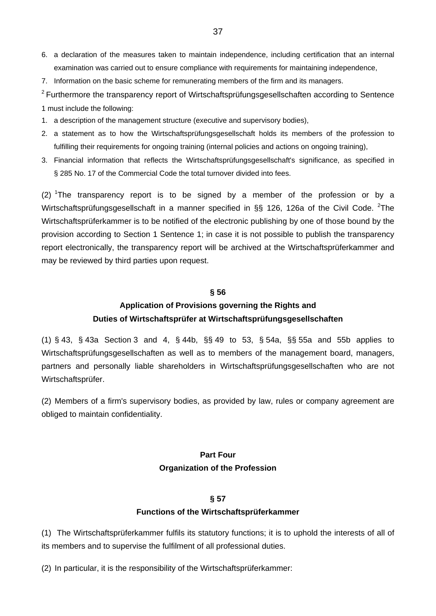- 6. a declaration of the measures taken to maintain independence, including certification that an internal examination was carried out to ensure compliance with requirements for maintaining independence,
- 7. Information on the basic scheme for remunerating members of the firm and its managers.

 $2$  Furthermore the transparency report of Wirtschaftsprüfungsgesellschaften according to Sentence 1 must include the following:

- 1. a description of the management structure (executive and supervisory bodies),
- 2. a statement as to how the Wirtschaftsprüfungsgesellschaft holds its members of the profession to fulfilling their requirements for ongoing training (internal policies and actions on ongoing training),
- 3. Financial information that reflects the Wirtschaftsprüfungsgesellschaft's significance, as specified in § 285 No. 17 of the Commercial Code the total turnover divided into fees.

(2) <sup>1</sup>The transparency report is to be signed by a member of the profession or by a Wirtschaftsprüfungsgesellschaft in a manner specified in §§ 126, 126a of the Civil Code. <sup>2</sup>The Wirtschaftsprüferkammer is to be notified of the electronic publishing by one of those bound by the provision according to Section 1 Sentence 1; in case it is not possible to publish the transparency report electronically, the transparency report will be archived at the Wirtschaftsprüferkammer and may be reviewed by third parties upon request.

#### **§ 56**

# **Application of Provisions governing the Rights and Duties of Wirtschaftsprüfer at Wirtschaftsprüfungsgesellschaften**

(1) § 43, § 43a Section 3 and 4, § 44b, §§ 49 to 53, § 54a, §§ 55a and 55b applies to Wirtschaftsprüfungsgesellschaften as well as to members of the management board, managers, partners and personally liable shareholders in Wirtschaftsprüfungsgesellschaften who are not Wirtschaftsprüfer.

(2) Members of a firm's supervisory bodies, as provided by law, rules or company agreement are obliged to maintain confidentiality.

# **Part Four Organization of the Profession**

#### **§ 57**

#### **Functions of the Wirtschaftsprüferkammer**

(1) The Wirtschaftsprüferkammer fulfils its statutory functions; it is to uphold the interests of all of its members and to supervise the fulfilment of all professional duties.

(2) In particular, it is the responsibility of the Wirtschaftsprüferkammer: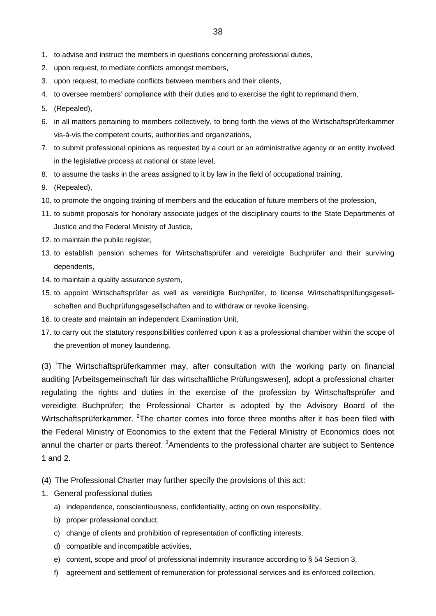- 2. upon request, to mediate conflicts amongst members,
- 3. upon request, to mediate conflicts between members and their clients,
- 4. to oversee members' compliance with their duties and to exercise the right to reprimand them,
- 5. (Repealed),
- 6. in all matters pertaining to members collectively, to bring forth the views of the Wirtschaftsprüferkammer vis-à-vis the competent courts, authorities and organizations,
- 7. to submit professional opinions as requested by a court or an administrative agency or an entity involved in the legislative process at national or state level,
- 8. to assume the tasks in the areas assigned to it by law in the field of occupational training,
- 9. (Repealed),
- 10. to promote the ongoing training of members and the education of future members of the profession,
- 11. to submit proposals for honorary associate judges of the disciplinary courts to the State Departments of Justice and the Federal Ministry of Justice,
- 12. to maintain the public register.
- 13. to establish pension schemes for Wirtschaftsprüfer and vereidigte Buchprüfer and their surviving dependents,
- 14. to maintain a quality assurance system.
- 15. to appoint Wirtschaftsprüfer as well as vereidigte Buchprüfer, to license Wirtschaftsprüfungsgesellschaften and Buchprüfungsgesellschaften and to withdraw or revoke licensing,
- 16. to create and maintain an independent Examination Unit,
- 17. to carry out the statutory responsibilities conferred upon it as a professional chamber within the scope of the prevention of money laundering.

(3) <sup>1</sup>The Wirtschaftsprüferkammer may, after consultation with the working party on financial auditing [Arbeitsgemeinschaft für das wirtschaftliche Prüfungswesen], adopt a professional charter regulating the rights and duties in the exercise of the profession by Wirtschaftsprüfer and vereidigte Buchprüfer; the Professional Charter is adopted by the Advisory Board of the Wirtschaftsprüferkammer. <sup>2</sup>The charter comes into force three months after it has been filed with the Federal Ministry of Economics to the extent that the Federal Ministry of Economics does not annul the charter or parts thereof. <sup>3</sup>Amendents to the professional charter are subject to Sentence 1 and 2.

- (4) The Professional Charter may further specify the provisions of this act:
- 1. General professional duties
	- a) independence, conscientiousness, confidentiality, acting on own responsibility,
	- b) proper professional conduct,
	- c) change of clients and prohibition of representation of conflicting interests,
	- d) compatible and incompatible activities,
	- e) content, scope and proof of professional indemnity insurance according to § 54 Section 3,
	- f) agreement and settlement of remuneration for professional services and its enforced collection,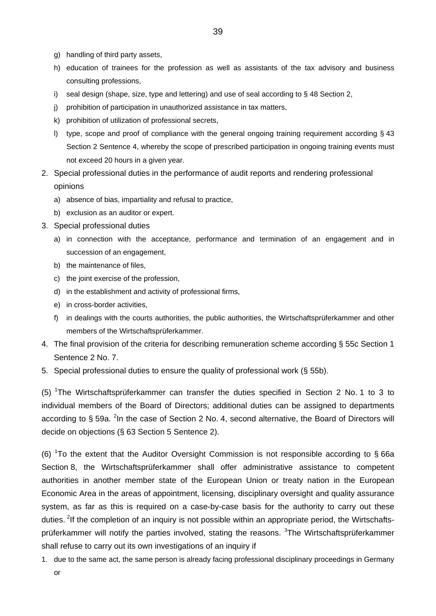- g) handling of third party assets,
- h) education of trainees for the profession as well as assistants of the tax advisory and business consulting professions,
- i) seal design (shape, size, type and lettering) and use of seal according to  $\frac{1}{2}$  48 Section 2,
- j) prohibition of participation in unauthorized assistance in tax matters,
- k) prohibition of utilization of professional secrets,
- l) type, scope and proof of compliance with the general ongoing training requirement according § 43 Section 2 Sentence 4, whereby the scope of prescribed participation in ongoing training events must not exceed 20 hours in a given year.
- 2. Special professional duties in the performance of audit reports and rendering professional opinions
	- a) absence of bias, impartiality and refusal to practice,
	- b) exclusion as an auditor or expert.
- 3. Special professional duties
	- a) in connection with the acceptance, performance and termination of an engagement and in succession of an engagement,
	- b) the maintenance of files,
	- c) the joint exercise of the profession,
	- d) in the establishment and activity of professional firms,
	- e) in cross-border activities,
	- f) in dealings with the courts authorities, the public authorities, the Wirtschaftsprüferkammer and other members of the Wirtschaftsprüferkammer.
- 4. The final provision of the criteria for describing remuneration scheme according § 55c Section 1 Sentence 2 No. 7.
- 5. Special professional duties to ensure the quality of professional work (§ 55b).

(5) <sup>1</sup>The Wirtschaftsprüferkammer can transfer the duties specified in Section 2 No. 1 to 3 to individual members of the Board of Directors; additional duties can be assigned to departments according to § 59a. <sup>2</sup>In the case of Section 2 No. 4, second alternative, the Board of Directors will decide on objections (§ 63 Section 5 Sentence 2).

(6)  $1$ To the extent that the Auditor Oversight Commission is not responsible according to §66a Section 8, the Wirtschaftsprüferkammer shall offer administrative assistance to competent authorities in another member state of the European Union or treaty nation in the European Economic Area in the areas of appointment, licensing, disciplinary oversight and quality assurance system, as far as this is required on a case-by-case basis for the authority to carry out these duties. <sup>2</sup>If the completion of an inquiry is not possible within an appropriate period, the Wirtschaftsprüferkammer will notify the parties involved, stating the reasons. <sup>3</sup>The Wirtschaftsprüferkammer shall refuse to carry out its own investigations of an inquiry if

1. due to the same act, the same person is already facing professional disciplinary proceedings in Germany or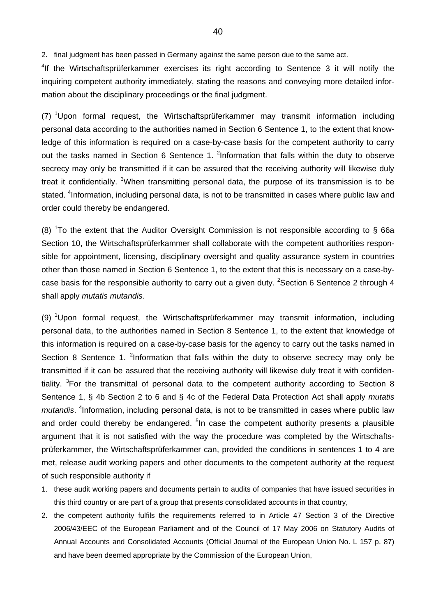2. final judgment has been passed in Germany against the same person due to the same act.

<sup>4</sup>If the Wirtschaftsprüferkammer exercises its right according to Sentence 3 it will notify the inquiring competent authority immediately, stating the reasons and conveying more detailed information about the disciplinary proceedings or the final judgment.

(7) <sup>1</sup>Upon formal request, the Wirtschaftsprüferkammer may transmit information including personal data according to the authorities named in Section 6 Sentence 1, to the extent that knowledge of this information is required on a case-by-case basis for the competent authority to carry out the tasks named in Section 6 Sentence 1.  $2$ Information that falls within the duty to observe secrecy may only be transmitted if it can be assured that the receiving authority will likewise duly treat it confidentially. <sup>3</sup>When transmitting personal data, the purpose of its transmission is to be stated. <sup>4</sup>Information, including personal data, is not to be transmitted in cases where public law and order could thereby be endangered.

(8) <sup>1</sup>To the extent that the Auditor Oversight Commission is not responsible according to § 66a Section 10, the Wirtschaftsprüferkammer shall collaborate with the competent authorities responsible for appointment, licensing, disciplinary oversight and quality assurance system in countries other than those named in Section 6 Sentence 1, to the extent that this is necessary on a case-bycase basis for the responsible authority to carry out a given duty. <sup>2</sup> Section 6 Sentence 2 through 4 shall apply *mutatis mutandis*.

(9) <sup>1</sup>Upon formal request, the Wirtschaftsprüferkammer may transmit information, including personal data, to the authorities named in Section 8 Sentence 1, to the extent that knowledge of this information is required on a case-by-case basis for the agency to carry out the tasks named in Section 8 Sentence 1. <sup>2</sup>Information that falls within the duty to observe secrecy may only be transmitted if it can be assured that the receiving authority will likewise duly treat it with confidentiality. <sup>3</sup>For the transmittal of personal data to the competent authority according to Section 8 Sentence 1, § 4b Section 2 to 6 and § 4c of the Federal Data Protection Act shall apply *mutatis*  mutandis. <sup>4</sup>Information, including personal data, is not to be transmitted in cases where public law and order could thereby be endangered. <sup>5</sup>In case the competent authority presents a plausible argument that it is not satisfied with the way the procedure was completed by the Wirtschaftsprüferkammer, the Wirtschaftsprüferkammer can, provided the conditions in sentences 1 to 4 are met, release audit working papers and other documents to the competent authority at the request of such responsible authority if

- 1. these audit working papers and documents pertain to audits of companies that have issued securities in this third country or are part of a group that presents consolidated accounts in that country,
- 2. the competent authority fulfils the requirements referred to in Article 47 Section 3 of the Directive 2006/43/EEC of the European Parliament and of the Council of 17 May 2006 on Statutory Audits of Annual Accounts and Consolidated Accounts (Official Journal of the European Union No. L 157 p. 87) and have been deemed appropriate by the Commission of the European Union,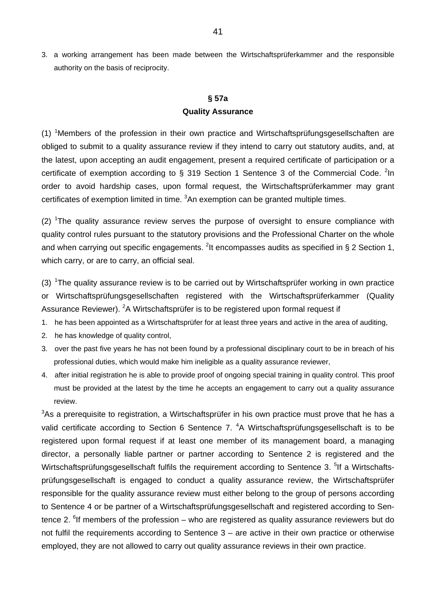3. a working arrangement has been made between the Wirtschaftsprüferkammer and the responsible authority on the basis of reciprocity.

# **§ 57a Quality Assurance**

 $(1)$  <sup>1</sup>Members of the profession in their own practice and Wirtschaftsprüfungsgesellschaften are obliged to submit to a quality assurance review if they intend to carry out statutory audits, and, at the latest, upon accepting an audit engagement, present a required certificate of participation or a certificate of exemption according to § 319 Section 1 Sentence 3 of the Commercial Code.  ${}^{2}$ In order to avoid hardship cases, upon formal request, the Wirtschaftsprüferkammer may grant certificates of exemption limited in time.  ${}^{3}$ An exemption can be granted multiple times.

 $(2)$  <sup>1</sup>The quality assurance review serves the purpose of oversight to ensure compliance with quality control rules pursuant to the statutory provisions and the Professional Charter on the whole and when carrying out specific engagements. <sup>2</sup>It encompasses audits as specified in § 2 Section 1, which carry, or are to carry, an official seal.

(3)  $1$ The quality assurance review is to be carried out by Wirtschaftsprüfer working in own practice or Wirtschaftsprüfungsgesellschaften registered with the Wirtschaftsprüferkammer (Quality Assurance Reviewer). <sup>2</sup>A Wirtschaftsprüfer is to be registered upon formal request if

- 1. he has been appointed as a Wirtschaftsprüfer for at least three years and active in the area of auditing,
- 2. he has knowledge of quality control,
- 3. over the past five years he has not been found by a professional disciplinary court to be in breach of his professional duties, which would make him ineligible as a quality assurance reviewer,
- 4. after initial registration he is able to provide proof of ongoing special training in quality control. This proof must be provided at the latest by the time he accepts an engagement to carry out a quality assurance review.

 $3$ As a prerequisite to registration, a Wirtschaftsprüfer in his own practice must prove that he has a valid certificate according to Section 6 Sentence 7. <sup>4</sup>A Wirtschaftsprüfungsgesellschaft is to be registered upon formal request if at least one member of its management board, a managing director, a personally liable partner or partner according to Sentence 2 is registered and the Wirtschaftsprüfungsgesellschaft fulfils the requirement according to Sentence 3. <sup>5</sup>lf a Wirtschaftsprüfungsgesellschaft is engaged to conduct a quality assurance review, the Wirtschaftsprüfer responsible for the quality assurance review must either belong to the group of persons according to Sentence 4 or be partner of a Wirtschaftsprüfungsgesellschaft and registered according to Sentence 2. <sup>6</sup>If members of the profession – who are registered as quality assurance reviewers but do not fulfil the requirements according to Sentence 3 – are active in their own practice or otherwise employed, they are not allowed to carry out quality assurance reviews in their own practice.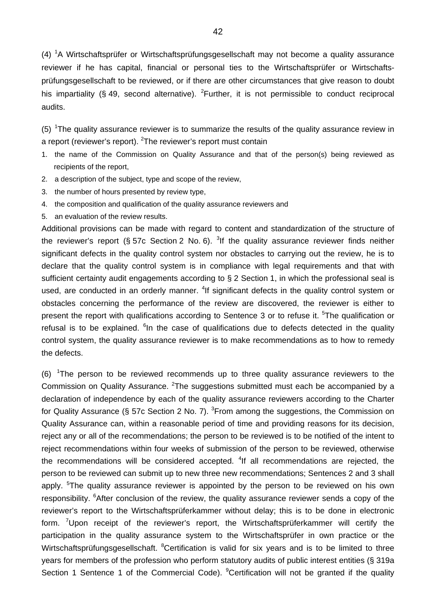(4) <sup>1</sup>A Wirtschaftsprüfer or Wirtschaftsprüfungsgesellschaft may not become a quality assurance reviewer if he has capital, financial or personal ties to the Wirtschaftsprüfer or Wirtschaftsprüfungsgesellschaft to be reviewed, or if there are other circumstances that give reason to doubt his impartiality (§ 49, second alternative). <sup>2</sup>Further, it is not permissible to conduct reciprocal audits.

(5) <sup>1</sup>The quality assurance reviewer is to summarize the results of the quality assurance review in a report (reviewer's report). <sup>2</sup>The reviewer's report must contain

- 1. the name of the Commission on Quality Assurance and that of the person(s) being reviewed as recipients of the report,
- 2. a description of the subject, type and scope of the review,
- 3. the number of hours presented by review type,
- 4. the composition and qualification of the quality assurance reviewers and
- 5. an evaluation of the review results.

Additional provisions can be made with regard to content and standardization of the structure of the reviewer's report (§ 57c Section 2 No. 6). <sup>3</sup>If the quality assurance reviewer finds neither significant defects in the quality control system nor obstacles to carrying out the review, he is to declare that the quality control system is in compliance with legal requirements and that with sufficient certainty audit engagements according to § 2 Section 1, in which the professional seal is used, are conducted in an orderly manner. <sup>4</sup>If significant defects in the quality control system or obstacles concerning the performance of the review are discovered, the reviewer is either to present the report with qualifications according to Sentence 3 or to refuse it. <sup>5</sup>The qualification or refusal is to be explained. <sup>6</sup>In the case of qualifications due to defects detected in the quality control system, the quality assurance reviewer is to make recommendations as to how to remedy the defects.

(6)  $1$ The person to be reviewed recommends up to three quality assurance reviewers to the Commission on Quality Assurance. <sup>2</sup>The suggestions submitted must each be accompanied by a declaration of independence by each of the quality assurance reviewers according to the Charter for Quality Assurance (§ 57c Section 2 No. 7).  ${}^{3}$ From among the suggestions, the Commission on Quality Assurance can, within a reasonable period of time and providing reasons for its decision, reject any or all of the recommendations; the person to be reviewed is to be notified of the intent to reject recommendations within four weeks of submission of the person to be reviewed, otherwise the recommendations will be considered accepted. <sup>4</sup>If all recommendations are rejected, the person to be reviewed can submit up to new three new recommendations; Sentences 2 and 3 shall apply. <sup>5</sup>The quality assurance reviewer is appointed by the person to be reviewed on his own responsibility. <sup>6</sup>After conclusion of the review, the quality assurance reviewer sends a copy of the reviewer's report to the Wirtschaftsprüferkammer without delay; this is to be done in electronic form. <sup>7</sup>Upon receipt of the reviewer's report, the Wirtschaftsprüferkammer will certify the participation in the quality assurance system to the Wirtschaftsprüfer in own practice or the Wirtschaftsprüfungsgesellschaft. <sup>8</sup>Certification is valid for six years and is to be limited to three years for members of the profession who perform statutory audits of public interest entities (§ 319a Section 1 Sentence 1 of the Commercial Code). <sup>9</sup>Certification will not be granted if the quality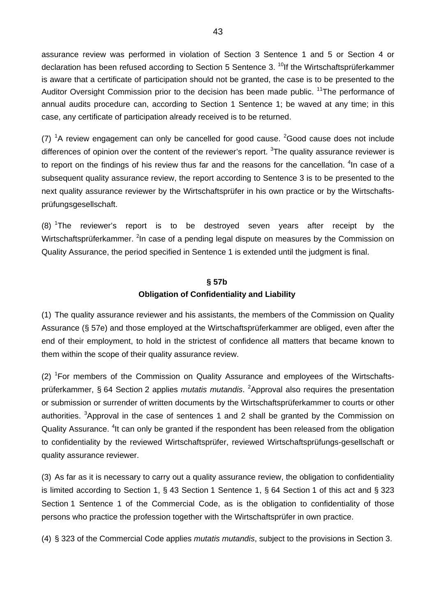assurance review was performed in violation of Section 3 Sentence 1 and 5 or Section 4 or declaration has been refused according to Section 5 Sentence 3.<sup>10</sup>If the Wirtschaftsprüferkammer is aware that a certificate of participation should not be granted, the case is to be presented to the Auditor Oversight Commission prior to the decision has been made public. <sup>11</sup>The performance of annual audits procedure can, according to Section 1 Sentence 1; be waved at any time; in this case, any certificate of participation already received is to be returned.

(7)  ${}^{1}$ A review engagement can only be cancelled for good cause.  ${}^{2}$ Good cause does not include differences of opinion over the content of the reviewer's report. <sup>3</sup>The quality assurance reviewer is to report on the findings of his review thus far and the reasons for the cancellation.  $4$ In case of a subsequent quality assurance review, the report according to Sentence 3 is to be presented to the next quality assurance reviewer by the Wirtschaftsprüfer in his own practice or by the Wirtschaftsprüfungsgesellschaft.

(8)  ${}^{1}$ The reviewer's report is to be destroyed seven years after receipt by the Wirtschaftsprüferkammer. <sup>2</sup>In case of a pending legal dispute on measures by the Commission on Quality Assurance, the period specified in Sentence 1 is extended until the judgment is final.

#### **§ 57b**

## **Obligation of Confidentiality and Liability**

(1) The quality assurance reviewer and his assistants, the members of the Commission on Quality Assurance (§ 57e) and those employed at the Wirtschaftsprüferkammer are obliged, even after the end of their employment, to hold in the strictest of confidence all matters that became known to them within the scope of their quality assurance review.

(2) <sup>1</sup>For members of the Commission on Quality Assurance and employees of the Wirtschaftsprüferkammer, § 64 Section 2 applies *mutatis mutandis*. <sup>2</sup>Approval also requires the presentation or submission or surrender of written documents by the Wirtschaftsprüferkammer to courts or other authorities. <sup>3</sup>Approval in the case of sentences 1 and 2 shall be granted by the Commission on Quality Assurance. <sup>4</sup>It can only be granted if the respondent has been released from the obligation to confidentiality by the reviewed Wirtschaftsprüfer, reviewed Wirtschaftsprüfungs-gesellschaft or quality assurance reviewer.

(3) As far as it is necessary to carry out a quality assurance review, the obligation to confidentiality is limited according to Section 1, § 43 Section 1 Sentence 1, § 64 Section 1 of this act and § 323 Section 1 Sentence 1 of the Commercial Code, as is the obligation to confidentiality of those persons who practice the profession together with the Wirtschaftsprüfer in own practice.

(4) § 323 of the Commercial Code applies *mutatis mutandis*, subject to the provisions in Section 3.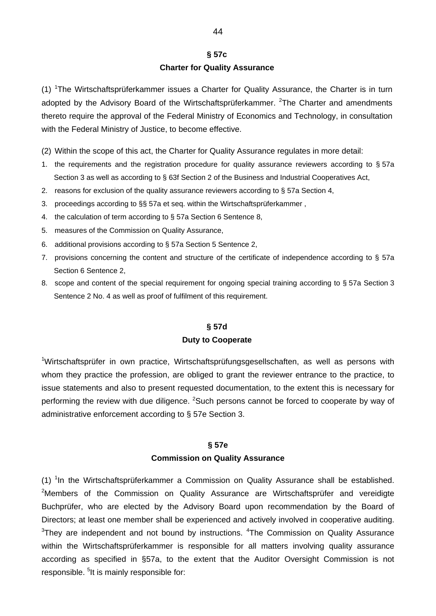## **§ 57c**

#### **Charter for Quality Assurance**

(1) <sup>1</sup>The Wirtschaftsprüferkammer issues a Charter for Quality Assurance, the Charter is in turn adopted by the Advisory Board of the Wirtschaftsprüferkammer. <sup>2</sup>The Charter and amendments thereto require the approval of the Federal Ministry of Economics and Technology, in consultation with the Federal Ministry of Justice, to become effective.

(2) Within the scope of this act, the Charter for Quality Assurance regulates in more detail:

- 1. the requirements and the registration procedure for quality assurance reviewers according to § 57a Section 3 as well as according to § 63f Section 2 of the Business and Industrial Cooperatives Act,
- 2. reasons for exclusion of the quality assurance reviewers according to § 57a Section 4,
- 3. proceedings according to §§ 57a et seq. within the Wirtschaftsprüferkammer ,
- 4. the calculation of term according to § 57a Section 6 Sentence 8,
- 5. measures of the Commission on Quality Assurance,
- 6. additional provisions according to § 57a Section 5 Sentence 2,
- 7. provisions concerning the content and structure of the certificate of independence according to § 57a Section 6 Sentence 2,
- 8. scope and content of the special requirement for ongoing special training according to § 57a Section 3 Sentence 2 No. 4 as well as proof of fulfilment of this requirement.

#### **§ 57d**

#### **Duty to Cooperate**

<sup>1</sup>Wirtschaftsprüfer in own practice, Wirtschaftsprüfungsgesellschaften, as well as persons with whom they practice the profession, are obliged to grant the reviewer entrance to the practice, to issue statements and also to present requested documentation, to the extent this is necessary for performing the review with due diligence. <sup>2</sup>Such persons cannot be forced to cooperate by way of administrative enforcement according to § 57e Section 3.

#### **§ 57e**

#### **Commission on Quality Assurance**

(1) <sup>1</sup>In the Wirtschaftsprüferkammer a Commission on Quality Assurance shall be established. <sup>2</sup>Members of the Commission on Quality Assurance are Wirtschaftsprüfer and vereidigte Buchprüfer, who are elected by the Advisory Board upon recommendation by the Board of Directors; at least one member shall be experienced and actively involved in cooperative auditing. <sup>3</sup>They are independent and not bound by instructions. <sup>4</sup>The Commission on Quality Assurance within the Wirtschaftsprüferkammer is responsible for all matters involving quality assurance according as specified in §57a, to the extent that the Auditor Oversight Commission is not responsible. <sup>5</sup>It is mainly responsible for: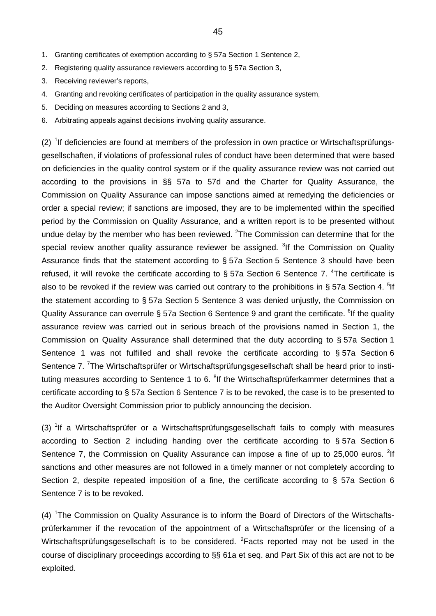- 1. Granting certificates of exemption according to § 57a Section 1 Sentence 2,
- 2. Registering quality assurance reviewers according to § 57a Section 3,
- 3. Receiving reviewer's reports,
- 4. Granting and revoking certificates of participation in the quality assurance system,
- 5. Deciding on measures according to Sections 2 and 3,
- 6. Arbitrating appeals against decisions involving quality assurance.

 $(2)$  <sup>1</sup>If deficiencies are found at members of the profession in own practice or Wirtschaftsprüfungsgesellschaften, if violations of professional rules of conduct have been determined that were based on deficiencies in the quality control system or if the quality assurance review was not carried out according to the provisions in §§ 57a to 57d and the Charter for Quality Assurance, the Commission on Quality Assurance can impose sanctions aimed at remedying the deficiencies or order a special review; if sanctions are imposed, they are to be implemented within the specified period by the Commission on Quality Assurance, and a written report is to be presented without undue delay by the member who has been reviewed.  ${}^{2}$ The Commission can determine that for the special review another quality assurance reviewer be assigned. <sup>3</sup>If the Commission on Quality Assurance finds that the statement according to § 57a Section 5 Sentence 3 should have been refused, it will revoke the certificate according to  $\S$  57a Section 6 Sentence 7. <sup>4</sup>The certificate is also to be revoked if the review was carried out contrary to the prohibitions in § 57a Section 4. <sup>5</sup>lf the statement according to § 57a Section 5 Sentence 3 was denied unjustly, the Commission on Quality Assurance can overrule § 57a Section 6 Sentence 9 and grant the certificate. <sup>6</sup>If the quality assurance review was carried out in serious breach of the provisions named in Section 1, the Commission on Quality Assurance shall determined that the duty according to § 57a Section 1 Sentence 1 was not fulfilled and shall revoke the certificate according to § 57a Section 6 Sentence 7. <sup>7</sup>The Wirtschaftsprüfer or Wirtschaftsprüfungsgesellschaft shall be heard prior to instituting measures according to Sentence 1 to 6. <sup>8</sup>If the Wirtschaftsprüferkammer determines that a certificate according to § 57a Section 6 Sentence 7 is to be revoked, the case is to be presented to the Auditor Oversight Commission prior to publicly announcing the decision.

(3)  $1$ If a Wirtschaftsprüfer or a Wirtschaftsprüfungsgesellschaft fails to comply with measures according to Section 2 including handing over the certificate according to § 57a Section 6 Sentence 7, the Commission on Quality Assurance can impose a fine of up to 25,000 euros. <sup>2</sup>If sanctions and other measures are not followed in a timely manner or not completely according to Section 2, despite repeated imposition of a fine, the certificate according to § 57a Section 6 Sentence 7 is to be revoked.

(4) <sup>1</sup>The Commission on Quality Assurance is to inform the Board of Directors of the Wirtschaftsprüferkammer if the revocation of the appointment of a Wirtschaftsprüfer or the licensing of a Wirtschaftsprüfungsgesellschaft is to be considered. <sup>2</sup>Facts reported may not be used in the course of disciplinary proceedings according to §§ 61a et seq. and Part Six of this act are not to be exploited.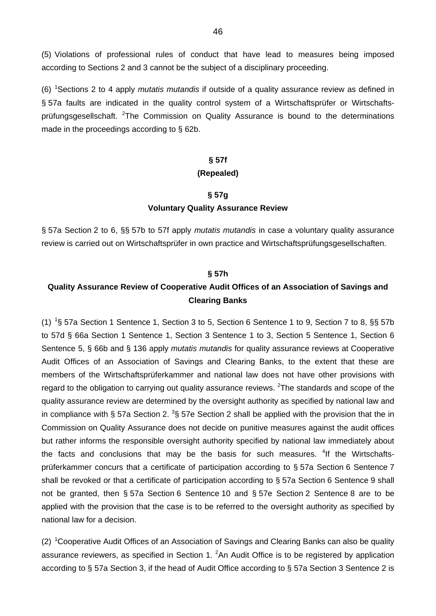(5) Violations of professional rules of conduct that have lead to measures being imposed according to Sections 2 and 3 cannot be the subject of a disciplinary proceeding.

(6) <sup>1</sup> Sections 2 to 4 apply *mutatis mutandis* if outside of a quality assurance review as defined in § 57a faults are indicated in the quality control system of a Wirtschaftsprüfer or Wirtschaftsprüfungsgesellschaft. <sup>2</sup>The Commission on Quality Assurance is bound to the determinations made in the proceedings according to § 62b.

#### **§ 57f**

#### **(Repealed)**

# **§ 57g Voluntary Quality Assurance Review**

§ 57a Section 2 to 6, §§ 57b to 57f apply *mutatis mutandis* in case a voluntary quality assurance review is carried out on Wirtschaftsprüfer in own practice and Wirtschaftsprüfungsgesellschaften.

#### **§ 57h**

# **Quality Assurance Review of Cooperative Audit Offices of an Association of Savings and Clearing Banks**

(1) <sup>1</sup>§ 57a Section 1 Sentence 1, Section 3 to 5, Section 6 Sentence 1 to 9, Section 7 to 8, §§ 57b to 57d § 66a Section 1 Sentence 1, Section 3 Sentence 1 to 3, Section 5 Sentence 1, Section 6 Sentence 5, § 66b and § 136 apply *mutatis mutandis* for quality assurance reviews at Cooperative Audit Offices of an Association of Savings and Clearing Banks, to the extent that these are members of the Wirtschaftsprüferkammer and national law does not have other provisions with regard to the obligation to carrying out quality assurance reviews.  $2$ The standards and scope of the quality assurance review are determined by the oversight authority as specified by national law and in compliance with § 57a Section 2.  $3$ § 57e Section 2 shall be applied with the provision that the in Commission on Quality Assurance does not decide on punitive measures against the audit offices but rather informs the responsible oversight authority specified by national law immediately about the facts and conclusions that may be the basis for such measures. <sup>4</sup>If the Wirtschaftsprüferkammer concurs that a certificate of participation according to § 57a Section 6 Sentence 7 shall be revoked or that a certificate of participation according to § 57a Section 6 Sentence 9 shall not be granted, then § 57a Section 6 Sentence 10 and § 57e Section 2 Sentence 8 are to be applied with the provision that the case is to be referred to the oversight authority as specified by national law for a decision.

(2) <sup>1</sup>Cooperative Audit Offices of an Association of Savings and Clearing Banks can also be quality assurance reviewers, as specified in Section 1.  ${}^{2}$ An Audit Office is to be registered by application according to § 57a Section 3, if the head of Audit Office according to § 57a Section 3 Sentence 2 is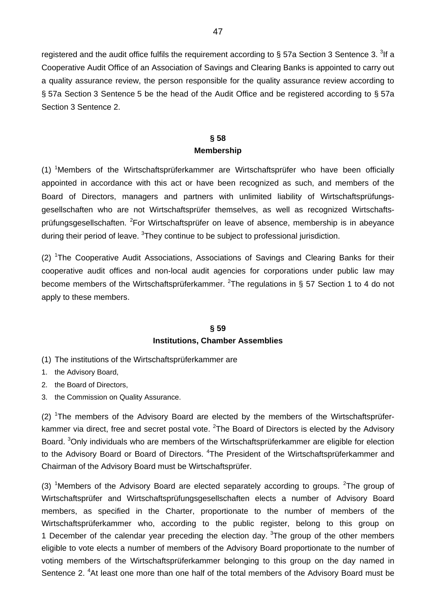registered and the audit office fulfils the requirement according to § 57a Section 3 Sentence 3. <sup>3</sup>If a Cooperative Audit Office of an Association of Savings and Clearing Banks is appointed to carry out a quality assurance review, the person responsible for the quality assurance review according to § 57a Section 3 Sentence 5 be the head of the Audit Office and be registered according to § 57a Section 3 Sentence 2.

## **§ 58 Membership**

(1) <sup>1</sup>Members of the Wirtschaftsprüferkammer are Wirtschaftsprüfer who have been officially appointed in accordance with this act or have been recognized as such, and members of the Board of Directors, managers and partners with unlimited liability of Wirtschaftsprüfungsgesellschaften who are not Wirtschaftsprüfer themselves, as well as recognized Wirtschaftsprüfungsgesellschaften. <sup>2</sup>For Wirtschaftsprüfer on leave of absence, membership is in abeyance during their period of leave. <sup>3</sup>They continue to be subject to professional jurisdiction.

(2) <sup>1</sup>The Cooperative Audit Associations, Associations of Savings and Clearing Banks for their cooperative audit offices and non-local audit agencies for corporations under public law may become members of the Wirtschaftsprüferkammer. <sup>2</sup>The regulations in § 57 Section 1 to 4 do not apply to these members.

## **§ 59 Institutions, Chamber Assemblies**

- (1) The institutions of the Wirtschaftsprüferkammer are
- 1. the Advisory Board,
- 2. the Board of Directors,
- 3. the Commission on Quality Assurance.

(2)  $1$ The members of the Advisory Board are elected by the members of the Wirtschaftsprüferkammer via direct, free and secret postal vote. <sup>2</sup>The Board of Directors is elected by the Advisory Board. <sup>3</sup>Only individuals who are members of the Wirtschaftsprüferkammer are eligible for election to the Advisory Board or Board of Directors. <sup>4</sup>The President of the Wirtschaftsprüferkammer and Chairman of the Advisory Board must be Wirtschaftsprüfer.

(3) <sup>1</sup>Members of the Advisory Board are elected separately according to groups. <sup>2</sup>The group of Wirtschaftsprüfer and Wirtschaftsprüfungsgesellschaften elects a number of Advisory Board members, as specified in the Charter, proportionate to the number of members of the Wirtschaftsprüferkammer who, according to the public register, belong to this group on 1 December of the calendar year preceding the election day.  $3$ The group of the other members eligible to vote elects a number of members of the Advisory Board proportionate to the number of voting members of the Wirtschaftsprüferkammer belonging to this group on the day named in Sentence 2.<sup>4</sup> At least one more than one half of the total members of the Advisory Board must be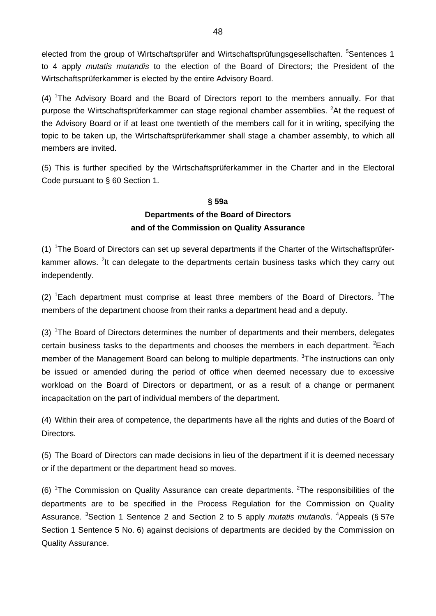elected from the group of Wirtschaftsprüfer and Wirtschaftsprüfungsgesellschaften. <sup>5</sup>Sentences 1 to 4 apply *mutatis mutandis* to the election of the Board of Directors; the President of the Wirtschaftsprüferkammer is elected by the entire Advisory Board.

 $(4)$  <sup>1</sup>The Advisory Board and the Board of Directors report to the members annually. For that purpose the Wirtschaftsprüferkammer can stage regional chamber assemblies. <sup>2</sup>At the request of the Advisory Board or if at least one twentieth of the members call for it in writing, specifying the topic to be taken up, the Wirtschaftsprüferkammer shall stage a chamber assembly, to which all members are invited.

(5) This is further specified by the Wirtschaftsprüferkammer in the Charter and in the Electoral Code pursuant to § 60 Section 1.

# **§ 59a Departments of the Board of Directors and of the Commission on Quality Assurance**

(1)  $1$ The Board of Directors can set up several departments if the Charter of the Wirtschaftsprüferkammer allows. <sup>2</sup>It can delegate to the departments certain business tasks which they carry out independently.

(2)  ${}^{1}$ Each department must comprise at least three members of the Board of Directors. <sup>2</sup>The members of the department choose from their ranks a department head and a deputy.

(3)  $1$ The Board of Directors determines the number of departments and their members, delegates certain business tasks to the departments and chooses the members in each department.  ${}^{2}$ Each member of the Management Board can belong to multiple departments. <sup>3</sup>The instructions can only be issued or amended during the period of office when deemed necessary due to excessive workload on the Board of Directors or department, or as a result of a change or permanent incapacitation on the part of individual members of the department.

(4) Within their area of competence, the departments have all the rights and duties of the Board of Directors.

(5) The Board of Directors can made decisions in lieu of the department if it is deemed necessary or if the department or the department head so moves.

(6) <sup>1</sup>The Commission on Quality Assurance can create departments. <sup>2</sup>The responsibilities of the departments are to be specified in the Process Regulation for the Commission on Quality Assurance. <sup>3</sup>Section 1 Sentence 2 and Section 2 to 5 apply *mutatis mutandis*. <sup>4</sup>Appeals (§ 57e Section 1 Sentence 5 No. 6) against decisions of departments are decided by the Commission on Quality Assurance.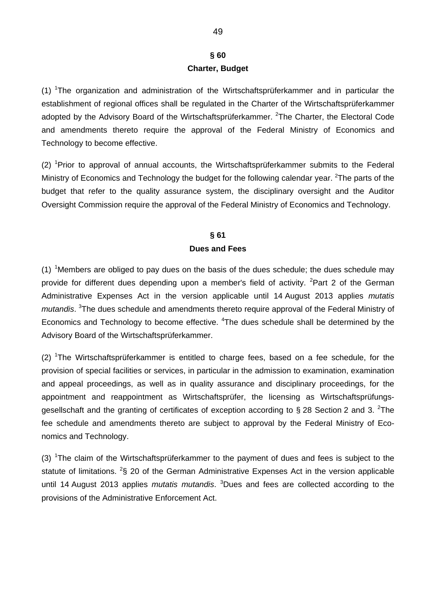# **§ 60 Charter, Budget**

(1) <sup>1</sup>The organization and administration of the Wirtschaftsprüferkammer and in particular the establishment of regional offices shall be regulated in the Charter of the Wirtschaftsprüferkammer adopted by the Advisory Board of the Wirtschaftsprüferkammer. <sup>2</sup>The Charter, the Electoral Code and amendments thereto require the approval of the Federal Ministry of Economics and Technology to become effective.

 $(2)$  <sup>1</sup>Prior to approval of annual accounts, the Wirtschaftsprüferkammer submits to the Federal Ministry of Economics and Technology the budget for the following calendar year. <sup>2</sup>The parts of the budget that refer to the quality assurance system, the disciplinary oversight and the Auditor Oversight Commission require the approval of the Federal Ministry of Economics and Technology.

# **§ 61 Dues and Fees**

(1) <sup>1</sup>Members are obliged to pay dues on the basis of the dues schedule; the dues schedule may provide for different dues depending upon a member's field of activity. <sup>2</sup>Part 2 of the German Administrative Expenses Act in the version applicable until 14 August 2013 applies *mutatis*  mutandis. <sup>3</sup>The dues schedule and amendments thereto require approval of the Federal Ministry of Economics and Technology to become effective. <sup>4</sup>The dues schedule shall be determined by the Advisory Board of the Wirtschaftsprüferkammer.

 $(2)$  <sup>1</sup>The Wirtschaftsprüferkammer is entitled to charge fees, based on a fee schedule, for the provision of special facilities or services, in particular in the admission to examination, examination and appeal proceedings, as well as in quality assurance and disciplinary proceedings, for the appointment and reappointment as Wirtschaftsprüfer, the licensing as Wirtschaftsprüfungsgesellschaft and the granting of certificates of exception according to § 28 Section 2 and 3. <sup>2</sup>The fee schedule and amendments thereto are subject to approval by the Federal Ministry of Economics and Technology.

(3)  $1$ The claim of the Wirtschaftsprüferkammer to the payment of dues and fees is subject to the statute of limitations.  $2\$  20 of the German Administrative Expenses Act in the version applicable until 14 August 2013 applies *mutatis mutandis*. <sup>3</sup> Dues and fees are collected according to the provisions of the Administrative Enforcement Act.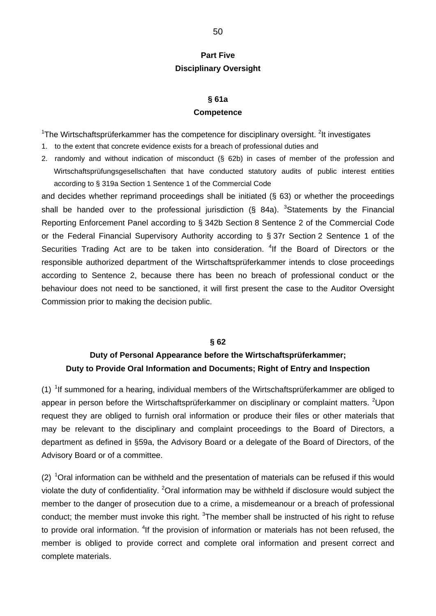# **Part Five Disciplinary Oversight**

#### **§ 61a**

#### **Competence**

<sup>1</sup>The Wirtschaftsprüferkammer has the competence for disciplinary oversight. <sup>2</sup>It investigates

- 1. to the extent that concrete evidence exists for a breach of professional duties and
- 2. randomly and without indication of misconduct (§ 62b) in cases of member of the profession and Wirtschaftsprüfungsgesellschaften that have conducted statutory audits of public interest entities according to § 319a Section 1 Sentence 1 of the Commercial Code

and decides whether reprimand proceedings shall be initiated (§ 63) or whether the proceedings shall be handed over to the professional jurisdiction (§ 84a).  $3$ Statements by the Financial Reporting Enforcement Panel according to § 342b Section 8 Sentence 2 of the Commercial Code or the Federal Financial Supervisory Authority according to § 37r Section 2 Sentence 1 of the Securities Trading Act are to be taken into consideration. <sup>4</sup>If the Board of Directors or the responsible authorized department of the Wirtschaftsprüferkammer intends to close proceedings according to Sentence 2, because there has been no breach of professional conduct or the behaviour does not need to be sanctioned, it will first present the case to the Auditor Oversight Commission prior to making the decision public.

#### **§ 62**

# **Duty of Personal Appearance before the Wirtschaftsprüferkammer; Duty to Provide Oral Information and Documents; Right of Entry and Inspection**

 $(1)$  <sup>1</sup> If summoned for a hearing, individual members of the Wirtschaftsprüferkammer are obliged to appear in person before the Wirtschaftsprüferkammer on disciplinary or complaint matters. <sup>2</sup>Upon request they are obliged to furnish oral information or produce their files or other materials that may be relevant to the disciplinary and complaint proceedings to the Board of Directors, a department as defined in §59a, the Advisory Board or a delegate of the Board of Directors, of the Advisory Board or of a committee.

(2)  $1$ Oral information can be withheld and the presentation of materials can be refused if this would violate the duty of confidentiality. <sup>2</sup>Oral information may be withheld if disclosure would subject the member to the danger of prosecution due to a crime, a misdemeanour or a breach of professional conduct; the member must invoke this right.  $3$ The member shall be instructed of his right to refuse to provide oral information. <sup>4</sup>If the provision of information or materials has not been refused, the member is obliged to provide correct and complete oral information and present correct and complete materials.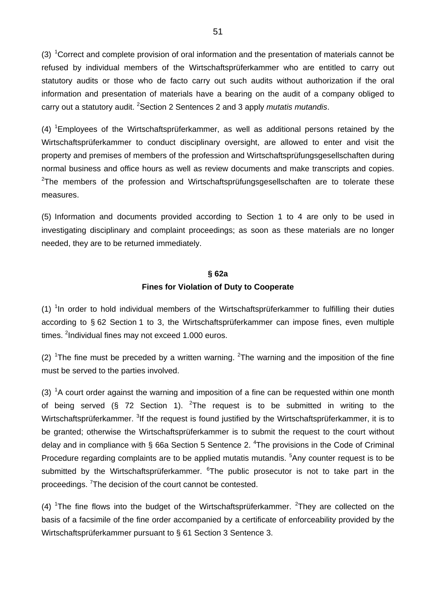(3)  ${}^{1}$ Correct and complete provision of oral information and the presentation of materials cannot be refused by individual members of the Wirtschaftsprüferkammer who are entitled to carry out statutory audits or those who de facto carry out such audits without authorization if the oral information and presentation of materials have a bearing on the audit of a company obliged to carry out a statutory audit. <sup>2</sup> Section 2 Sentences 2 and 3 apply *mutatis mutandis*.

 $(4)$  <sup>1</sup> Employees of the Wirtschaftsprüferkammer, as well as additional persons retained by the Wirtschaftsprüferkammer to conduct disciplinary oversight, are allowed to enter and visit the property and premises of members of the profession and Wirtschaftsprüfungsgesellschaften during normal business and office hours as well as review documents and make transcripts and copies.  $2$ The members of the profession and Wirtschaftsprüfungsgesellschaften are to tolerate these measures.

(5) Information and documents provided according to Section 1 to 4 are only to be used in investigating disciplinary and complaint proceedings; as soon as these materials are no longer needed, they are to be returned immediately.

#### **§ 62a**

#### **Fines for Violation of Duty to Cooperate**

 $(1)$  <sup>1</sup>In order to hold individual members of the Wirtschaftsprüferkammer to fulfilling their duties according to § 62 Section 1 to 3, the Wirtschaftsprüferkammer can impose fines, even multiple times. <sup>2</sup>Individual fines may not exceed 1.000 euros.

(2) <sup>1</sup>The fine must be preceded by a written warning. <sup>2</sup>The warning and the imposition of the fine must be served to the parties involved.

(3)  ${}^{1}$ A court order against the warning and imposition of a fine can be requested within one month of being served (§ 72 Section 1). <sup>2</sup>The request is to be submitted in writing to the Wirtschaftsprüferkammer. <sup>3</sup>If the request is found justified by the Wirtschaftsprüferkammer, it is to be granted; otherwise the Wirtschaftsprüferkammer is to submit the request to the court without delay and in compliance with § 66a Section 5 Sentence 2. <sup>4</sup>The provisions in the Code of Criminal Procedure regarding complaints are to be applied mutatis mutandis. <sup>5</sup>Any counter request is to be submitted by the Wirtschaftsprüferkammer. <sup>6</sup>The public prosecutor is not to take part in the proceedings. <sup>7</sup>The decision of the court cannot be contested.

(4) <sup>1</sup>The fine flows into the budget of the Wirtschaftsprüferkammer. <sup>2</sup>They are collected on the basis of a facsimile of the fine order accompanied by a certificate of enforceability provided by the Wirtschaftsprüferkammer pursuant to § 61 Section 3 Sentence 3.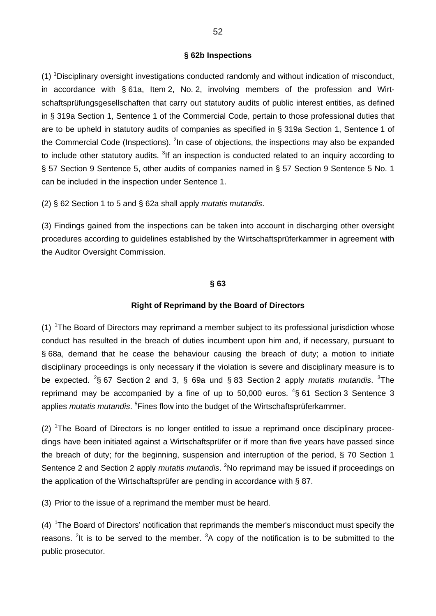#### **§ 62b Inspections**

(1) <sup>1</sup>Disciplinary oversight investigations conducted randomly and without indication of misconduct, in accordance with § 61a, Item 2, No. 2, involving members of the profession and Wirtschaftsprüfungsgesellschaften that carry out statutory audits of public interest entities, as defined in § 319a Section 1, Sentence 1 of the Commercial Code, pertain to those professional duties that are to be upheld in statutory audits of companies as specified in § 319a Section 1, Sentence 1 of the Commercial Code (Inspections). <sup>2</sup>In case of objections, the inspections may also be expanded to include other statutory audits. <sup>3</sup>If an inspection is conducted related to an inquiry according to § 57 Section 9 Sentence 5, other audits of companies named in § 57 Section 9 Sentence 5 No. 1 can be included in the inspection under Sentence 1.

(2) § 62 Section 1 to 5 and § 62a shall apply *mutatis mutandis*.

(3) Findings gained from the inspections can be taken into account in discharging other oversight procedures according to guidelines established by the Wirtschaftsprüferkammer in agreement with the Auditor Oversight Commission.

#### **§ 63**

#### **Right of Reprimand by the Board of Directors**

(1)  ${}^{1}$ The Board of Directors may reprimand a member subject to its professional jurisdiction whose conduct has resulted in the breach of duties incumbent upon him and, if necessary, pursuant to § 68a, demand that he cease the behaviour causing the breach of duty; a motion to initiate disciplinary proceedings is only necessary if the violation is severe and disciplinary measure is to be expected. <sup>2</sup>§ 67 Section 2 and 3, § 69a und § 83 Section 2 apply *mutatis mutandis*. <sup>3</sup>The reprimand may be accompanied by a fine of up to 50,000 euros.  $4$ § 61 Section 3 Sentence 3 applies *mutatis mutandis*. <sup>5</sup> Fines flow into the budget of the Wirtschaftsprüferkammer.

 $(2)$  <sup>1</sup>The Board of Directors is no longer entitled to issue a reprimand once disciplinary proceedings have been initiated against a Wirtschaftsprüfer or if more than five years have passed since the breach of duty; for the beginning, suspension and interruption of the period, § 70 Section 1 Sentence 2 and Section 2 apply *mutatis mutandis*. <sup>2</sup>No reprimand may be issued if proceedings on the application of the Wirtschaftsprüfer are pending in accordance with § 87.

(3) Prior to the issue of a reprimand the member must be heard.

 $(4)$ <sup>1</sup>The Board of Directors' notification that reprimands the member's misconduct must specify the reasons. <sup>2</sup>It is to be served to the member.  ${}^{3}$ A copy of the notification is to be submitted to the public prosecutor.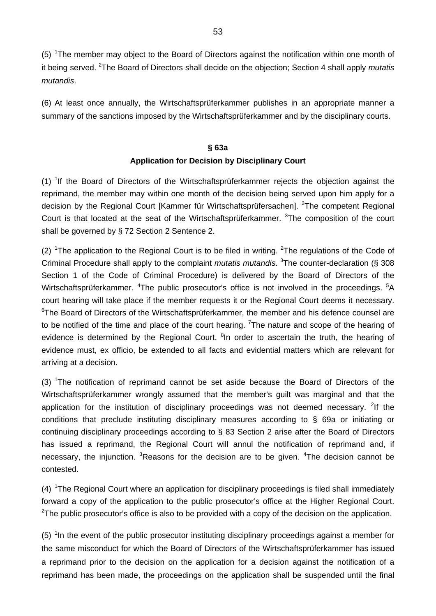(5) <sup>1</sup>The member may object to the Board of Directors against the notification within one month of it being served. <sup>2</sup> The Board of Directors shall decide on the objection; Section 4 shall apply *mutatis mutandis*.

(6) At least once annually, the Wirtschaftsprüferkammer publishes in an appropriate manner a summary of the sanctions imposed by the Wirtschaftsprüferkammer and by the disciplinary courts.

# **§ 63a Application for Decision by Disciplinary Court**

(1) <sup>1</sup>If the Board of Directors of the Wirtschaftsprüferkammer rejects the objection against the reprimand, the member may within one month of the decision being served upon him apply for a decision by the Regional Court [Kammer für Wirtschaftsprüfersachen]. <sup>2</sup>The competent Regional Court is that located at the seat of the Wirtschaftsprüferkammer. <sup>3</sup>The composition of the court shall be governed by § 72 Section 2 Sentence 2.

(2) <sup>1</sup>The application to the Regional Court is to be filed in writing. <sup>2</sup>The regulations of the Code of Criminal Procedure shall apply to the complaint *mutatis mutandis*. <sup>3</sup>The counter-declaration (§ 308 Section 1 of the Code of Criminal Procedure) is delivered by the Board of Directors of the Wirtschaftsprüferkammer. <sup>4</sup>The public prosecutor's office is not involved in the proceedings. <sup>5</sup>A court hearing will take place if the member requests it or the Regional Court deems it necessary. <sup>6</sup>The Board of Directors of the Wirtschaftsprüferkammer, the member and his defence counsel are to be notified of the time and place of the court hearing. <sup>7</sup>The nature and scope of the hearing of evidence is determined by the Regional Court. <sup>8</sup>In order to ascertain the truth, the hearing of evidence must, ex officio, be extended to all facts and evidential matters which are relevant for arriving at a decision.

(3) <sup>1</sup>The notification of reprimand cannot be set aside because the Board of Directors of the Wirtschaftsprüferkammer wrongly assumed that the member's guilt was marginal and that the application for the institution of disciplinary proceedings was not deemed necessary. <sup>2</sup>If the conditions that preclude instituting disciplinary measures according to § 69a or initiating or continuing disciplinary proceedings according to § 83 Section 2 arise after the Board of Directors has issued a reprimand, the Regional Court will annul the notification of reprimand and, if necessary, the injunction. <sup>3</sup>Reasons for the decision are to be given. <sup>4</sup>The decision cannot be contested.

 $(4)$  <sup>1</sup>The Regional Court where an application for disciplinary proceedings is filed shall immediately forward a copy of the application to the public prosecutor's office at the Higher Regional Court. <sup>2</sup>The public prosecutor's office is also to be provided with a copy of the decision on the application.

 $(5)$  <sup>1</sup>In the event of the public prosecutor instituting disciplinary proceedings against a member for the same misconduct for which the Board of Directors of the Wirtschaftsprüferkammer has issued a reprimand prior to the decision on the application for a decision against the notification of a reprimand has been made, the proceedings on the application shall be suspended until the final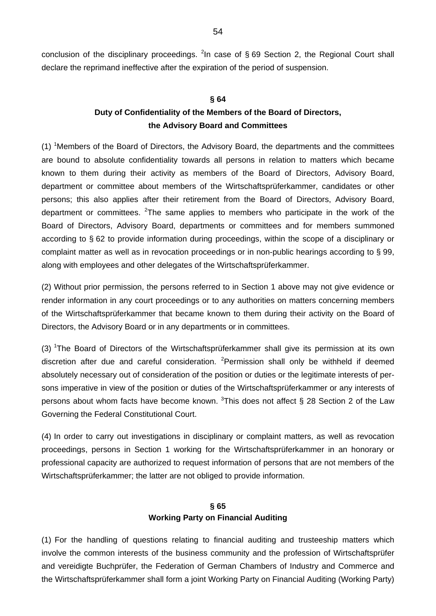conclusion of the disciplinary proceedings. <sup>2</sup>In case of § 69 Section 2, the Regional Court shall declare the reprimand ineffective after the expiration of the period of suspension.

#### **§ 64**

# **Duty of Confidentiality of the Members of the Board of Directors, the Advisory Board and Committees**

 $(1)$  <sup>1</sup>Members of the Board of Directors, the Advisory Board, the departments and the committees are bound to absolute confidentiality towards all persons in relation to matters which became known to them during their activity as members of the Board of Directors, Advisory Board, department or committee about members of the Wirtschaftsprüferkammer, candidates or other persons; this also applies after their retirement from the Board of Directors, Advisory Board, department or committees. <sup>2</sup>The same applies to members who participate in the work of the Board of Directors, Advisory Board, departments or committees and for members summoned according to § 62 to provide information during proceedings, within the scope of a disciplinary or complaint matter as well as in revocation proceedings or in non-public hearings according to § 99, along with employees and other delegates of the Wirtschaftsprüferkammer.

(2) Without prior permission, the persons referred to in Section 1 above may not give evidence or render information in any court proceedings or to any authorities on matters concerning members of the Wirtschaftsprüferkammer that became known to them during their activity on the Board of Directors, the Advisory Board or in any departments or in committees.

(3) <sup>1</sup>The Board of Directors of the Wirtschaftsprüferkammer shall give its permission at its own discretion after due and careful consideration. <sup>2</sup> Permission shall only be withheld if deemed absolutely necessary out of consideration of the position or duties or the legitimate interests of persons imperative in view of the position or duties of the Wirtschaftsprüferkammer or any interests of persons about whom facts have become known.  $3$ This does not affect § 28 Section 2 of the Law Governing the Federal Constitutional Court.

(4) In order to carry out investigations in disciplinary or complaint matters, as well as revocation proceedings, persons in Section 1 working for the Wirtschaftsprüferkammer in an honorary or professional capacity are authorized to request information of persons that are not members of the Wirtschaftsprüferkammer; the latter are not obliged to provide information.

# **§ 65 Working Party on Financial Auditing**

(1) For the handling of questions relating to financial auditing and trusteeship matters which involve the common interests of the business community and the profession of Wirtschaftsprüfer and vereidigte Buchprüfer, the Federation of German Chambers of Industry and Commerce and the Wirtschaftsprüferkammer shall form a joint Working Party on Financial Auditing (Working Party)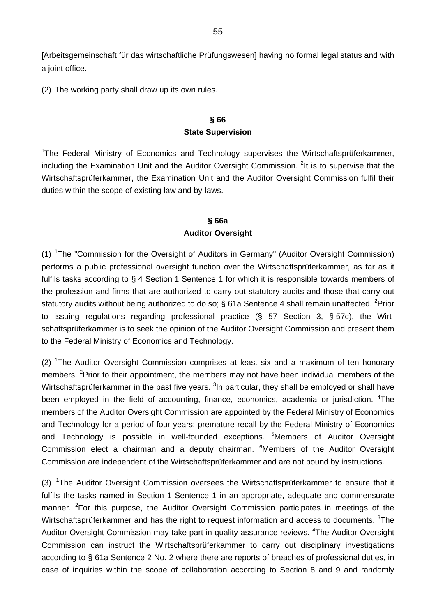[Arbeitsgemeinschaft für das wirtschaftliche Prüfungswesen] having no formal legal status and with a joint office.

(2) The working party shall draw up its own rules.

# **§ 66 State Supervision**

<sup>1</sup>The Federal Ministry of Economics and Technology supervises the Wirtschaftsprüferkammer, including the Examination Unit and the Auditor Oversight Commission. <sup>2</sup>It is to supervise that the Wirtschaftsprüferkammer, the Examination Unit and the Auditor Oversight Commission fulfil their duties within the scope of existing law and by-laws.

# **§ 66a Auditor Oversight**

(1) <sup>1</sup>The "Commission for the Oversight of Auditors in Germany" (Auditor Oversight Commission) performs a public professional oversight function over the Wirtschaftsprüferkammer, as far as it fulfils tasks according to § 4 Section 1 Sentence 1 for which it is responsible towards members of the profession and firms that are authorized to carry out statutory audits and those that carry out statutory audits without being authorized to do so; § 61a Sentence 4 shall remain unaffected. <sup>2</sup>Prior to issuing regulations regarding professional practice (§ 57 Section 3, § 57c), the Wirtschaftsprüferkammer is to seek the opinion of the Auditor Oversight Commission and present them to the Federal Ministry of Economics and Technology.

(2) <sup>1</sup>The Auditor Oversight Commission comprises at least six and a maximum of ten honorary members. <sup>2</sup>Prior to their appointment, the members may not have been individual members of the Wirtschaftsprüferkammer in the past five years. <sup>3</sup>In particular, they shall be employed or shall have been employed in the field of accounting, finance, economics, academia or jurisdiction. <sup>4</sup>The members of the Auditor Oversight Commission are appointed by the Federal Ministry of Economics and Technology for a period of four years; premature recall by the Federal Ministry of Economics and Technology is possible in well-founded exceptions. <sup>5</sup>Members of Auditor Oversight Commission elect a chairman and a deputy chairman. <sup>6</sup>Members of the Auditor Oversight Commission are independent of the Wirtschaftsprüferkammer and are not bound by instructions.

(3) 1The Auditor Oversight Commission oversees the Wirtschaftsprüferkammer to ensure that it fulfils the tasks named in Section 1 Sentence 1 in an appropriate, adequate and commensurate manner. <sup>2</sup>For this purpose, the Auditor Oversight Commission participates in meetings of the Wirtschaftsprüferkammer and has the right to request information and access to documents.  $3$ The Auditor Oversight Commission may take part in quality assurance reviews. <sup>4</sup>The Auditor Oversight Commission can instruct the Wirtschaftsprüferkammer to carry out disciplinary investigations according to § 61a Sentence 2 No. 2 where there are reports of breaches of professional duties, in case of inquiries within the scope of collaboration according to Section 8 and 9 and randomly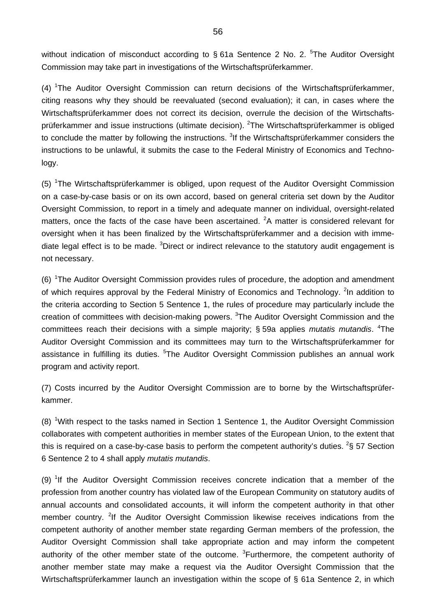without indication of misconduct according to  $\S$  61a Sentence 2 No. 2.  $5$ The Auditor Oversight Commission may take part in investigations of the Wirtschaftsprüferkammer.

(4) <sup>1</sup>The Auditor Oversight Commission can return decisions of the Wirtschaftsprüferkammer, citing reasons why they should be reevaluated (second evaluation); it can, in cases where the Wirtschaftsprüferkammer does not correct its decision, overrule the decision of the Wirtschaftsprüferkammer and issue instructions (ultimate decision). <sup>2</sup>The Wirtschaftsprüferkammer is obliged to conclude the matter by following the instructions. <sup>3</sup>If the Wirtschaftsprüferkammer considers the instructions to be unlawful, it submits the case to the Federal Ministry of Economics and Technology.

(5) <sup>1</sup>The Wirtschaftsprüferkammer is obliged, upon request of the Auditor Oversight Commission on a case-by-case basis or on its own accord, based on general criteria set down by the Auditor Oversight Commission, to report in a timely and adequate manner on individual, oversight-related matters, once the facts of the case have been ascertained.  ${}^{2}$ A matter is considered relevant for oversight when it has been finalized by the Wirtschaftsprüferkammer and a decision with immediate legal effect is to be made. <sup>3</sup>Direct or indirect relevance to the statutory audit engagement is not necessary.

(6) <sup>1</sup>The Auditor Oversight Commission provides rules of procedure, the adoption and amendment of which requires approval by the Federal Ministry of Economics and Technology. <sup>2</sup>In addition to the criteria according to Section 5 Sentence 1, the rules of procedure may particularly include the creation of committees with decision-making powers. <sup>3</sup>The Auditor Oversight Commission and the committees reach their decisions with a simple majority; § 59a applies *mutatis mutandis*. <sup>4</sup>The Auditor Oversight Commission and its committees may turn to the Wirtschaftsprüferkammer for assistance in fulfilling its duties. <sup>5</sup>The Auditor Oversight Commission publishes an annual work program and activity report.

(7) Costs incurred by the Auditor Oversight Commission are to borne by the Wirtschaftsprüferkammer.

 $(8)$  <sup>1</sup>With respect to the tasks named in Section 1 Sentence 1, the Auditor Oversight Commission collaborates with competent authorities in member states of the European Union, to the extent that this is required on a case-by-case basis to perform the competent authority's duties. <sup>2</sup>§ 57 Section 6 Sentence 2 to 4 shall apply *mutatis mutandis*.

(9) <sup>1</sup>If the Auditor Oversight Commission receives concrete indication that a member of the profession from another country has violated law of the European Community on statutory audits of annual accounts and consolidated accounts, it will inform the competent authority in that other member country. <sup>2</sup>If the Auditor Oversight Commission likewise receives indications from the competent authority of another member state regarding German members of the profession, the Auditor Oversight Commission shall take appropriate action and may inform the competent authority of the other member state of the outcome. <sup>3</sup>Furthermore, the competent authority of another member state may make a request via the Auditor Oversight Commission that the Wirtschaftsprüferkammer launch an investigation within the scope of § 61a Sentence 2, in which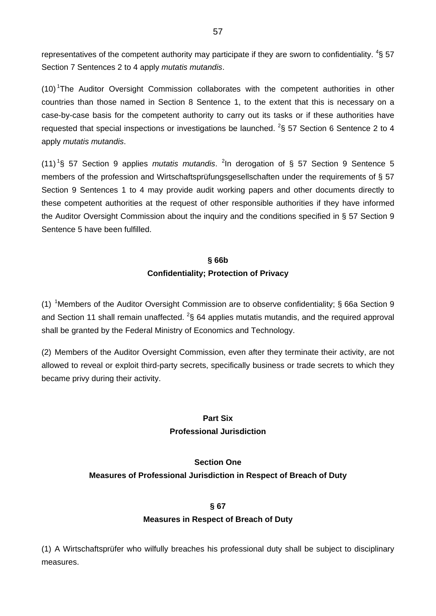representatives of the competent authority may participate if they are sworn to confidentiality.  ${}^{4}$ § 57 Section 7 Sentences 2 to 4 apply *mutatis mutandis*.

(10)<sup>1</sup>The Auditor Oversight Commission collaborates with the competent authorities in other countries than those named in Section 8 Sentence 1, to the extent that this is necessary on a case-by-case basis for the competent authority to carry out its tasks or if these authorities have requested that special inspections or investigations be launched. <sup>2</sup>§ 57 Section 6 Sentence 2 to 4 apply *mutatis mutandis*.

(11) 1 § 57 Section 9 applies *mutatis mutandis*. <sup>2</sup> In derogation of § 57 Section 9 Sentence 5 members of the profession and Wirtschaftsprüfungsgesellschaften under the requirements of § 57 Section 9 Sentences 1 to 4 may provide audit working papers and other documents directly to these competent authorities at the request of other responsible authorities if they have informed the Auditor Oversight Commission about the inquiry and the conditions specified in § 57 Section 9 Sentence 5 have been fulfilled.

# **§ 66b Confidentiality; Protection of Privacy**

(1) <sup>1</sup>Members of the Auditor Oversight Commission are to observe confidentiality; § 66a Section 9 and Section 11 shall remain unaffected.  $^{2}$ § 64 applies mutatis mutandis, and the required approval shall be granted by the Federal Ministry of Economics and Technology.

(2) Members of the Auditor Oversight Commission, even after they terminate their activity, are not allowed to reveal or exploit third-party secrets, specifically business or trade secrets to which they became privy during their activity.

## **Part Six Professional Jurisdiction**

## **Section One**

# **Measures of Professional Jurisdiction in Respect of Breach of Duty**

## **§ 67**

## **Measures in Respect of Breach of Duty**

(1) A Wirtschaftsprüfer who wilfully breaches his professional duty shall be subject to disciplinary measures.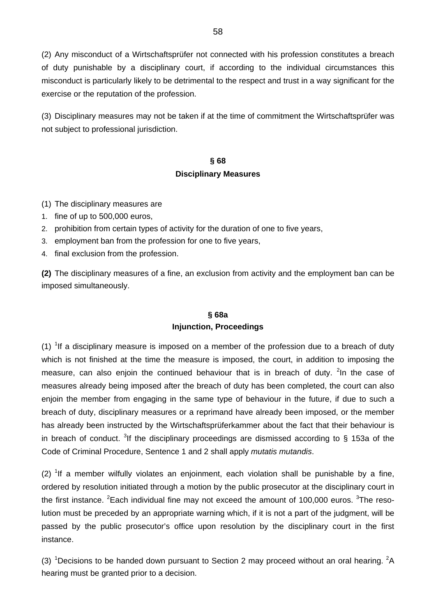(2) Any misconduct of a Wirtschaftsprüfer not connected with his profession constitutes a breach of duty punishable by a disciplinary court, if according to the individual circumstances this misconduct is particularly likely to be detrimental to the respect and trust in a way significant for the exercise or the reputation of the profession.

(3) Disciplinary measures may not be taken if at the time of commitment the Wirtschaftsprüfer was not subject to professional jurisdiction.

# **§ 68 Disciplinary Measures**

- (1) The disciplinary measures are
- 1. fine of up to 500,000 euros,
- 2. prohibition from certain types of activity for the duration of one to five years,
- 3. employment ban from the profession for one to five years,
- 4. final exclusion from the profession.

**(2)** The disciplinary measures of a fine, an exclusion from activity and the employment ban can be imposed simultaneously.

# **§ 68a Injunction, Proceedings**

(1) <sup>1</sup>If a disciplinary measure is imposed on a member of the profession due to a breach of duty which is not finished at the time the measure is imposed, the court, in addition to imposing the measure, can also enjoin the continued behaviour that is in breach of duty. <sup>2</sup>In the case of measures already being imposed after the breach of duty has been completed, the court can also enjoin the member from engaging in the same type of behaviour in the future, if due to such a breach of duty, disciplinary measures or a reprimand have already been imposed, or the member has already been instructed by the Wirtschaftsprüferkammer about the fact that their behaviour is in breach of conduct. <sup>3</sup>If the disciplinary proceedings are dismissed according to § 153a of the Code of Criminal Procedure, Sentence 1 and 2 shall apply *mutatis mutandis*.

 $(2)$  <sup>1</sup>If a member wilfully violates an enjoinment, each violation shall be punishable by a fine, ordered by resolution initiated through a motion by the public prosecutor at the disciplinary court in the first instance. <sup>2</sup>Each individual fine may not exceed the amount of 100,000 euros. <sup>3</sup>The resolution must be preceded by an appropriate warning which, if it is not a part of the judgment, will be passed by the public prosecutor's office upon resolution by the disciplinary court in the first instance.

(3) <sup>1</sup>Decisions to be handed down pursuant to Section 2 may proceed without an oral hearing. <sup>2</sup>A hearing must be granted prior to a decision.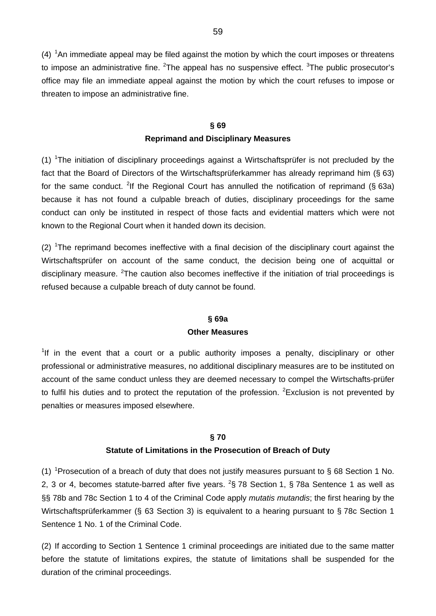$(4)$  <sup>1</sup>An immediate appeal may be filed against the motion by which the court imposes or threatens to impose an administrative fine. <sup>2</sup>The appeal has no suspensive effect. <sup>3</sup>The public prosecutor's office may file an immediate appeal against the motion by which the court refuses to impose or threaten to impose an administrative fine.

# **§ 69 Reprimand and Disciplinary Measures**

 $(1)$  <sup>1</sup>The initiation of disciplinary proceedings against a Wirtschaftsprüfer is not precluded by the fact that the Board of Directors of the Wirtschaftsprüferkammer has already reprimand him (§ 63) for the same conduct. <sup>2</sup>If the Regional Court has annulled the notification of reprimand (§ 63a) because it has not found a culpable breach of duties, disciplinary proceedings for the same conduct can only be instituted in respect of those facts and evidential matters which were not known to the Regional Court when it handed down its decision.

 $(2)$  <sup>1</sup>The reprimand becomes ineffective with a final decision of the disciplinary court against the Wirtschaftsprüfer on account of the same conduct, the decision being one of acquittal or disciplinary measure. <sup>2</sup>The caution also becomes ineffective if the initiation of trial proceedings is refused because a culpable breach of duty cannot be found.

## **§ 69a Other Measures**

<sup>1</sup>If in the event that a court or a public authority imposes a penalty, disciplinary or other professional or administrative measures, no additional disciplinary measures are to be instituted on account of the same conduct unless they are deemed necessary to compel the Wirtschafts-prüfer to fulfil his duties and to protect the reputation of the profession. <sup>2</sup>Exclusion is not prevented by penalties or measures imposed elsewhere.

## **§ 70**

## **Statute of Limitations in the Prosecution of Breach of Duty**

(1) <sup>1</sup>Prosecution of a breach of duty that does not justify measures pursuant to § 68 Section 1 No. 2, 3 or 4, becomes statute-barred after five years.  $2\$  78 Section 1,  $\frac{1}{3}$  78a Sentence 1 as well as §§ 78b and 78c Section 1 to 4 of the Criminal Code apply *mutatis mutandis*; the first hearing by the Wirtschaftsprüferkammer (§ 63 Section 3) is equivalent to a hearing pursuant to § 78c Section 1 Sentence 1 No. 1 of the Criminal Code.

(2) If according to Section 1 Sentence 1 criminal proceedings are initiated due to the same matter before the statute of limitations expires, the statute of limitations shall be suspended for the duration of the criminal proceedings.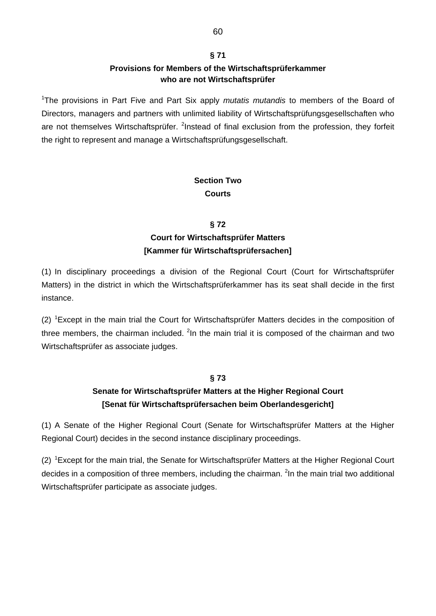# **§ 71 Provisions for Members of the Wirtschaftsprüferkammer who are not Wirtschaftsprüfer**

<sup>1</sup>The provisions in Part Five and Part Six apply *mutatis mutandis* to members of the Board of Directors, managers and partners with unlimited liability of Wirtschaftsprüfungsgesellschaften who are not themselves Wirtschaftsprüfer. <sup>2</sup>Instead of final exclusion from the profession, they forfeit the right to represent and manage a Wirtschaftsprüfungsgesellschaft.

# **Section Two Courts**

## **§ 72**

# **Court for Wirtschaftsprüfer Matters [Kammer für Wirtschaftsprüfersachen]**

(1) In disciplinary proceedings a division of the Regional Court (Court for Wirtschaftsprüfer Matters) in the district in which the Wirtschaftsprüferkammer has its seat shall decide in the first instance.

(2) <sup>1</sup> Except in the main trial the Court for Wirtschaftsprüfer Matters decides in the composition of three members, the chairman included. <sup>2</sup>In the main trial it is composed of the chairman and two Wirtschaftsprüfer as associate judges.

## **§ 73**

# **Senate for Wirtschaftsprüfer Matters at the Higher Regional Court [Senat für Wirtschaftsprüfersachen beim Oberlandesgericht]**

(1) A Senate of the Higher Regional Court (Senate for Wirtschaftsprüfer Matters at the Higher Regional Court) decides in the second instance disciplinary proceedings.

(2) <sup>1</sup> Except for the main trial, the Senate for Wirtschaftsprüfer Matters at the Higher Regional Court decides in a composition of three members, including the chairman. <sup>2</sup>In the main trial two additional Wirtschaftsprüfer participate as associate judges.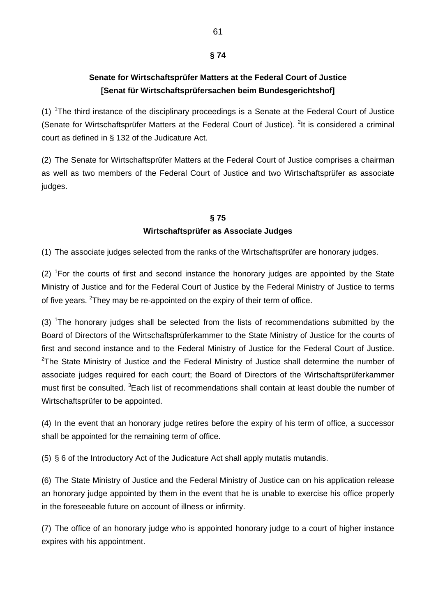## **§ 74**

# **Senate for Wirtschaftsprüfer Matters at the Federal Court of Justice [Senat für Wirtschaftsprüfersachen beim Bundesgerichtshof]**

 $(1)$  <sup>1</sup>The third instance of the disciplinary proceedings is a Senate at the Federal Court of Justice (Senate for Wirtschaftsprüfer Matters at the Federal Court of Justice). <sup>2</sup>It is considered a criminal court as defined in § 132 of the Judicature Act.

(2) The Senate for Wirtschaftsprüfer Matters at the Federal Court of Justice comprises a chairman as well as two members of the Federal Court of Justice and two Wirtschaftsprüfer as associate judges.

# **§ 75 Wirtschaftsprüfer as Associate Judges**

(1) The associate judges selected from the ranks of the Wirtschaftsprüfer are honorary judges.

 $(2)$  <sup>1</sup>For the courts of first and second instance the honorary judges are appointed by the State Ministry of Justice and for the Federal Court of Justice by the Federal Ministry of Justice to terms of five years.  $2$ They may be re-appointed on the expiry of their term of office.

(3)  $1$ The honorary judges shall be selected from the lists of recommendations submitted by the Board of Directors of the Wirtschaftsprüferkammer to the State Ministry of Justice for the courts of first and second instance and to the Federal Ministry of Justice for the Federal Court of Justice.  $2$ The State Ministry of Justice and the Federal Ministry of Justice shall determine the number of associate judges required for each court; the Board of Directors of the Wirtschaftsprüferkammer must first be consulted. <sup>3</sup> Each list of recommendations shall contain at least double the number of Wirtschaftsprüfer to be appointed.

(4) In the event that an honorary judge retires before the expiry of his term of office, a successor shall be appointed for the remaining term of office.

(5) § 6 of the Introductory Act of the Judicature Act shall apply mutatis mutandis.

(6) The State Ministry of Justice and the Federal Ministry of Justice can on his application release an honorary judge appointed by them in the event that he is unable to exercise his office properly in the foreseeable future on account of illness or infirmity.

(7) The office of an honorary judge who is appointed honorary judge to a court of higher instance expires with his appointment.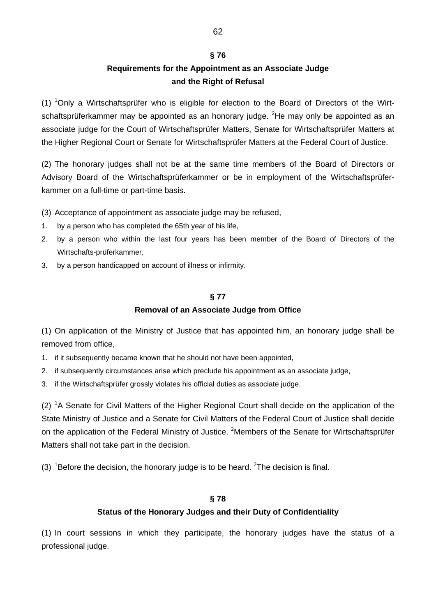#### **§ 76**

# **Requirements for the Appointment as an Associate Judge and the Right of Refusal**

(1) <sup>1</sup>Only a Wirtschaftsprüfer who is eligible for election to the Board of Directors of the Wirtschaftsprüferkammer may be appointed as an honorary judge. <sup>2</sup>He may only be appointed as an associate judge for the Court of Wirtschaftsprüfer Matters, Senate for Wirtschaftsprüfer Matters at the Higher Regional Court or Senate for Wirtschaftsprüfer Matters at the Federal Court of Justice.

(2) The honorary judges shall not be at the same time members of the Board of Directors or Advisory Board of the Wirtschaftsprüferkammer or be in employment of the Wirtschaftsprüferkammer on a full-time or part-time basis.

(3) Acceptance of appointment as associate judge may be refused,

- 1. by a person who has completed the 65th year of his life,
- 2. by a person who within the last four years has been member of the Board of Directors of the Wirtschafts-prüferkammer,
- 3. by a person handicapped on account of illness or infirmity.

# **§ 77 Removal of an Associate Judge from Office**

(1) On application of the Ministry of Justice that has appointed him, an honorary judge shall be removed from office,

- 1. if it subsequently became known that he should not have been appointed,
- 2. if subsequently circumstances arise which preclude his appointment as an associate judge,
- 3. if the Wirtschaftsprüfer grossly violates his official duties as associate judge.

 $(2)$  <sup>1</sup>A Senate for Civil Matters of the Higher Regional Court shall decide on the application of the State Ministry of Justice and a Senate for Civil Matters of the Federal Court of Justice shall decide on the application of the Federal Ministry of Justice. <sup>2</sup>Members of the Senate for Wirtschaftsprüfer Matters shall not take part in the decision.

(3)  ${}^{1}$ Before the decision, the honorary judge is to be heard.  ${}^{2}$ The decision is final.

## **§ 78**

## **Status of the Honorary Judges and their Duty of Confidentiality**

(1) In court sessions in which they participate, the honorary judges have the status of a professional judge.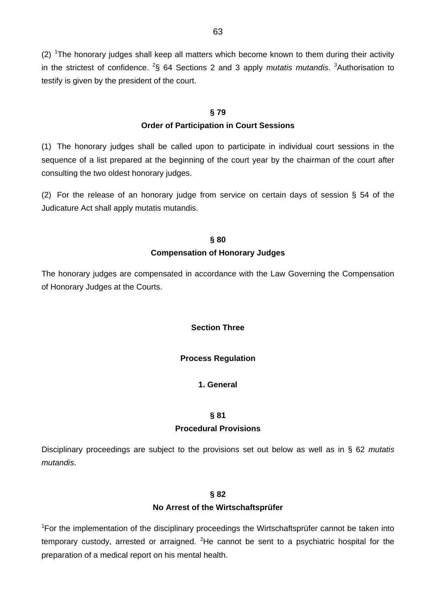$(2)$  <sup>1</sup>The honorary judges shall keep all matters which become known to them during their activity in the strictest of confidence. <sup>2</sup>§ 64 Sections 2 and 3 apply *mutatis mutandis*. <sup>3</sup>Authorisation to testify is given by the president of the court.

# **§ 79**

## **Order of Participation in Court Sessions**

(1) The honorary judges shall be called upon to participate in individual court sessions in the sequence of a list prepared at the beginning of the court year by the chairman of the court after consulting the two oldest honorary judges.

(2) For the release of an honorary judge from service on certain days of session § 54 of the Judicature Act shall apply mutatis mutandis.

## **§ 80**

## **Compensation of Honorary Judges**

The honorary judges are compensated in accordance with the Law Governing the Compensation of Honorary Judges at the Courts.

## **Section Three**

## **Process Regulation**

## **1. General**

## **§ 81**

## **Procedural Provisions**

Disciplinary proceedings are subject to the provisions set out below as well as in § 62 *mutatis mutandis*.

## **§ 82**

## **No Arrest of the Wirtschaftsprüfer**

<sup>1</sup>For the implementation of the disciplinary proceedings the Wirtschaftsprüfer cannot be taken into temporary custody, arrested or arraigned. <sup>2</sup>He cannot be sent to a psychiatric hospital for the preparation of a medical report on his mental health.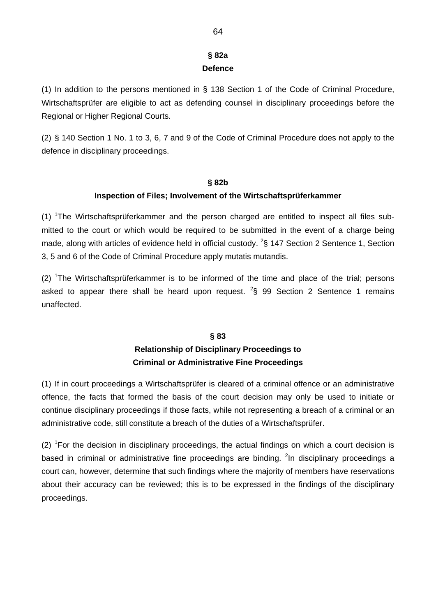# **§ 82a Defence**

(1) In addition to the persons mentioned in § 138 Section 1 of the Code of Criminal Procedure, Wirtschaftsprüfer are eligible to act as defending counsel in disciplinary proceedings before the Regional or Higher Regional Courts.

(2) § 140 Section 1 No. 1 to 3, 6, 7 and 9 of the Code of Criminal Procedure does not apply to the defence in disciplinary proceedings.

# **§ 82b Inspection of Files; Involvement of the Wirtschaftsprüferkammer**

(1)  ${}^{1}$ The Wirtschaftsprüferkammer and the person charged are entitled to inspect all files submitted to the court or which would be required to be submitted in the event of a charge being made, along with articles of evidence held in official custody.  $^{2}$ § 147 Section 2 Sentence 1, Section 3, 5 and 6 of the Code of Criminal Procedure apply mutatis mutandis.

(2) <sup>1</sup>The Wirtschaftsprüferkammer is to be informed of the time and place of the trial; persons asked to appear there shall be heard upon request.  $2\$  99 Section 2 Sentence 1 remains unaffected.

# **§ 83 Relationship of Disciplinary Proceedings to Criminal or Administrative Fine Proceedings**

(1) If in court proceedings a Wirtschaftsprüfer is cleared of a criminal offence or an administrative offence, the facts that formed the basis of the court decision may only be used to initiate or continue disciplinary proceedings if those facts, while not representing a breach of a criminal or an administrative code, still constitute a breach of the duties of a Wirtschaftsprüfer.

 $(2)$  <sup>1</sup>For the decision in disciplinary proceedings, the actual findings on which a court decision is based in criminal or administrative fine proceedings are binding. <sup>2</sup>In disciplinary proceedings a court can, however, determine that such findings where the majority of members have reservations about their accuracy can be reviewed; this is to be expressed in the findings of the disciplinary proceedings.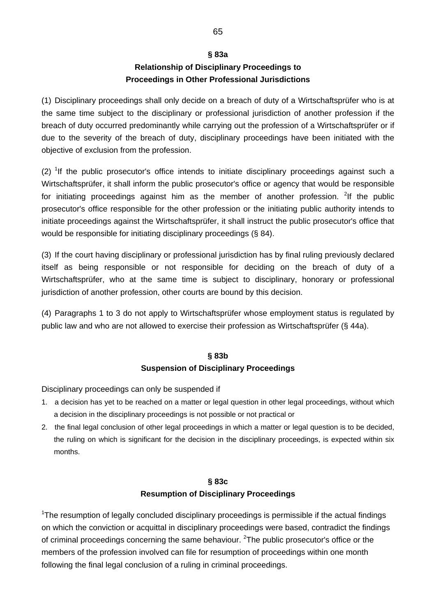# **§ 83a Relationship of Disciplinary Proceedings to Proceedings in Other Professional Jurisdictions**

(1) Disciplinary proceedings shall only decide on a breach of duty of a Wirtschaftsprüfer who is at the same time subject to the disciplinary or professional jurisdiction of another profession if the breach of duty occurred predominantly while carrying out the profession of a Wirtschaftsprüfer or if due to the severity of the breach of duty, disciplinary proceedings have been initiated with the objective of exclusion from the profession.

 $(2)$  <sup>1</sup>If the public prosecutor's office intends to initiate disciplinary proceedings against such a Wirtschaftsprüfer, it shall inform the public prosecutor's office or agency that would be responsible for initiating proceedings against him as the member of another profession. <sup>2</sup>If the public prosecutor's office responsible for the other profession or the initiating public authority intends to initiate proceedings against the Wirtschaftsprüfer, it shall instruct the public prosecutor's office that would be responsible for initiating disciplinary proceedings (§ 84).

(3) If the court having disciplinary or professional jurisdiction has by final ruling previously declared itself as being responsible or not responsible for deciding on the breach of duty of a Wirtschaftsprüfer, who at the same time is subject to disciplinary, honorary or professional jurisdiction of another profession, other courts are bound by this decision.

(4) Paragraphs 1 to 3 do not apply to Wirtschaftsprüfer whose employment status is regulated by public law and who are not allowed to exercise their profession as Wirtschaftsprüfer (§ 44a).

## **§ 83b**

## **Suspension of Disciplinary Proceedings**

Disciplinary proceedings can only be suspended if

- 1. a decision has yet to be reached on a matter or legal question in other legal proceedings, without which a decision in the disciplinary proceedings is not possible or not practical or
- 2. the final legal conclusion of other legal proceedings in which a matter or legal question is to be decided, the ruling on which is significant for the decision in the disciplinary proceedings, is expected within six months.

## **§ 83c**

## **Resumption of Disciplinary Proceedings**

<sup>1</sup>The resumption of legally concluded disciplinary proceedings is permissible if the actual findings on which the conviction or acquittal in disciplinary proceedings were based, contradict the findings of criminal proceedings concerning the same behaviour. <sup>2</sup>The public prosecutor's office or the members of the profession involved can file for resumption of proceedings within one month following the final legal conclusion of a ruling in criminal proceedings.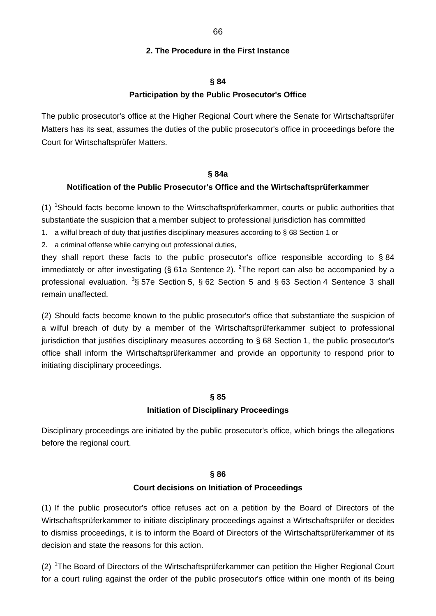#### **2. The Procedure in the First Instance**

#### **§ 84**

#### **Participation by the Public Prosecutor's Office**

The public prosecutor's office at the Higher Regional Court where the Senate for Wirtschaftsprüfer Matters has its seat, assumes the duties of the public prosecutor's office in proceedings before the Court for Wirtschaftsprüfer Matters.

#### **§ 84a**

#### **Notification of the Public Prosecutor's Office and the Wirtschaftsprüferkammer**

(1) <sup>1</sup>Should facts become known to the Wirtschaftsprüferkammer, courts or public authorities that substantiate the suspicion that a member subject to professional jurisdiction has committed

1. a wilful breach of duty that justifies disciplinary measures according to § 68 Section 1 or

2. a criminal offense while carrying out professional duties,

they shall report these facts to the public prosecutor's office responsible according to § 84 immediately or after investigating (§ 61a Sentence 2). <sup>2</sup>The report can also be accompanied by a professional evaluation.  ${}^{3}S$  57e Section 5,  $S$  62 Section 5 and  $S$  63 Section 4 Sentence 3 shall remain unaffected.

(2) Should facts become known to the public prosecutor's office that substantiate the suspicion of a wilful breach of duty by a member of the Wirtschaftsprüferkammer subject to professional jurisdiction that justifies disciplinary measures according to § 68 Section 1, the public prosecutor's office shall inform the Wirtschaftsprüferkammer and provide an opportunity to respond prior to initiating disciplinary proceedings.

#### **§ 85**

#### **Initiation of Disciplinary Proceedings**

Disciplinary proceedings are initiated by the public prosecutor's office, which brings the allegations before the regional court.

#### **§ 86**

#### **Court decisions on Initiation of Proceedings**

(1) If the public prosecutor's office refuses act on a petition by the Board of Directors of the Wirtschaftsprüferkammer to initiate disciplinary proceedings against a Wirtschaftsprüfer or decides to dismiss proceedings, it is to inform the Board of Directors of the Wirtschaftsprüferkammer of its decision and state the reasons for this action.

(2) <sup>1</sup>The Board of Directors of the Wirtschaftsprüferkammer can petition the Higher Regional Court for a court ruling against the order of the public prosecutor's office within one month of its being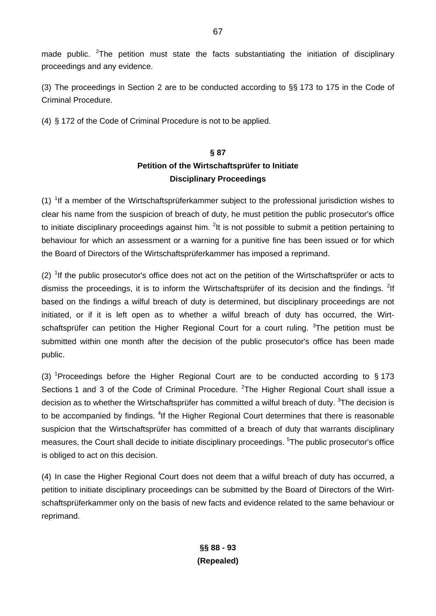made public. <sup>2</sup>The petition must state the facts substantiating the initiation of disciplinary proceedings and any evidence.

(3) The proceedings in Section 2 are to be conducted according to §§ 173 to 175 in the Code of Criminal Procedure.

(4) § 172 of the Code of Criminal Procedure is not to be applied.

# **§ 87 Petition of the Wirtschaftsprüfer to Initiate Disciplinary Proceedings**

(1)  $1$ f a member of the Wirtschaftsprüferkammer subject to the professional jurisdiction wishes to clear his name from the suspicion of breach of duty, he must petition the public prosecutor's office to initiate disciplinary proceedings against him.  ${}^{2}$ It is not possible to submit a petition pertaining to behaviour for which an assessment or a warning for a punitive fine has been issued or for which the Board of Directors of the Wirtschaftsprüferkammer has imposed a reprimand.

 $(2)$  <sup>1</sup>If the public prosecutor's office does not act on the petition of the Wirtschaftsprüfer or acts to dismiss the proceedings, it is to inform the Wirtschaftsprüfer of its decision and the findings. <sup>2</sup>If based on the findings a wilful breach of duty is determined, but disciplinary proceedings are not initiated, or if it is left open as to whether a wilful breach of duty has occurred, the Wirtschaftsprüfer can petition the Higher Regional Court for a court ruling. <sup>3</sup>The petition must be submitted within one month after the decision of the public prosecutor's office has been made public.

(3) <sup>1</sup>Proceedings before the Higher Regional Court are to be conducted according to  $§$  173 Sections 1 and 3 of the Code of Criminal Procedure.  ${}^{2}$ The Higher Regional Court shall issue a decision as to whether the Wirtschaftsprüfer has committed a wilful breach of duty. <sup>3</sup>The decision is to be accompanied by findings. <sup>4</sup>If the Higher Regional Court determines that there is reasonable suspicion that the Wirtschaftsprüfer has committed of a breach of duty that warrants disciplinary measures, the Court shall decide to initiate disciplinary proceedings. <sup>5</sup>The public prosecutor's office is obliged to act on this decision.

(4) In case the Higher Regional Court does not deem that a wilful breach of duty has occurred, a petition to initiate disciplinary proceedings can be submitted by the Board of Directors of the Wirtschaftsprüferkammer only on the basis of new facts and evidence related to the same behaviour or reprimand.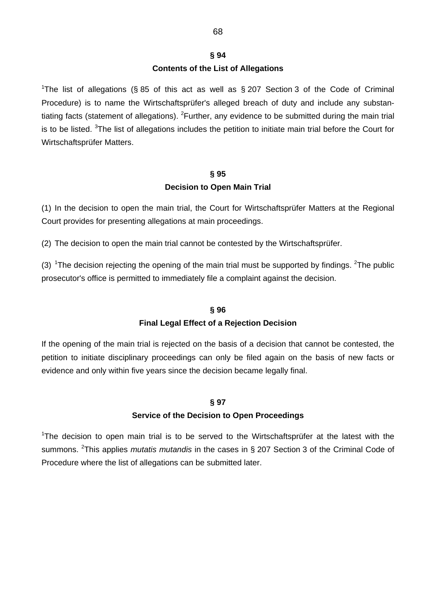# **§ 94 Contents of the List of Allegations**

<sup>1</sup>The list of allegations (§ 85 of this act as well as § 207 Section 3 of the Code of Criminal Procedure) is to name the Wirtschaftsprüfer's alleged breach of duty and include any substantiating facts (statement of allegations). <sup>2</sup>Further, any evidence to be submitted during the main trial is to be listed. <sup>3</sup>The list of allegations includes the petition to initiate main trial before the Court for Wirtschaftsprüfer Matters.

# **§ 95 Decision to Open Main Trial**

(1) In the decision to open the main trial, the Court for Wirtschaftsprüfer Matters at the Regional Court provides for presenting allegations at main proceedings.

(2) The decision to open the main trial cannot be contested by the Wirtschaftsprüfer.

(3) <sup>1</sup>The decision rejecting the opening of the main trial must be supported by findings. <sup>2</sup>The public prosecutor's office is permitted to immediately file a complaint against the decision.

## **§ 96**

## **Final Legal Effect of a Rejection Decision**

If the opening of the main trial is rejected on the basis of a decision that cannot be contested, the petition to initiate disciplinary proceedings can only be filed again on the basis of new facts or evidence and only within five years since the decision became legally final.

## **§ 97**

## **Service of the Decision to Open Proceedings**

<sup>1</sup>The decision to open main trial is to be served to the Wirtschaftsprüfer at the latest with the summons. <sup>2</sup>This applies *mutatis mutandis* in the cases in § 207 Section 3 of the Criminal Code of Procedure where the list of allegations can be submitted later.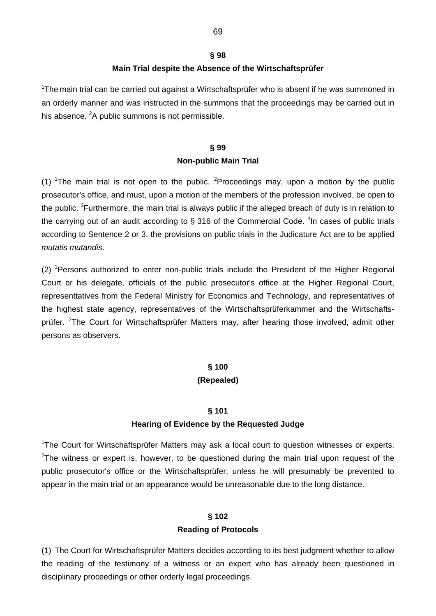# **§ 98 Main Trial despite the Absence of the Wirtschaftsprüfer**

<sup>1</sup>The main trial can be carried out against a Wirtschaftsprüfer who is absent if he was summoned in an orderly manner and was instructed in the summons that the proceedings may be carried out in his absence. <sup>2</sup>A public summons is not permissible.

# **§ 99 Non-public Main Trial**

(1) <sup>1</sup>The main trial is not open to the public. <sup>2</sup>Proceedings may, upon a motion by the public prosecutor's office, and must, upon a motion of the members of the profession involved, be open to the public. <sup>3</sup>Furthermore, the main trial is always public if the alleged breach of duty is in relation to the carrying out of an audit according to § 316 of the Commercial Code.  $4$ In cases of public trials according to Sentence 2 or 3, the provisions on public trials in the Judicature Act are to be applied *mutatis mutandis*.

 $(2)$  <sup>1</sup> Persons authorized to enter non-public trials include the President of the Higher Regional Court or his delegate, officials of the public prosecutor's office at the Higher Regional Court, representtatives from the Federal Ministry for Economics and Technology, and representatives of the highest state agency, representatives of the Wirtschaftsprüferkammer and the Wirtschaftsprüfer. <sup>2</sup>The Court for Wirtschaftsprüfer Matters may, after hearing those involved, admit other persons as observers.

## **§ 100**

## **(Repealed)**

## **§ 101**

## **Hearing of Evidence by the Requested Judge**

<sup>1</sup>The Court for Wirtschaftsprüfer Matters may ask a local court to question witnesses or experts. <sup>2</sup>The witness or expert is, however, to be questioned during the main trial upon request of the public prosecutor's office or the Wirtschaftsprüfer, unless he will presumably be prevented to appear in the main trial or an appearance would be unreasonable due to the long distance.

## **§ 102**

## **Reading of Protocols**

(1) The Court for Wirtschaftsprüfer Matters decides according to its best judgment whether to allow the reading of the testimony of a witness or an expert who has already been questioned in disciplinary proceedings or other orderly legal proceedings.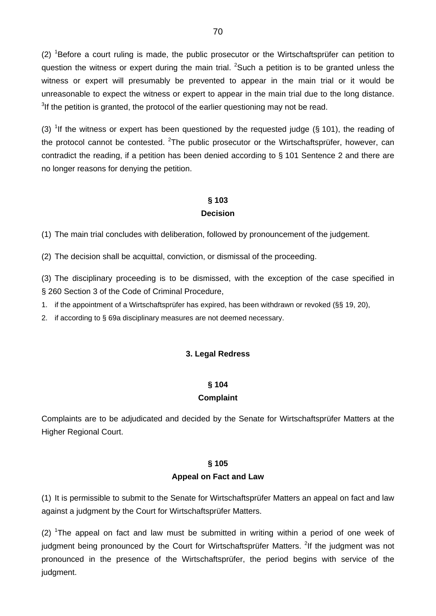$(2)$  <sup>1</sup>Before a court ruling is made, the public prosecutor or the Wirtschaftsprüfer can petition to question the witness or expert during the main trial.  ${}^{2}$ Such a petition is to be granted unless the witness or expert will presumably be prevented to appear in the main trial or it would be unreasonable to expect the witness or expert to appear in the main trial due to the long distance.  $3$ If the petition is granted, the protocol of the earlier questioning may not be read.

(3) <sup>1</sup>If the witness or expert has been questioned by the requested judge (§ 101), the reading of the protocol cannot be contested. <sup>2</sup>The public prosecutor or the Wirtschaftsprüfer, however, can contradict the reading, if a petition has been denied according to § 101 Sentence 2 and there are no longer reasons for denying the petition.

## **§ 103 Decision**

(1) The main trial concludes with deliberation, followed by pronouncement of the judgement.

(2) The decision shall be acquittal, conviction, or dismissal of the proceeding.

(3) The disciplinary proceeding is to be dismissed, with the exception of the case specified in § 260 Section 3 of the Code of Criminal Procedure,

1. if the appointment of a Wirtschaftsprüfer has expired, has been withdrawn or revoked (§§ 19, 20),

2. if according to § 69a disciplinary measures are not deemed necessary.

#### **3. Legal Redress**

#### **§ 104**

#### **Complaint**

Complaints are to be adjudicated and decided by the Senate for Wirtschaftsprüfer Matters at the Higher Regional Court.

#### **§ 105**

#### **Appeal on Fact and Law**

(1) It is permissible to submit to the Senate for Wirtschaftsprüfer Matters an appeal on fact and law against a judgment by the Court for Wirtschaftsprüfer Matters.

 $(2)$  <sup>1</sup>The appeal on fact and law must be submitted in writing within a period of one week of judgment being pronounced by the Court for Wirtschaftsprüfer Matters. <sup>2</sup>If the judgment was not pronounced in the presence of the Wirtschaftsprüfer, the period begins with service of the judgment.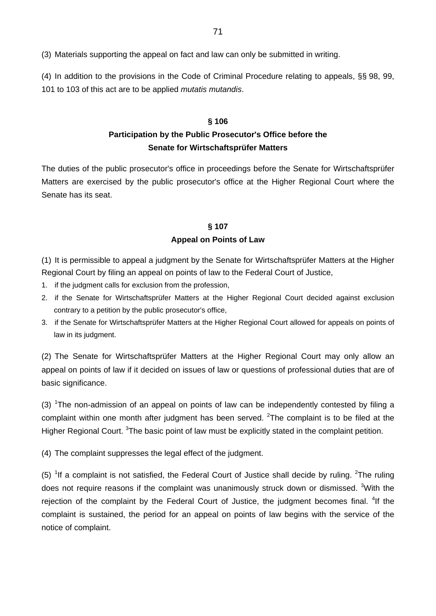(3) Materials supporting the appeal on fact and law can only be submitted in writing.

(4) In addition to the provisions in the Code of Criminal Procedure relating to appeals, §§ 98, 99, 101 to 103 of this act are to be applied *mutatis mutandis*.

#### **§ 106**

# **Participation by the Public Prosecutor's Office before the Senate for Wirtschaftsprüfer Matters**

The duties of the public prosecutor's office in proceedings before the Senate for Wirtschaftsprüfer Matters are exercised by the public prosecutor's office at the Higher Regional Court where the Senate has its seat.

# **§ 107 Appeal on Points of Law**

(1) It is permissible to appeal a judgment by the Senate for Wirtschaftsprüfer Matters at the Higher Regional Court by filing an appeal on points of law to the Federal Court of Justice,

- 1. if the judgment calls for exclusion from the profession,
- 2. if the Senate for Wirtschaftsprüfer Matters at the Higher Regional Court decided against exclusion contrary to a petition by the public prosecutor's office,
- 3. if the Senate for Wirtschaftsprüfer Matters at the Higher Regional Court allowed for appeals on points of law in its judgment.

(2) The Senate for Wirtschaftsprüfer Matters at the Higher Regional Court may only allow an appeal on points of law if it decided on issues of law or questions of professional duties that are of basic significance.

(3)  $1$ The non-admission of an appeal on points of law can be independently contested by filing a complaint within one month after judgment has been served.  $2$ The complaint is to be filed at the Higher Regional Court. <sup>3</sup>The basic point of law must be explicitly stated in the complaint petition.

(4) The complaint suppresses the legal effect of the judgment.

(5) <sup>1</sup>If a complaint is not satisfied, the Federal Court of Justice shall decide by ruling. <sup>2</sup>The ruling does not require reasons if the complaint was unanimously struck down or dismissed. <sup>3</sup>With the rejection of the complaint by the Federal Court of Justice, the judgment becomes final. <sup>4</sup>If the complaint is sustained, the period for an appeal on points of law begins with the service of the notice of complaint.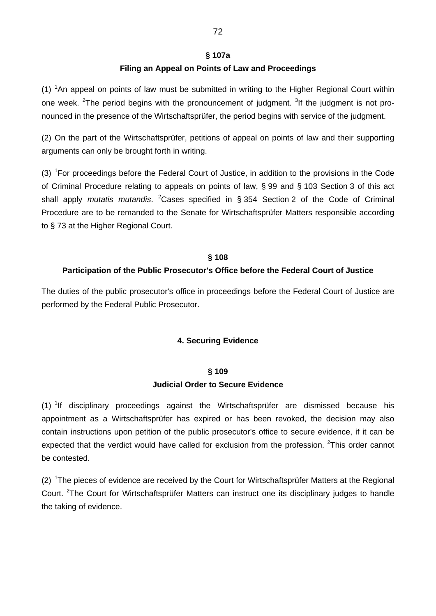#### **§ 107a**

## **Filing an Appeal on Points of Law and Proceedings**

(1)  ${}^{1}$ An appeal on points of law must be submitted in writing to the Higher Regional Court within one week. <sup>2</sup>The period begins with the pronouncement of judgment. <sup>3</sup>If the judgment is not pronounced in the presence of the Wirtschaftsprüfer, the period begins with service of the judgment.

(2) On the part of the Wirtschaftsprüfer, petitions of appeal on points of law and their supporting arguments can only be brought forth in writing.

(3)  $1$ For proceedings before the Federal Court of Justice, in addition to the provisions in the Code of Criminal Procedure relating to appeals on points of law, § 99 and § 103 Section 3 of this act shall apply *mutatis mutandis*. <sup>2</sup> Cases specified in § 354 Section 2 of the Code of Criminal Procedure are to be remanded to the Senate for Wirtschaftsprüfer Matters responsible according to § 73 at the Higher Regional Court.

## **§ 108**

## **Participation of the Public Prosecutor's Office before the Federal Court of Justice**

The duties of the public prosecutor's office in proceedings before the Federal Court of Justice are performed by the Federal Public Prosecutor.

## **4. Securing Evidence**

## **§ 109 Judicial Order to Secure Evidence**

(1) <sup>1</sup>If disciplinary proceedings against the Wirtschaftsprüfer are dismissed because his appointment as a Wirtschaftsprüfer has expired or has been revoked, the decision may also contain instructions upon petition of the public prosecutor's office to secure evidence, if it can be expected that the verdict would have called for exclusion from the profession. <sup>2</sup>This order cannot be contested.

 $(2)$  <sup>1</sup>The pieces of evidence are received by the Court for Wirtschaftsprüfer Matters at the Regional Court. <sup>2</sup>The Court for Wirtschaftsprüfer Matters can instruct one its disciplinary judges to handle the taking of evidence.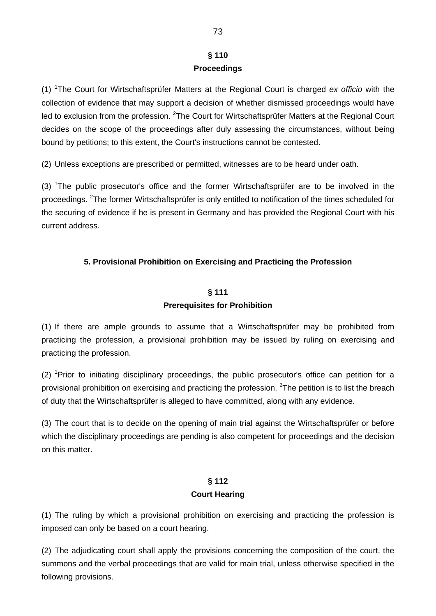# **§ 110 Proceedings**

(1) <sup>1</sup> The Court for Wirtschaftsprüfer Matters at the Regional Court is charged *ex officio* with the collection of evidence that may support a decision of whether dismissed proceedings would have led to exclusion from the profession. <sup>2</sup>The Court for Wirtschaftsprüfer Matters at the Regional Court decides on the scope of the proceedings after duly assessing the circumstances, without being bound by petitions; to this extent, the Court's instructions cannot be contested.

(2) Unless exceptions are prescribed or permitted, witnesses are to be heard under oath.

(3) <sup>1</sup>The public prosecutor's office and the former Wirtschaftsprüfer are to be involved in the proceedings. <sup>2</sup>The former Wirtschaftsprüfer is only entitled to notification of the times scheduled for the securing of evidence if he is present in Germany and has provided the Regional Court with his current address.

# **5. Provisional Prohibition on Exercising and Practicing the Profession**

# **§ 111 Prerequisites for Prohibition**

(1) If there are ample grounds to assume that a Wirtschaftsprüfer may be prohibited from practicing the profession, a provisional prohibition may be issued by ruling on exercising and practicing the profession.

(2) <sup>1</sup>Prior to initiating disciplinary proceedings, the public prosecutor's office can petition for a provisional prohibition on exercising and practicing the profession. <sup>2</sup>The petition is to list the breach of duty that the Wirtschaftsprüfer is alleged to have committed, along with any evidence.

(3) The court that is to decide on the opening of main trial against the Wirtschaftsprüfer or before which the disciplinary proceedings are pending is also competent for proceedings and the decision on this matter.

# **§ 112 Court Hearing**

(1) The ruling by which a provisional prohibition on exercising and practicing the profession is imposed can only be based on a court hearing.

(2) The adjudicating court shall apply the provisions concerning the composition of the court, the summons and the verbal proceedings that are valid for main trial, unless otherwise specified in the following provisions.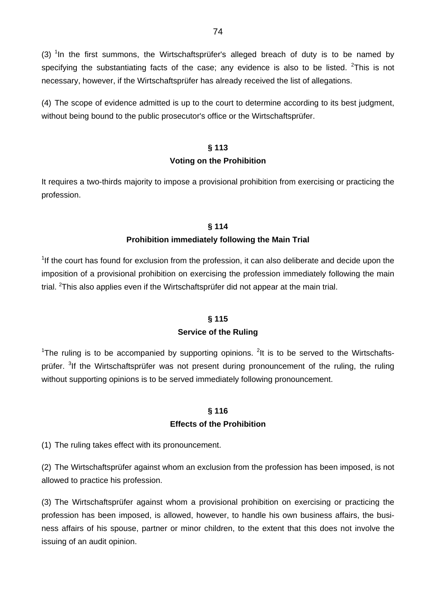(3) <sup>1</sup>In the first summons, the Wirtschaftsprüfer's alleged breach of duty is to be named by specifying the substantiating facts of the case; any evidence is also to be listed.  $2$ This is not necessary, however, if the Wirtschaftsprüfer has already received the list of allegations.

(4) The scope of evidence admitted is up to the court to determine according to its best judgment, without being bound to the public prosecutor's office or the Wirtschaftsprüfer.

### **§ 113**

### **Voting on the Prohibition**

It requires a two-thirds majority to impose a provisional prohibition from exercising or practicing the profession.

### **§ 114**

# **Prohibition immediately following the Main Trial**

 $1$ If the court has found for exclusion from the profession, it can also deliberate and decide upon the imposition of a provisional prohibition on exercising the profession immediately following the main trial. <sup>2</sup>This also applies even if the Wirtschaftsprüfer did not appear at the main trial.

# **§ 115**

# **Service of the Ruling**

<sup>1</sup>The ruling is to be accompanied by supporting opinions. <sup>2</sup>It is to be served to the Wirtschaftsprüfer. <sup>3</sup>If the Wirtschaftsprüfer was not present during pronouncement of the ruling, the ruling without supporting opinions is to be served immediately following pronouncement.

# **§ 116 Effects of the Prohibition**

(1) The ruling takes effect with its pronouncement.

(2) The Wirtschaftsprüfer against whom an exclusion from the profession has been imposed, is not allowed to practice his profession.

(3) The Wirtschaftsprüfer against whom a provisional prohibition on exercising or practicing the profession has been imposed, is allowed, however, to handle his own business affairs, the business affairs of his spouse, partner or minor children, to the extent that this does not involve the issuing of an audit opinion.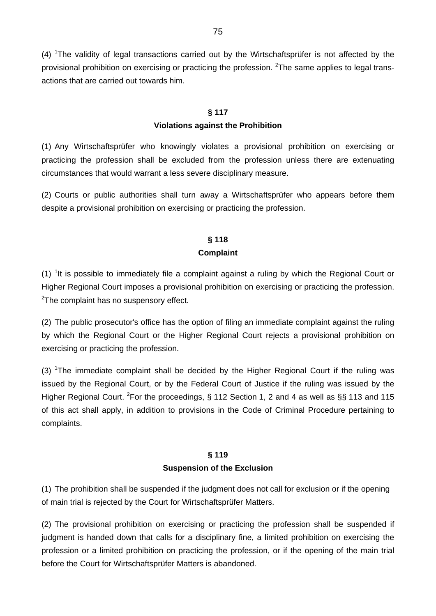$(4)$  <sup>1</sup>The validity of legal transactions carried out by the Wirtschaftsprüfer is not affected by the provisional prohibition on exercising or practicing the profession. <sup>2</sup>The same applies to legal transactions that are carried out towards him.

# **§ 117 Violations against the Prohibition**

(1) Any Wirtschaftsprüfer who knowingly violates a provisional prohibition on exercising or practicing the profession shall be excluded from the profession unless there are extenuating circumstances that would warrant a less severe disciplinary measure.

(2) Courts or public authorities shall turn away a Wirtschaftsprüfer who appears before them despite a provisional prohibition on exercising or practicing the profession.

# **§ 118 Complaint**

 $(1)$  <sup>1</sup>It is possible to immediately file a complaint against a ruling by which the Regional Court or Higher Regional Court imposes a provisional prohibition on exercising or practicing the profession. <sup>2</sup>The complaint has no suspensory effect.

(2) The public prosecutor's office has the option of filing an immediate complaint against the ruling by which the Regional Court or the Higher Regional Court rejects a provisional prohibition on exercising or practicing the profession.

(3) <sup>1</sup>The immediate complaint shall be decided by the Higher Regional Court if the ruling was issued by the Regional Court, or by the Federal Court of Justice if the ruling was issued by the Higher Regional Court. <sup>2</sup>For the proceedings, § 112 Section 1, 2 and 4 as well as §§ 113 and 115 of this act shall apply, in addition to provisions in the Code of Criminal Procedure pertaining to complaints.

# **§ 119 Suspension of the Exclusion**

(1) The prohibition shall be suspended if the judgment does not call for exclusion or if the opening of main trial is rejected by the Court for Wirtschaftsprüfer Matters.

(2) The provisional prohibition on exercising or practicing the profession shall be suspended if judgment is handed down that calls for a disciplinary fine, a limited prohibition on exercising the profession or a limited prohibition on practicing the profession, or if the opening of the main trial before the Court for Wirtschaftsprüfer Matters is abandoned.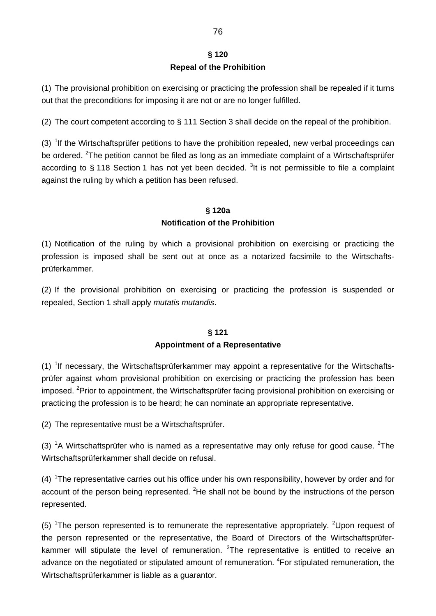# **§ 120 Repeal of the Prohibition**

(1) The provisional prohibition on exercising or practicing the profession shall be repealed if it turns out that the preconditions for imposing it are not or are no longer fulfilled.

(2) The court competent according to § 111 Section 3 shall decide on the repeal of the prohibition.

(3)  $1$ If the Wirtschaftsprüfer petitions to have the prohibition repealed, new verbal proceedings can be ordered. <sup>2</sup>The petition cannot be filed as long as an immediate complaint of a Wirtschaftsprüfer according to § 118 Section 1 has not yet been decided. <sup>3</sup>It is not permissible to file a complaint against the ruling by which a petition has been refused.

# **§ 120a Notification of the Prohibition**

(1) Notification of the ruling by which a provisional prohibition on exercising or practicing the profession is imposed shall be sent out at once as a notarized facsimile to the Wirtschaftsprüferkammer.

(2) If the provisional prohibition on exercising or practicing the profession is suspended or repealed, Section 1 shall apply *mutatis mutandis*.

# **§ 121 Appointment of a Representative**

(1)  $1$ f necessary, the Wirtschaftsprüferkammer may appoint a representative for the Wirtschaftsprüfer against whom provisional prohibition on exercising or practicing the profession has been imposed. <sup>2</sup>Prior to appointment, the Wirtschaftsprüfer facing provisional prohibition on exercising or practicing the profession is to be heard; he can nominate an appropriate representative.

(2) The representative must be a Wirtschaftsprüfer.

(3) <sup>1</sup>A Wirtschaftsprüfer who is named as a representative may only refuse for good cause. <sup>2</sup>The Wirtschaftsprüferkammer shall decide on refusal.

 $(4)$  <sup>1</sup>The representative carries out his office under his own responsibility, however by order and for account of the person being represented.  ${}^{2}$ He shall not be bound by the instructions of the person represented.

(5) <sup>1</sup>The person represented is to remunerate the representative appropriately. <sup>2</sup>Upon request of the person represented or the representative, the Board of Directors of the Wirtschaftsprüferkammer will stipulate the level of remuneration.  $3$ The representative is entitled to receive an advance on the negotiated or stipulated amount of remuneration. <sup>4</sup>For stipulated remuneration, the Wirtschaftsprüferkammer is liable as a guarantor.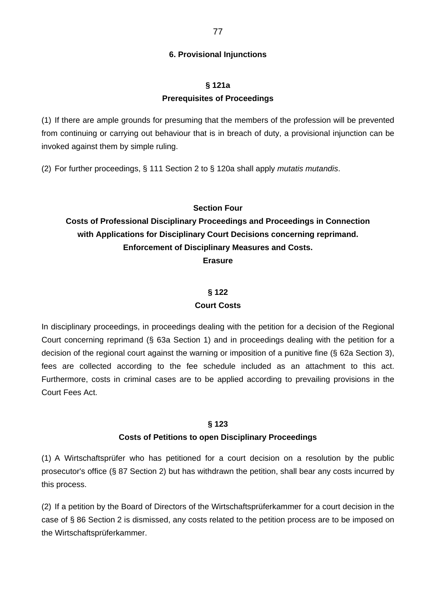### **6. Provisional Injunctions**

# **§ 121a Prerequisites of Proceedings**

(1) If there are ample grounds for presuming that the members of the profession will be prevented from continuing or carrying out behaviour that is in breach of duty, a provisional injunction can be invoked against them by simple ruling.

(2) For further proceedings, § 111 Section 2 to § 120a shall apply *mutatis mutandis*.

### **Section Four**

# **Costs of Professional Disciplinary Proceedings and Proceedings in Connection with Applications for Disciplinary Court Decisions concerning reprimand. Enforcement of Disciplinary Measures and Costs. Erasure**

#### **§ 122**

#### **Court Costs**

In disciplinary proceedings, in proceedings dealing with the petition for a decision of the Regional Court concerning reprimand (§ 63a Section 1) and in proceedings dealing with the petition for a decision of the regional court against the warning or imposition of a punitive fine (§ 62a Section 3), fees are collected according to the fee schedule included as an attachment to this act. Furthermore, costs in criminal cases are to be applied according to prevailing provisions in the Court Fees Act.

#### **§ 123**

#### **Costs of Petitions to open Disciplinary Proceedings**

(1) A Wirtschaftsprüfer who has petitioned for a court decision on a resolution by the public prosecutor's office (§ 87 Section 2) but has withdrawn the petition, shall bear any costs incurred by this process.

(2) If a petition by the Board of Directors of the Wirtschaftsprüferkammer for a court decision in the case of § 86 Section 2 is dismissed, any costs related to the petition process are to be imposed on the Wirtschaftsprüferkammer.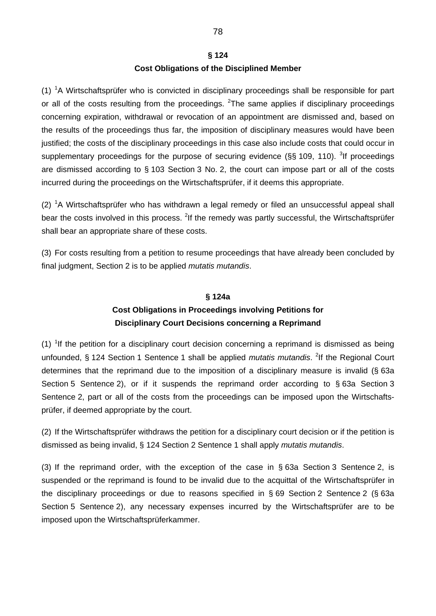# **§ 124 Cost Obligations of the Disciplined Member**

 $(1)$  <sup>1</sup>A Wirtschaftsprüfer who is convicted in disciplinary proceedings shall be responsible for part or all of the costs resulting from the proceedings. <sup>2</sup>The same applies if disciplinary proceedings concerning expiration, withdrawal or revocation of an appointment are dismissed and, based on the results of the proceedings thus far, the imposition of disciplinary measures would have been justified; the costs of the disciplinary proceedings in this case also include costs that could occur in supplementary proceedings for the purpose of securing evidence ( $\S$ § 109, 110). <sup>3</sup>If proceedings are dismissed according to § 103 Section 3 No. 2, the court can impose part or all of the costs incurred during the proceedings on the Wirtschaftsprüfer, if it deems this appropriate.

 $(2)$  <sup>1</sup>A Wirtschaftsprüfer who has withdrawn a legal remedy or filed an unsuccessful appeal shall bear the costs involved in this process. <sup>2</sup>If the remedy was partly successful, the Wirtschaftsprüfer shall bear an appropriate share of these costs.

(3) For costs resulting from a petition to resume proceedings that have already been concluded by final judgment, Section 2 is to be applied *mutatis mutandis*.

# **§ 124a Cost Obligations in Proceedings involving Petitions for Disciplinary Court Decisions concerning a Reprimand**

 $(1)$  <sup>1</sup>If the petition for a disciplinary court decision concerning a reprimand is dismissed as being unfounded, § 124 Section 1 Sentence 1 shall be applied *mutatis mutandis*. <sup>2</sup>If the Regional Court determines that the reprimand due to the imposition of a disciplinary measure is invalid (§ 63a Section 5 Sentence 2), or if it suspends the reprimand order according to § 63a Section 3 Sentence 2, part or all of the costs from the proceedings can be imposed upon the Wirtschaftsprüfer, if deemed appropriate by the court.

(2) If the Wirtschaftsprüfer withdraws the petition for a disciplinary court decision or if the petition is dismissed as being invalid, § 124 Section 2 Sentence 1 shall apply *mutatis mutandis*.

(3) If the reprimand order, with the exception of the case in § 63a Section 3 Sentence 2, is suspended or the reprimand is found to be invalid due to the acquittal of the Wirtschaftsprüfer in the disciplinary proceedings or due to reasons specified in § 69 Section 2 Sentence 2 (§ 63a Section 5 Sentence 2), any necessary expenses incurred by the Wirtschaftsprüfer are to be imposed upon the Wirtschaftsprüferkammer.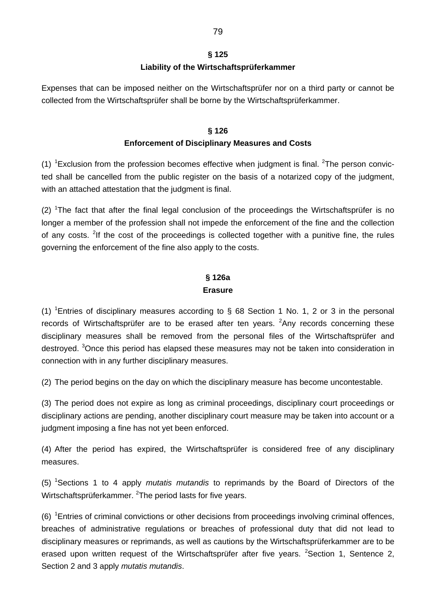# **§ 125 Liability of the Wirtschaftsprüferkammer**

Expenses that can be imposed neither on the Wirtschaftsprüfer nor on a third party or cannot be collected from the Wirtschaftsprüfer shall be borne by the Wirtschaftsprüferkammer.

# **§ 126 Enforcement of Disciplinary Measures and Costs**

(1)  ${}^{1}$ Exclusion from the profession becomes effective when judgment is final. <sup>2</sup>The person convicted shall be cancelled from the public register on the basis of a notarized copy of the judgment, with an attached attestation that the judgment is final.

 $(2)$  <sup>1</sup>The fact that after the final legal conclusion of the proceedings the Wirtschaftsprüfer is no longer a member of the profession shall not impede the enforcement of the fine and the collection of any costs. <sup>2</sup>If the cost of the proceedings is collected together with a punitive fine, the rules governing the enforcement of the fine also apply to the costs.

# **§ 126a Erasure**

(1) <sup>1</sup>Entries of disciplinary measures according to  $\S$  68 Section 1 No. 1, 2 or 3 in the personal records of Wirtschaftsprüfer are to be erased after ten years.  $2$ Any records concerning these disciplinary measures shall be removed from the personal files of the Wirtschaftsprüfer and destroyed. <sup>3</sup>Once this period has elapsed these measures may not be taken into consideration in connection with in any further disciplinary measures.

(2) The period begins on the day on which the disciplinary measure has become uncontestable.

(3) The period does not expire as long as criminal proceedings, disciplinary court proceedings or disciplinary actions are pending, another disciplinary court measure may be taken into account or a judgment imposing a fine has not yet been enforced.

(4) After the period has expired, the Wirtschaftsprüfer is considered free of any disciplinary measures.

(5) <sup>1</sup> Sections 1 to 4 apply *mutatis mutandis* to reprimands by the Board of Directors of the Wirtschaftsprüferkammer. <sup>2</sup>The period lasts for five years.

 $(6)$ <sup>1</sup> Entries of criminal convictions or other decisions from proceedings involving criminal offences, breaches of administrative regulations or breaches of professional duty that did not lead to disciplinary measures or reprimands, as well as cautions by the Wirtschaftsprüferkammer are to be erased upon written request of the Wirtschaftsprüfer after five years. <sup>2</sup>Section 1, Sentence 2, Section 2 and 3 apply *mutatis mutandis*.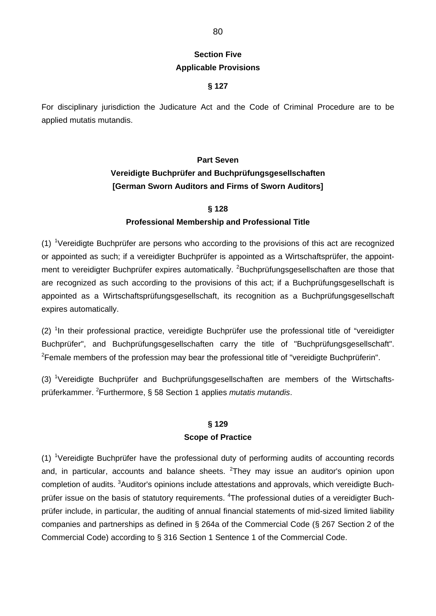# **Section Five Applicable Provisions**

### **§ 127**

For disciplinary jurisdiction the Judicature Act and the Code of Criminal Procedure are to be applied mutatis mutandis.

# **Part Seven Vereidigte Buchprüfer and Buchprüfungsgesellschaften [German Sworn Auditors and Firms of Sworn Auditors]**

### **§ 128**

### **Professional Membership and Professional Title**

 $(1)$  <sup>1</sup>Vereidigte Buchprüfer are persons who according to the provisions of this act are recognized or appointed as such; if a vereidigter Buchprüfer is appointed as a Wirtschaftsprüfer, the appointment to vereidigter Buchprüfer expires automatically. <sup>2</sup>Buchprüfungsgesellschaften are those that are recognized as such according to the provisions of this act; if a Buchprüfungsgesellschaft is appointed as a Wirtschaftsprüfungsgesellschaft, its recognition as a Buchprüfungsgesellschaft expires automatically.

 $(2)$  <sup>1</sup>In their professional practice, vereidigte Buchprüfer use the professional title of "vereidigter Buchprüfer", and Buchprüfungsgesellschaften carry the title of "Buchprüfungsgesellschaft". <sup>2</sup> Female members of the profession may bear the professional title of "vereidigte Buchprüferin".

(3) <sup>1</sup>Vereidigte Buchprüfer and Buchprüfungsgesellschaften are members of the Wirtschaftsprüferkammer. <sup>2</sup> Furthermore, § 58 Section 1 applies *mutatis mutandis*.

# **§ 129 Scope of Practice**

(1) <sup>1</sup>Vereidigte Buchprüfer have the professional duty of performing audits of accounting records and, in particular, accounts and balance sheets. <sup>2</sup>They may issue an auditor's opinion upon completion of audits. <sup>3</sup>Auditor's opinions include attestations and approvals, which vereidigte Buchprüfer issue on the basis of statutory requirements. <sup>4</sup>The professional duties of a vereidigter Buchprüfer include, in particular, the auditing of annual financial statements of mid-sized limited liability companies and partnerships as defined in § 264a of the Commercial Code (§ 267 Section 2 of the Commercial Code) according to § 316 Section 1 Sentence 1 of the Commercial Code.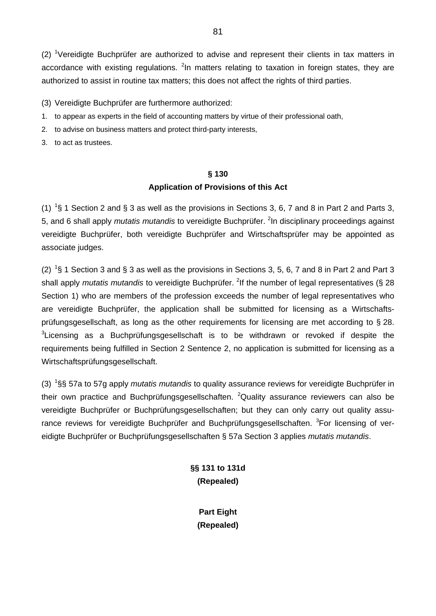$(2)$  <sup>1</sup>Vereidigte Buchprüfer are authorized to advise and represent their clients in tax matters in accordance with existing regulations. <sup>2</sup>In matters relating to taxation in foreign states, they are authorized to assist in routine tax matters; this does not affect the rights of third parties.

(3) Vereidigte Buchprüfer are furthermore authorized:

- 1. to appear as experts in the field of accounting matters by virtue of their professional oath,
- 2. to advise on business matters and protect third-party interests,
- 3. to act as trustees.

### **§ 130**

### **Application of Provisions of this Act**

(1) <sup>1</sup>§ 1 Section 2 and § 3 as well as the provisions in Sections 3, 6, 7 and 8 in Part 2 and Parts 3, 5, and 6 shall apply *mutatis mutandis* to vereidigte Buchprüfer. <sup>2</sup>In disciplinary proceedings against vereidigte Buchprüfer, both vereidigte Buchprüfer and Wirtschaftsprüfer may be appointed as associate judges.

(2) <sup>1</sup>§ 1 Section 3 and § 3 as well as the provisions in Sections 3, 5, 6, 7 and 8 in Part 2 and Part 3 shall apply *mutatis mutandis* to vereidigte Buchprüfer. <sup>2</sup>If the number of legal representatives (§ 28 Section 1) who are members of the profession exceeds the number of legal representatives who are vereidigte Buchprüfer, the application shall be submitted for licensing as a Wirtschaftsprüfungsgesellschaft, as long as the other requirements for licensing are met according to § 28.  $3$ Licensing as a Buchprüfungsgesellschaft is to be withdrawn or revoked if despite the requirements being fulfilled in Section 2 Sentence 2, no application is submitted for licensing as a Wirtschaftsprüfungsgesellschaft.

(3) <sup>1</sup> §§ 57a to 57g apply *mutatis mutandis* to quality assurance reviews for vereidigte Buchprüfer in their own practice and Buchprüfungsgesellschaften. <sup>2</sup>Quality assurance reviewers can also be vereidigte Buchprüfer or Buchprüfungsgesellschaften; but they can only carry out quality assurance reviews for vereidigte Buchprüfer and Buchprüfungsgesellschaften. <sup>3</sup>For licensing of vereidigte Buchprüfer or Buchprüfungsgesellschaften § 57a Section 3 applies *mutatis mutandis*.

> **§§ 131 to 131d (Repealed)**

> > **Part Eight (Repealed)**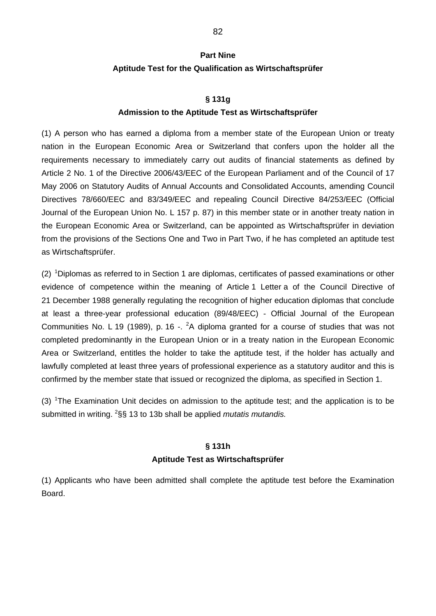# **Part Nine Aptitude Test for the Qualification as Wirtschaftsprüfer**

#### **§ 131g**

#### **Admission to the Aptitude Test as Wirtschaftsprüfer**

(1) A person who has earned a diploma from a member state of the European Union or treaty nation in the European Economic Area or Switzerland that confers upon the holder all the requirements necessary to immediately carry out audits of financial statements as defined by Article 2 No. 1 of the Directive 2006/43/EEC of the European Parliament and of the Council of 17 May 2006 on Statutory Audits of Annual Accounts and Consolidated Accounts, amending Council Directives 78/660/EEC and 83/349/EEC and repealing Council Directive 84/253/EEC (Official Journal of the European Union No. L 157 p. 87) in this member state or in another treaty nation in the European Economic Area or Switzerland, can be appointed as Wirtschaftsprüfer in deviation from the provisions of the Sections One and Two in Part Two, if he has completed an aptitude test as Wirtschaftsprüfer.

(2)  $1$ Diplomas as referred to in Section 1 are diplomas, certificates of passed examinations or other evidence of competence within the meaning of Article 1 Letter a of the Council Directive of 21 December 1988 generally regulating the recognition of higher education diplomas that conclude at least a three-year professional education (89/48/EEC) - Official Journal of the European Communities No. L 19 (1989), p. 16 -.  ${}^{2}$ A diploma granted for a course of studies that was not completed predominantly in the European Union or in a treaty nation in the European Economic Area or Switzerland, entitles the holder to take the aptitude test, if the holder has actually and lawfully completed at least three years of professional experience as a statutory auditor and this is confirmed by the member state that issued or recognized the diploma, as specified in Section 1.

(3) <sup>1</sup>The Examination Unit decides on admission to the aptitude test; and the application is to be submitted in writing. <sup>2</sup>§§ 13 to 13b shall be applied *mutatis mutandis.* 

#### **§ 131h**

#### **Aptitude Test as Wirtschaftsprüfer**

(1) Applicants who have been admitted shall complete the aptitude test before the Examination Board.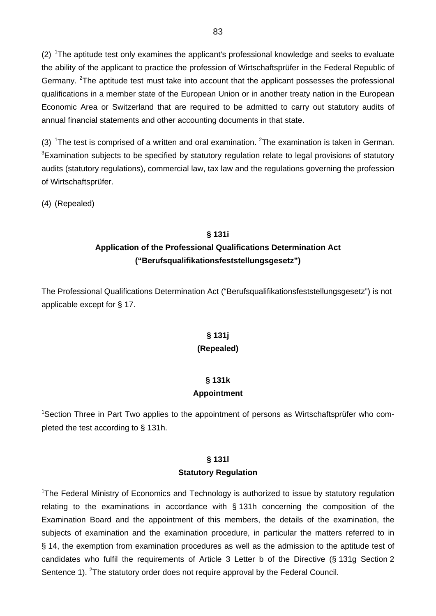$(2)$  <sup>1</sup>The aptitude test only examines the applicant's professional knowledge and seeks to evaluate the ability of the applicant to practice the profession of Wirtschaftsprüfer in the Federal Republic of Germany. <sup>2</sup>The aptitude test must take into account that the applicant possesses the professional qualifications in a member state of the European Union or in another treaty nation in the European Economic Area or Switzerland that are required to be admitted to carry out statutory audits of annual financial statements and other accounting documents in that state.

(3) <sup>1</sup>The test is comprised of a written and oral examination. <sup>2</sup>The examination is taken in German.  ${}^{3}$ Examination subjects to be specified by statutory regulation relate to legal provisions of statutory audits (statutory regulations), commercial law, tax law and the regulations governing the profession of Wirtschaftsprüfer.

(4) (Repealed)

### **§ 131i**

# **Application of the Professional Qualifications Determination Act ("Berufsqualifikationsfeststellungsgesetz")**

The Professional Qualifications Determination Act ("Berufsqualifikationsfeststellungsgesetz") is not applicable except for § 17.

# **§ 131j (Repealed)**

# **§ 131k**

### **Appointment**

<sup>1</sup>Section Three in Part Two applies to the appointment of persons as Wirtschaftsprüfer who completed the test according to § 131h.

# **§ 131l**

### **Statutory Regulation**

<sup>1</sup>The Federal Ministry of Economics and Technology is authorized to issue by statutory regulation relating to the examinations in accordance with § 131h concerning the composition of the Examination Board and the appointment of this members, the details of the examination, the subjects of examination and the examination procedure, in particular the matters referred to in § 14, the exemption from examination procedures as well as the admission to the aptitude test of candidates who fulfil the requirements of Article 3 Letter b of the Directive (§ 131g Section 2 Sentence 1). <sup>2</sup>The statutory order does not require approval by the Federal Council.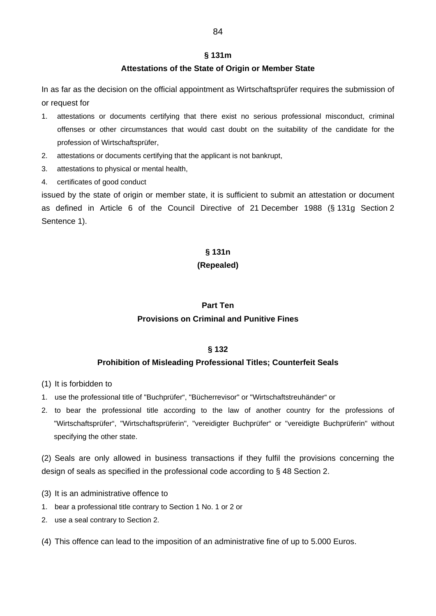#### **§ 131m**

#### **Attestations of the State of Origin or Member State**

In as far as the decision on the official appointment as Wirtschaftsprüfer requires the submission of or request for

- 1. attestations or documents certifying that there exist no serious professional misconduct, criminal offenses or other circumstances that would cast doubt on the suitability of the candidate for the profession of Wirtschaftsprüfer,
- 2. attestations or documents certifying that the applicant is not bankrupt,
- 3. attestations to physical or mental health,
- 4. certificates of good conduct

issued by the state of origin or member state, it is sufficient to submit an attestation or document as defined in Article 6 of the Council Directive of 21 December 1988 (§ 131g Section 2 Sentence 1).

### **§ 131n**

### **(Repealed)**

# **Part Ten Provisions on Criminal and Punitive Fines**

### **§ 132**

#### **Prohibition of Misleading Professional Titles; Counterfeit Seals**

- (1) It is forbidden to
- 1. use the professional title of "Buchprüfer", "Bücherrevisor" or "Wirtschaftstreuhänder" or
- 2. to bear the professional title according to the law of another country for the professions of "Wirtschaftsprüfer", "Wirtschaftsprüferin", "vereidigter Buchprüfer" or "vereidigte Buchprüferin" without specifying the other state.

(2) Seals are only allowed in business transactions if they fulfil the provisions concerning the design of seals as specified in the professional code according to § 48 Section 2.

- (3) It is an administrative offence to
- 1. bear a professional title contrary to Section 1 No. 1 or 2 or
- 2. use a seal contrary to Section 2.

(4) This offence can lead to the imposition of an administrative fine of up to 5.000 Euros.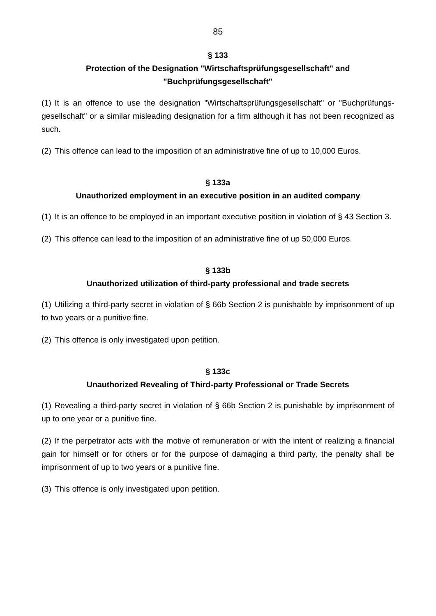### **§ 133**

# **Protection of the Designation "Wirtschaftsprüfungsgesellschaft" and "Buchprüfungsgesellschaft"**

(1) It is an offence to use the designation "Wirtschaftsprüfungsgesellschaft" or "Buchprüfungsgesellschaft" or a similar misleading designation for a firm although it has not been recognized as such.

(2) This offence can lead to the imposition of an administrative fine of up to 10,000 Euros.

### **§ 133a**

### **Unauthorized employment in an executive position in an audited company**

(1) It is an offence to be employed in an important executive position in violation of § 43 Section 3.

(2) This offence can lead to the imposition of an administrative fine of up 50,000 Euros.

### **§ 133b**

### **Unauthorized utilization of third-party professional and trade secrets**

(1) Utilizing a third-party secret in violation of § 66b Section 2 is punishable by imprisonment of up to two years or a punitive fine.

(2) This offence is only investigated upon petition.

### **§ 133c**

# **Unauthorized Revealing of Third-party Professional or Trade Secrets**

(1) Revealing a third-party secret in violation of § 66b Section 2 is punishable by imprisonment of up to one year or a punitive fine.

(2) If the perpetrator acts with the motive of remuneration or with the intent of realizing a financial gain for himself or for others or for the purpose of damaging a third party, the penalty shall be imprisonment of up to two years or a punitive fine.

(3) This offence is only investigated upon petition.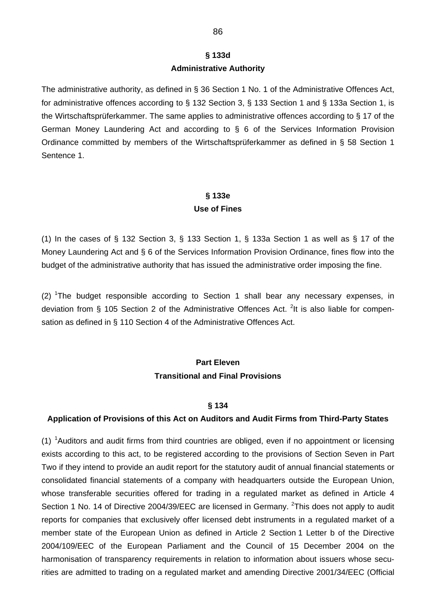# **§ 133d Administrative Authority**

The administrative authority, as defined in § 36 Section 1 No. 1 of the Administrative Offences Act, for administrative offences according to § 132 Section 3, § 133 Section 1 and § 133a Section 1, is the Wirtschaftsprüferkammer. The same applies to administrative offences according to § 17 of the German Money Laundering Act and according to § 6 of the Services Information Provision Ordinance committed by members of the Wirtschaftsprüferkammer as defined in § 58 Section 1 Sentence 1.

# **§ 133e Use of Fines**

(1) In the cases of § 132 Section 3, § 133 Section 1, § 133a Section 1 as well as § 17 of the Money Laundering Act and § 6 of the Services Information Provision Ordinance, fines flow into the budget of the administrative authority that has issued the administrative order imposing the fine.

(2) <sup>1</sup>The budget responsible according to Section 1 shall bear any necessary expenses, in deviation from § 105 Section 2 of the Administrative Offences Act. <sup>2</sup>It is also liable for compensation as defined in § 110 Section 4 of the Administrative Offences Act.

# **Part Eleven Transitional and Final Provisions**

#### **§ 134**

### **Application of Provisions of this Act on Auditors and Audit Firms from Third-Party States**

 $(1)$  <sup>1</sup> Auditors and audit firms from third countries are obliged, even if no appointment or licensing exists according to this act, to be registered according to the provisions of Section Seven in Part Two if they intend to provide an audit report for the statutory audit of annual financial statements or consolidated financial statements of a company with headquarters outside the European Union, whose transferable securities offered for trading in a regulated market as defined in Article 4 Section 1 No. 14 of Directive 2004/39/EEC are licensed in Germany. <sup>2</sup>This does not apply to audit reports for companies that exclusively offer licensed debt instruments in a regulated market of a member state of the European Union as defined in Article 2 Section 1 Letter b of the Directive 2004/109/EEC of the European Parliament and the Council of 15 December 2004 on the harmonisation of transparency requirements in relation to information about issuers whose securities are admitted to trading on a regulated market and amending Directive 2001/34/EEC (Official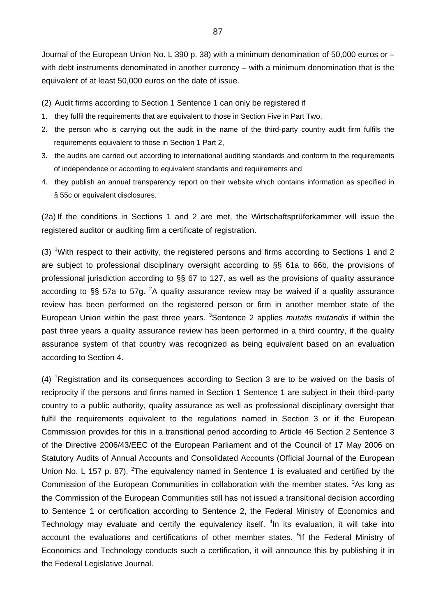Journal of the European Union No. L 390 p. 38) with a minimum denomination of 50,000 euros or – with debt instruments denominated in another currency – with a minimum denomination that is the equivalent of at least 50,000 euros on the date of issue.

- (2) Audit firms according to Section 1 Sentence 1 can only be registered if
- 1. they fulfil the requirements that are equivalent to those in Section Five in Part Two,
- 2. the person who is carrying out the audit in the name of the third-party country audit firm fulfils the requirements equivalent to those in Section 1 Part 2,
- 3. the audits are carried out according to international auditing standards and conform to the requirements of independence or according to equivalent standards and requirements and
- 4. they publish an annual transparency report on their website which contains information as specified in § 55c or equivalent disclosures.

(2a) If the conditions in Sections 1 and 2 are met, the Wirtschaftsprüferkammer will issue the registered auditor or auditing firm a certificate of registration.

(3) <sup>1</sup>With respect to their activity, the registered persons and firms according to Sections 1 and 2 are subject to professional disciplinary oversight according to §§ 61a to 66b, the provisions of professional jurisdiction according to §§ 67 to 127, as well as the provisions of quality assurance according to §§ 57a to 57g. <sup>2</sup>A quality assurance review may be waived if a quality assurance review has been performed on the registered person or firm in another member state of the European Union within the past three years. <sup>3</sup>Sentence 2 applies *mutatis mutandis* if within the past three years a quality assurance review has been performed in a third country, if the quality assurance system of that country was recognized as being equivalent based on an evaluation according to Section 4.

 $(4)$  <sup>1</sup>Registration and its consequences according to Section 3 are to be waived on the basis of reciprocity if the persons and firms named in Section 1 Sentence 1 are subject in their third-party country to a public authority, quality assurance as well as professional disciplinary oversight that fulfil the requirements equivalent to the regulations named in Section 3 or if the European Commission provides for this in a transitional period according to Article 46 Section 2 Sentence 3 of the Directive 2006/43/EEC of the European Parliament and of the Council of 17 May 2006 on Statutory Audits of Annual Accounts and Consolidated Accounts (Official Journal of the European Union No. L 157 p. 87). <sup>2</sup>The equivalency named in Sentence 1 is evaluated and certified by the Commission of the European Communities in collaboration with the member states. <sup>3</sup>As long as the Commission of the European Communities still has not issued a transitional decision according to Sentence 1 or certification according to Sentence 2, the Federal Ministry of Economics and Technology may evaluate and certify the equivalency itself. <sup>4</sup>In its evaluation, it will take into account the evaluations and certifications of other member states. <sup>5</sup>If the Federal Ministry of Economics and Technology conducts such a certification, it will announce this by publishing it in the Federal Legislative Journal.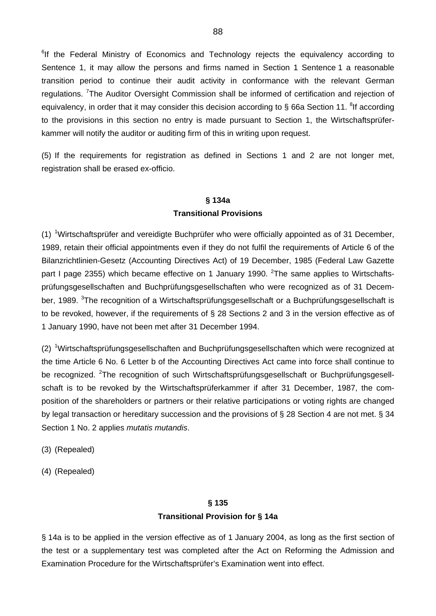<sup>6</sup>If the Federal Ministry of Economics and Technology rejects the equivalency according to Sentence 1, it may allow the persons and firms named in Section 1 Sentence 1 a reasonable transition period to continue their audit activity in conformance with the relevant German regulations. <sup>7</sup>The Auditor Oversight Commission shall be informed of certification and rejection of equivalency, in order that it may consider this decision according to § 66a Section 11. <sup>8</sup>If according to the provisions in this section no entry is made pursuant to Section 1, the Wirtschaftsprüferkammer will notify the auditor or auditing firm of this in writing upon request.

(5) If the requirements for registration as defined in Sections 1 and 2 are not longer met, registration shall be erased ex-officio.

# **§ 134a Transitional Provisions**

(1) <sup>1</sup>Wirtschaftsprüfer and vereidigte Buchprüfer who were officially appointed as of 31 December, 1989, retain their official appointments even if they do not fulfil the requirements of Article 6 of the Bilanzrichtlinien-Gesetz (Accounting Directives Act) of 19 December, 1985 (Federal Law Gazette part I page 2355) which became effective on 1 January 1990. <sup>2</sup>The same applies to Wirtschaftsprüfungsgesellschaften and Buchprüfungsgesellschaften who were recognized as of 31 December, 1989. <sup>3</sup>The recognition of a Wirtschaftsprüfungsgesellschaft or a Buchprüfungsgesellschaft is to be revoked, however, if the requirements of § 28 Sections 2 and 3 in the version effective as of 1 January 1990, have not been met after 31 December 1994.

(2) <sup>1</sup>Wirtschaftsprüfungsgesellschaften and Buchprüfungsgesellschaften which were recognized at the time Article 6 No. 6 Letter b of the Accounting Directives Act came into force shall continue to be recognized. <sup>2</sup>The recognition of such Wirtschaftsprüfungsgesellschaft or Buchprüfungsgesellschaft is to be revoked by the Wirtschaftsprüferkammer if after 31 December, 1987, the composition of the shareholders or partners or their relative participations or voting rights are changed by legal transaction or hereditary succession and the provisions of § 28 Section 4 are not met. § 34 Section 1 No. 2 applies *mutatis mutandis*.

- (3) (Repealed)
- (4) (Repealed)

# **§ 135 Transitional Provision for § 14a**

§ 14a is to be applied in the version effective as of 1 January 2004, as long as the first section of the test or a supplementary test was completed after the Act on Reforming the Admission and Examination Procedure for the Wirtschaftsprüfer's Examination went into effect.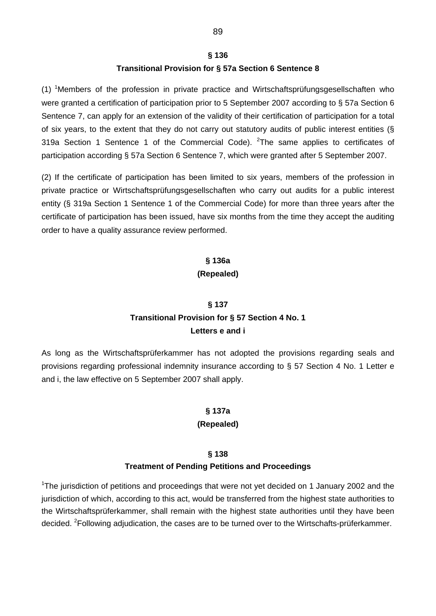#### **§ 136**

#### **Transitional Provision for § 57a Section 6 Sentence 8**

(1) <sup>1</sup>Members of the profession in private practice and Wirtschaftsprüfungsgesellschaften who were granted a certification of participation prior to 5 September 2007 according to § 57a Section 6 Sentence 7, can apply for an extension of the validity of their certification of participation for a total of six years, to the extent that they do not carry out statutory audits of public interest entities (§ 319a Section 1 Sentence 1 of the Commercial Code). <sup>2</sup>The same applies to certificates of participation according § 57a Section 6 Sentence 7, which were granted after 5 September 2007.

(2) If the certificate of participation has been limited to six years, members of the profession in private practice or Wirtschaftsprüfungsgesellschaften who carry out audits for a public interest entity (§ 319a Section 1 Sentence 1 of the Commercial Code) for more than three years after the certificate of participation has been issued, have six months from the time they accept the auditing order to have a quality assurance review performed.

#### **§ 136a**

#### **(Repealed)**

#### **§ 137**

# **Transitional Provision for § 57 Section 4 No. 1 Letters e and i**

As long as the Wirtschaftsprüferkammer has not adopted the provisions regarding seals and provisions regarding professional indemnity insurance according to § 57 Section 4 No. 1 Letter e and i, the law effective on 5 September 2007 shall apply.

# **§ 137a**

# **(Repealed)**

# **§ 138**

#### **Treatment of Pending Petitions and Proceedings**

<sup>1</sup>The jurisdiction of petitions and proceedings that were not yet decided on 1 January 2002 and the jurisdiction of which, according to this act, would be transferred from the highest state authorities to the Wirtschaftsprüferkammer, shall remain with the highest state authorities until they have been decided. <sup>2</sup>Following adjudication, the cases are to be turned over to the Wirtschafts-prüferkammer.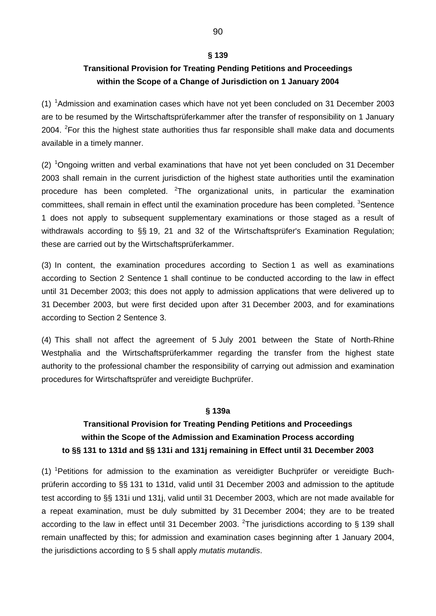#### **§ 139**

# **Transitional Provision for Treating Pending Petitions and Proceedings within the Scope of a Change of Jurisdiction on 1 January 2004**

 $(1)$  <sup>1</sup> Admission and examination cases which have not yet been concluded on 31 December 2003 are to be resumed by the Wirtschaftsprüferkammer after the transfer of responsibility on 1 January 2004. <sup>2</sup>For this the highest state authorities thus far responsible shall make data and documents available in a timely manner.

(2)  $10$  Ongoing written and verbal examinations that have not yet been concluded on 31 December 2003 shall remain in the current jurisdiction of the highest state authorities until the examination procedure has been completed.  $2$ The organizational units, in particular the examination committees, shall remain in effect until the examination procedure has been completed. <sup>3</sup>Sentence 1 does not apply to subsequent supplementary examinations or those staged as a result of withdrawals according to §§ 19, 21 and 32 of the Wirtschaftsprüfer's Examination Regulation; these are carried out by the Wirtschaftsprüferkammer.

(3) In content, the examination procedures according to Section 1 as well as examinations according to Section 2 Sentence 1 shall continue to be conducted according to the law in effect until 31 December 2003; this does not apply to admission applications that were delivered up to 31 December 2003, but were first decided upon after 31 December 2003, and for examinations according to Section 2 Sentence 3.

(4) This shall not affect the agreement of 5 July 2001 between the State of North-Rhine Westphalia and the Wirtschaftsprüferkammer regarding the transfer from the highest state authority to the professional chamber the responsibility of carrying out admission and examination procedures for Wirtschaftsprüfer and vereidigte Buchprüfer.

#### **§ 139a**

# **Transitional Provision for Treating Pending Petitions and Proceedings within the Scope of the Admission and Examination Process according to §§ 131 to 131d and §§ 131i and 131j remaining in Effect until 31 December 2003**

(1) <sup>1</sup>Petitions for admission to the examination as vereidigter Buchprüfer or vereidigte Buchprüferin according to §§ 131 to 131d, valid until 31 December 2003 and admission to the aptitude test according to §§ 131i und 131j, valid until 31 December 2003, which are not made available for a repeat examination, must be duly submitted by 31 December 2004; they are to be treated according to the law in effect until 31 December 2003. <sup>2</sup>The jurisdictions according to § 139 shall remain unaffected by this; for admission and examination cases beginning after 1 January 2004, the jurisdictions according to § 5 shall apply *mutatis mutandis*.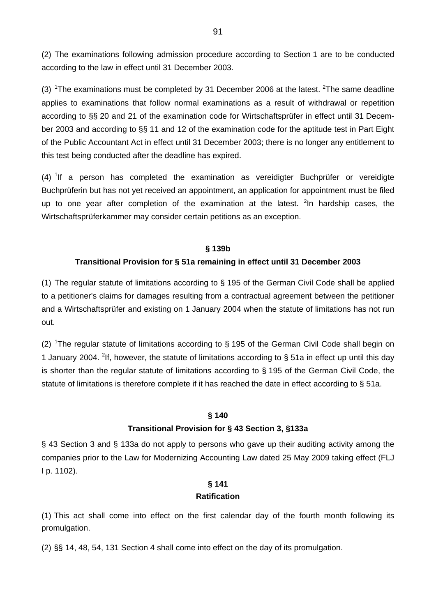(2) The examinations following admission procedure according to Section 1 are to be conducted according to the law in effect until 31 December 2003.

(3) <sup>1</sup>The examinations must be completed by 31 December 2006 at the latest. <sup>2</sup>The same deadline applies to examinations that follow normal examinations as a result of withdrawal or repetition according to §§ 20 and 21 of the examination code for Wirtschaftsprüfer in effect until 31 December 2003 and according to §§ 11 and 12 of the examination code for the aptitude test in Part Eight of the Public Accountant Act in effect until 31 December 2003; there is no longer any entitlement to this test being conducted after the deadline has expired.

 $(4)$  <sup>1</sup>If a person has completed the examination as vereidigter Buchprüfer or vereidigte Buchprüferin but has not yet received an appointment, an application for appointment must be filed up to one year after completion of the examination at the latest. <sup>2</sup>In hardship cases, the Wirtschaftsprüferkammer may consider certain petitions as an exception.

### **§ 139b**

### **Transitional Provision for § 51a remaining in effect until 31 December 2003**

(1) The regular statute of limitations according to § 195 of the German Civil Code shall be applied to a petitioner's claims for damages resulting from a contractual agreement between the petitioner and a Wirtschaftsprüfer and existing on 1 January 2004 when the statute of limitations has not run out.

(2) <sup>1</sup>The regular statute of limitations according to  $\S$  195 of the German Civil Code shall begin on 1 January 2004. <sup>2</sup>If, however, the statute of limitations according to § 51a in effect up until this day is shorter than the regular statute of limitations according to § 195 of the German Civil Code, the statute of limitations is therefore complete if it has reached the date in effect according to § 51a.

#### **§ 140**

### **Transitional Provision for § 43 Section 3, §133a**

§ 43 Section 3 and § 133a do not apply to persons who gave up their auditing activity among the companies prior to the Law for Modernizing Accounting Law dated 25 May 2009 taking effect (FLJ I p. 1102).

# **§ 141**

### **Ratification**

(1) This act shall come into effect on the first calendar day of the fourth month following its promulgation.

(2) §§ 14, 48, 54, 131 Section 4 shall come into effect on the day of its promulgation.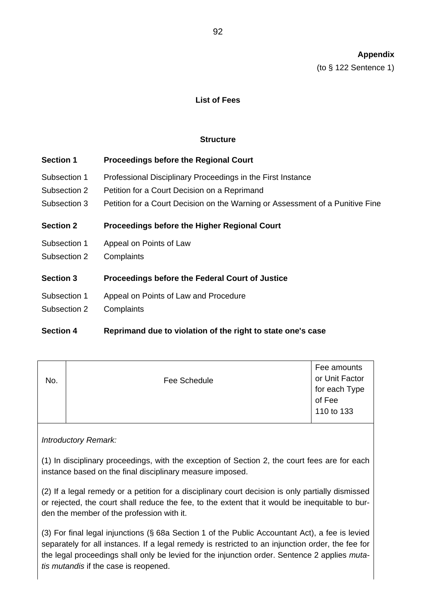(to § 122 Sentence 1)

### **List of Fees**

### **Structure**

| <b>Section 1</b> | <b>Proceedings before the Regional Court</b>                                  |
|------------------|-------------------------------------------------------------------------------|
| Subsection 1     | Professional Disciplinary Proceedings in the First Instance                   |
| Subsection 2     | Petition for a Court Decision on a Reprimand                                  |
| Subsection 3     | Petition for a Court Decision on the Warning or Assessment of a Punitive Fine |
| <b>Section 2</b> | <b>Proceedings before the Higher Regional Court</b>                           |
| Subsection 1     | Appeal on Points of Law                                                       |
| Subsection 2     | Complaints                                                                    |
| <b>Section 3</b> | Proceedings before the Federal Court of Justice                               |
| Subsection 1     | Appeal on Points of Law and Procedure                                         |
| Subsection 2     | Complaints                                                                    |

# **Section 4 Reprimand due to violation of the right to state one's case**

| No. | Fee Schedule | Fee amounts<br>or Unit Factor<br>for each Type<br>of Fee<br>110 to 133 |
|-----|--------------|------------------------------------------------------------------------|
|-----|--------------|------------------------------------------------------------------------|

*Introductory Remark:* 

(1) In disciplinary proceedings, with the exception of Section 2, the court fees are for each instance based on the final disciplinary measure imposed.

(2) If a legal remedy or a petition for a disciplinary court decision is only partially dismissed or rejected, the court shall reduce the fee, to the extent that it would be inequitable to burden the member of the profession with it.

(3) For final legal injunctions (§ 68a Section 1 of the Public Accountant Act), a fee is levied separately for all instances. If a legal remedy is restricted to an injunction order, the fee for the legal proceedings shall only be levied for the injunction order. Sentence 2 applies *mutatis mutandis* if the case is reopened.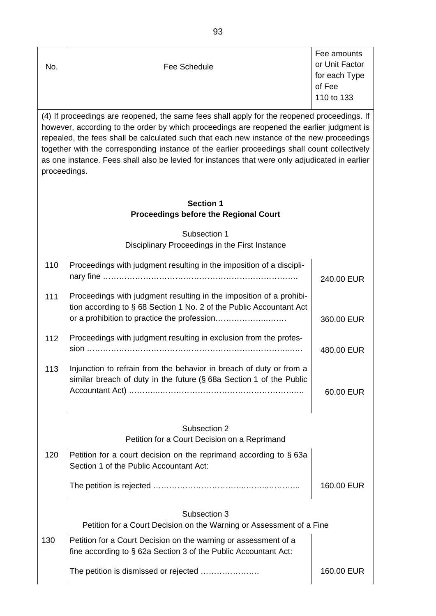|     |              | Fee amounts    |
|-----|--------------|----------------|
| No. | Fee Schedule | or Unit Factor |
|     |              | for each Type  |
|     |              | of Fee         |
|     |              | 110 to 133     |
|     |              |                |

(4) If proceedings are reopened, the same fees shall apply for the reopened proceedings. If however, according to the order by which proceedings are reopened the earlier judgment is repealed, the fees shall be calculated such that each new instance of the new proceedings together with the corresponding instance of the earlier proceedings shall count collectively as one instance. Fees shall also be levied for instances that were only adjudicated in earlier proceedings.

| <b>Section 1</b>                             |
|----------------------------------------------|
| <b>Proceedings before the Regional Court</b> |

Subsection 1 Disciplinary Proceedings in the First Instance

| 110                                                          | Proceedings with judgment resulting in the imposition of a discipli-                                                                       | 240.00 EUR |  |
|--------------------------------------------------------------|--------------------------------------------------------------------------------------------------------------------------------------------|------------|--|
| 111                                                          | Proceedings with judgment resulting in the imposition of a prohibi-<br>tion according to § 68 Section 1 No. 2 of the Public Accountant Act | 360.00 EUR |  |
| 112                                                          | Proceedings with judgment resulting in exclusion from the profes-                                                                          | 480.00 EUR |  |
| 113                                                          | Injunction to refrain from the behavior in breach of duty or from a<br>similar breach of duty in the future (§ 68a Section 1 of the Public | 60.00 EUR  |  |
| Subsection 2<br>Petition for a Court Decision on a Reprimand |                                                                                                                                            |            |  |
| 120                                                          | Petition for a court decision on the reprimand according to §63a<br>Section 1 of the Public Accountant Act:                                |            |  |
|                                                              |                                                                                                                                            | 160.00 EUR |  |
| Subsection 3                                                 |                                                                                                                                            |            |  |
|                                                              | Petition for a Court Decision on the Warning or Assessment of a Fine                                                                       |            |  |
| 130                                                          | Petition for a Court Decision on the warning or assessment of a<br>fine according to § 62a Section 3 of the Public Accountant Act:         |            |  |
|                                                              | The petition is dismissed or rejected                                                                                                      | 160.00 EUR |  |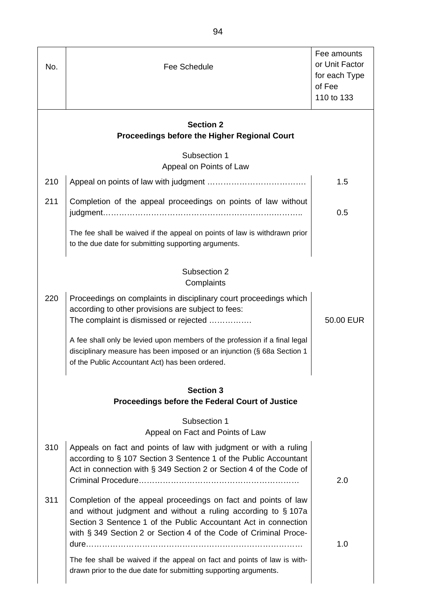| No.                                                                        | Fee Schedule                                                                                                                                                                                                                                                          | Fee amounts<br>or Unit Factor<br>for each Type<br>of Fee<br>110 to 133 |
|----------------------------------------------------------------------------|-----------------------------------------------------------------------------------------------------------------------------------------------------------------------------------------------------------------------------------------------------------------------|------------------------------------------------------------------------|
|                                                                            | <b>Section 2</b><br><b>Proceedings before the Higher Regional Court</b>                                                                                                                                                                                               |                                                                        |
|                                                                            | Subsection 1<br>Appeal on Points of Law                                                                                                                                                                                                                               |                                                                        |
| 210                                                                        |                                                                                                                                                                                                                                                                       | 1.5                                                                    |
| 211                                                                        | Completion of the appeal proceedings on points of law without                                                                                                                                                                                                         | 0.5                                                                    |
|                                                                            | The fee shall be waived if the appeal on points of law is withdrawn prior<br>to the due date for submitting supporting arguments.                                                                                                                                     |                                                                        |
| Subsection 2<br>Complaints                                                 |                                                                                                                                                                                                                                                                       |                                                                        |
| 220                                                                        | Proceedings on complaints in disciplinary court proceedings which<br>according to other provisions are subject to fees:<br>The complaint is dismissed or rejected                                                                                                     | 50.00 EUR                                                              |
|                                                                            | A fee shall only be levied upon members of the profession if a final legal<br>disciplinary measure has been imposed or an injunction (§ 68a Section 1<br>of the Public Accountant Act) has been ordered.                                                              |                                                                        |
| <b>Section 3</b><br><b>Proceedings before the Federal Court of Justice</b> |                                                                                                                                                                                                                                                                       |                                                                        |
|                                                                            | Subsection 1<br>Appeal on Fact and Points of Law                                                                                                                                                                                                                      |                                                                        |
| 310                                                                        | Appeals on fact and points of law with judgment or with a ruling<br>according to § 107 Section 3 Sentence 1 of the Public Accountant<br>Act in connection with § 349 Section 2 or Section 4 of the Code of                                                            | 2.0                                                                    |
| 311                                                                        | Completion of the appeal proceedings on fact and points of law<br>and without judgment and without a ruling according to §107a<br>Section 3 Sentence 1 of the Public Accountant Act in connection<br>with § 349 Section 2 or Section 4 of the Code of Criminal Proce- | 1.0                                                                    |
|                                                                            | The fee shall be waived if the appeal on fact and points of law is with-<br>drawn prior to the due date for submitting supporting arguments.                                                                                                                          |                                                                        |